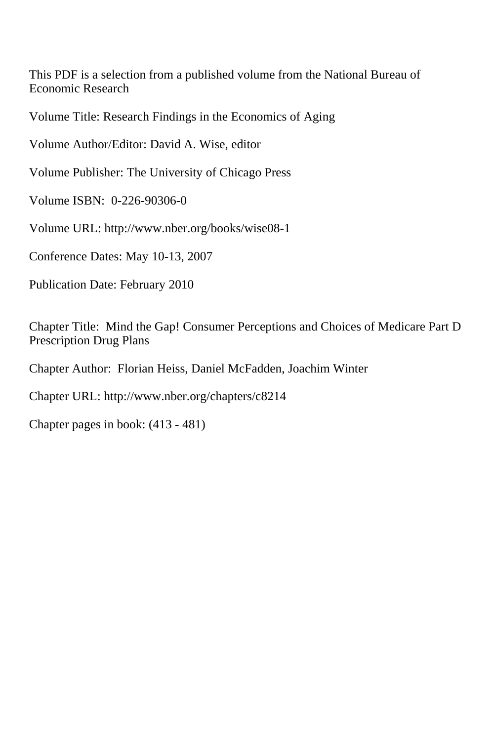This PDF is a selection from a published volume from the National Bureau of Economic Research

Volume Title: Research Findings in the Economics of Aging

Volume Author/Editor: David A. Wise, editor

Volume Publisher: The University of Chicago Press

Volume ISBN: 0-226-90306-0

Volume URL: http://www.nber.org/books/wise08-1

Conference Dates: May 10-13, 2007

Publication Date: February 2010

Chapter Title: Mind the Gap! Consumer Perceptions and Choices of Medicare Part D Prescription Drug Plans

Chapter Author: Florian Heiss, Daniel McFadden, Joachim Winter

Chapter URL: http://www.nber.org/chapters/c8214

Chapter pages in book: (413 - 481)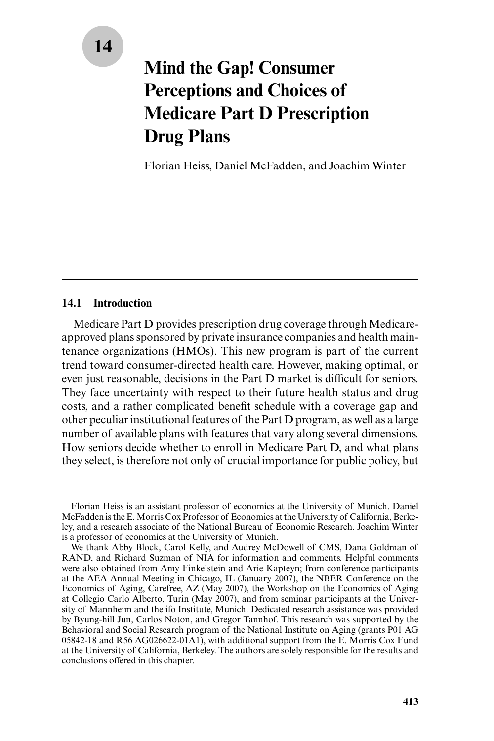# **Mind the Gap! Consumer Perceptions and Choices of Medicare Part D Prescription Drug Plans**

Florian Heiss, Daniel McFadden, and Joachim Winter

## **14.1 Introduction**

Medicare Part D provides prescription drug coverage through Medicare approved plans sponsored by private insurance companies and health maintenance organizations (HMOs). This new program is part of the current trend toward consumer- directed health care. However, making optimal, or even just reasonable, decisions in the Part D market is difficult for seniors. They face uncertainty with respect to their future health status and drug costs, and a rather complicated benefit schedule with a coverage gap and other peculiar institutional features of the Part D program, as well as a large number of available plans with features that vary along several dimensions. How seniors decide whether to enroll in Medicare Part D, and what plans they select, is therefore not only of crucial importance for public policy, but

Florian Heiss is an assistant professor of economics at the University of Munich. Daniel McFadden is the E. Morris Cox Professor of Economics at the University of California, Berkeley, and a research associate of the National Bureau of Economic Research. Joachim Winter is a professor of economics at the University of Munich.

We thank Abby Block, Carol Kelly, and Audrey McDowell of CMS, Dana Goldman of RAND, and Richard Suzman of NIA for information and comments. Helpful comments were also obtained from Amy Finkelstein and Arie Kapteyn; from conference participants at the AEA Annual Meeting in Chicago, IL (January 2007), the NBER Conference on the Economics of Aging, Carefree, AZ (May 2007), the Workshop on the Economics of Aging at Collegio Carlo Alberto, Turin (May 2007), and from seminar participants at the University of Mannheim and the ifo Institute, Munich. Dedicated research assistance was provided by Byung- hill Jun, Carlos Noton, and Gregor Tannhof. This research was supported by the Behavioral and Social Research program of the National Institute on Aging (grants P01 AG 05842- 18 and R56 AG026622- 01A1), with additional support from the E. Morris Cox Fund at the University of California, Berkeley. The authors are solely responsible for the results and conclusions offered in this chapter.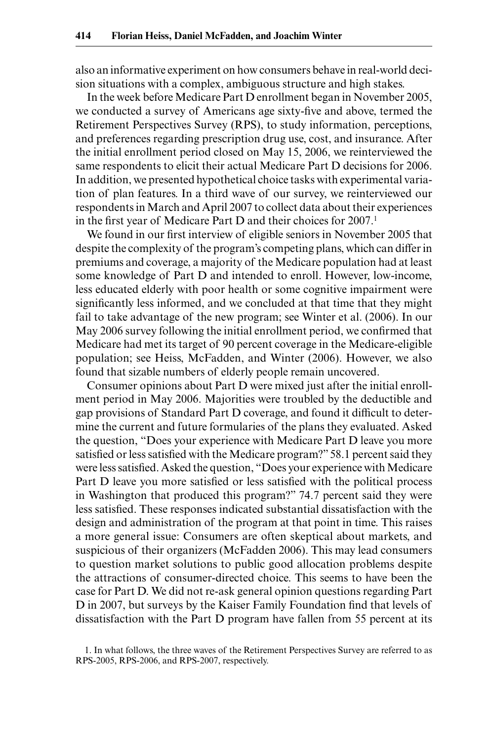also an informative experiment on how consumers behave in real- world decision situations with a complex, ambiguous structure and high stakes.

In the week before Medicare Part D enrollment began in November 2005, we conducted a survey of Americans age sixty-five and above, termed the Retirement Perspectives Survey (RPS), to study information, perceptions, and preferences regarding prescription drug use, cost, and insurance. After the initial enrollment period closed on May 15, 2006, we reinterviewed the same respondents to elicit their actual Medicare Part D decisions for 2006. In addition, we presented hypothetical choice tasks with experimental variation of plan features. In a third wave of our survey, we reinterviewed our respondents in March and April 2007 to collect data about their experiences in the first year of Medicare Part D and their choices for 2007.<sup>1</sup>

We found in our first interview of eligible seniors in November 2005 that despite the complexity of the program's competing plans, which can differ in premiums and coverage, a majority of the Medicare population had at least some knowledge of Part D and intended to enroll. However, low-income, less educated elderly with poor health or some cognitive impairment were significantly less informed, and we concluded at that time that they might fail to take advantage of the new program; see Winter et al. (2006). In our May 2006 survey following the initial enrollment period, we confirmed that Medicare had met its target of 90 percent coverage in the Medicare- eligible population; see Heiss, McFadden, and Winter (2006). However, we also found that sizable numbers of elderly people remain uncovered.

Consumer opinions about Part D were mixed just after the initial enrollment period in May 2006. Majorities were troubled by the deductible and gap provisions of Standard Part D coverage, and found it difficult to determine the current and future formularies of the plans they evaluated. Asked the question, "Does your experience with Medicare Part D leave you more satisfied or less satisfied with the Medicare program?" 58.1 percent said they were less satisfied. Asked the question, "Does your experience with Medicare Part D leave you more satisfied or less satisfied with the political process in Washington that produced this program?" 74.7 percent said they were less satisfied. These responses indicated substantial dissatisfaction with the design and administration of the program at that point in time. This raises a more general issue: Consumers are often skeptical about markets, and suspicious of their organizers (McFadden 2006). This may lead consumers to question market solutions to public good allocation problems despite the attractions of consumer- directed choice. This seems to have been the case for Part D. We did not re- ask general opinion questions regarding Part D in 2007, but surveys by the Kaiser Family Foundation find that levels of dissatisfaction with the Part D program have fallen from 55 percent at its

<sup>1.</sup> In what follows, the three waves of the Retirement Perspectives Survey are referred to as RPS-2005, RPS-2006, and RPS-2007, respectively.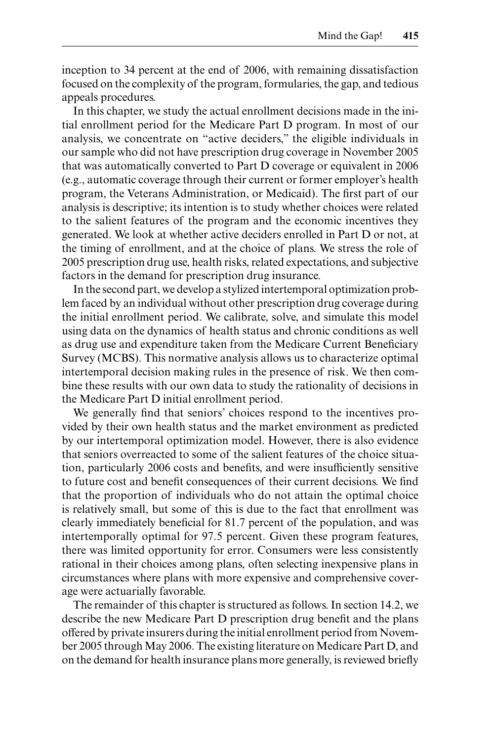inception to 34 percent at the end of 2006, with remaining dissatisfaction focused on the complexity of the program, formularies, the gap, and tedious appeals procedures.

In this chapter, we study the actual enrollment decisions made in the initial enrollment period for the Medicare Part D program. In most of our analysis, we concentrate on "active deciders," the eligible individuals in our sample who did not have prescription drug coverage in November 2005 that was automatically converted to Part D coverage or equivalent in 2006 (e.g., automatic coverage through their current or former employer's health program, the Veterans Administration, or Medicaid). The first part of our analysis is descriptive; its intention is to study whether choices were related to the salient features of the program and the economic incentives they generated. We look at whether active deciders enrolled in Part D or not, at the timing of enrollment, and at the choice of plans. We stress the role of 2005 prescription drug use, health risks, related expectations, and subjective factors in the demand for prescription drug insurance.

In the second part, we develop a stylized intertemporal optimization problem faced by an individual without other prescription drug coverage during the initial enrollment period. We calibrate, solve, and simulate this model using data on the dynamics of health status and chronic conditions as well as drug use and expenditure taken from the Medicare Current Beneficiary Survey (MCBS). This normative analysis allows us to characterize optimal intertemporal decision making rules in the presence of risk. We then combine these results with our own data to study the rationality of decisions in the Medicare Part D initial enrollment period.

We generally find that seniors' choices respond to the incentives provided by their own health status and the market environment as predicted by our intertemporal optimization model. However, there is also evidence that seniors overreacted to some of the salient features of the choice situation, particularly 2006 costs and benefits, and were insufficiently sensitive to future cost and benefit consequences of their current decisions. We find that the proportion of individuals who do not attain the optimal choice is relatively small, but some of this is due to the fact that enrollment was clearly immediately beneficial for 81.7 percent of the population, and was intertemporally optimal for 97.5 percent. Given these program features, there was limited opportunity for error. Consumers were less consistently rational in their choices among plans, often selecting inexpensive plans in circumstances where plans with more expensive and comprehensive coverage were actuarially favorable.

The remainder of this chapter is structured as follows. In section 14.2, we describe the new Medicare Part D prescription drug benefit and the plans offered by private insurers during the initial enrollment period from November 2005 through May 2006. The existing literature on Medicare Part D, and on the demand for health insurance plans more generally, is reviewed briefly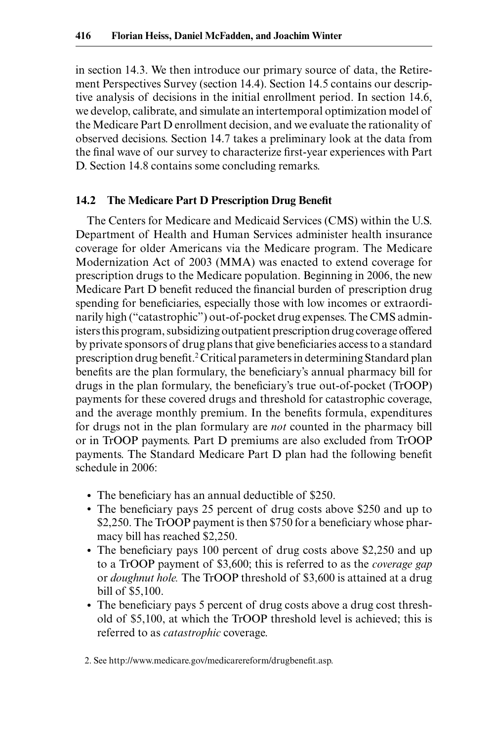in section 14.3. We then introduce our primary source of data, the Retirement Perspectives Survey (section 14.4). Section 14.5 contains our descriptive analysis of decisions in the initial enrollment period. In section 14.6, we develop, calibrate, and simulate an intertemporal optimization model of the Medicare Part D enrollment decision, and we evaluate the rationality of observed decisions. Section 14.7 takes a preliminary look at the data from the final wave of our survey to characterize first-year experiences with Part D. Section 14.8 contains some concluding remarks.

# **14.2 The Medicare Part D Prescription Drug Benefit**

The Centers for Medicare and Medicaid Services (CMS) within the U.S. Department of Health and Human Services administer health insurance coverage for older Americans via the Medicare program. The Medicare Modernization Act of 2003 (MMA) was enacted to extend coverage for prescription drugs to the Medicare population. Beginning in 2006, the new Medicare Part D benefit reduced the financial burden of prescription drug spending for beneficiaries, especially those with low incomes or extraordinarily high ("catastrophic") out-of-pocket drug expenses. The CMS administers this program, subsidizing outpatient prescription drug coverage offered by private sponsors of drug plans that give beneficiaries access to a standard prescription drug benefit.<sup>2</sup> Critical parameters in determining Standard plan benefits are the plan formulary, the beneficiary's annual pharmacy bill for drugs in the plan formulary, the beneficiary's true out-of-pocket (TrOOP) payments for these covered drugs and threshold for catastrophic coverage, and the average monthly premium. In the benefits formula, expenditures for drugs not in the plan formulary are *not* counted in the pharmacy bill or in TrOOP payments. Part D premiums are also excluded from TrOOP payments. The Standard Medicare Part D plan had the following benefit schedule in 2006:

- The beneficiary has an annual deductible of \$250.
- The beneficiary pays 25 percent of drug costs above \$250 and up to \$2,250. The TrOOP payment is then \$750 for a beneficiary whose pharmacy bill has reached \$2,250.
- The beneficiary pays 100 percent of drug costs above \$2,250 and up to a TrOOP payment of \$3,600; this is referred to as the *coverage gap* or *doughnut hole.* The TrOOP threshold of \$3,600 is attained at a drug bill of \$5,100.
- The beneficiary pays 5 percent of drug costs above a drug cost threshold of \$5,100, at which the TrOOP threshold level is achieved; this is referred to as *catastrophic* coverage.

2. See http://www.medicare.gov/medicarereform/drugbenefit.asp.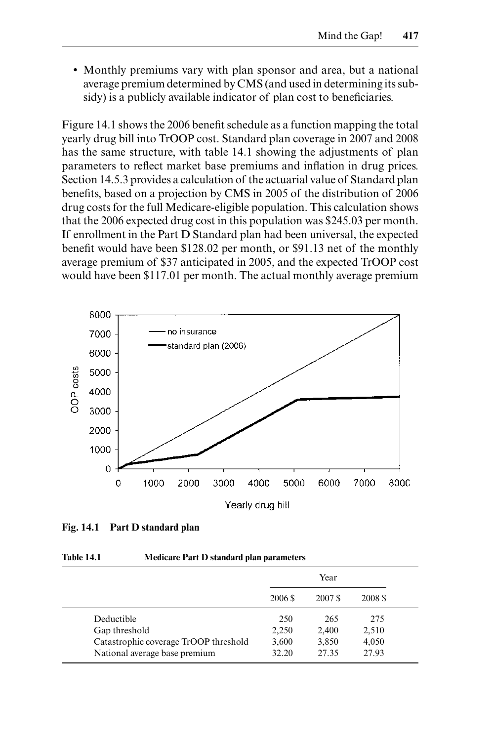• Monthly premiums vary with plan sponsor and area, but a national average premium determined by CMS (and used in determining its subsidy) is a publicly available indicator of plan cost to beneficiaries.

Figure 14.1 shows the 2006 benefit schedule as a function mapping the total yearly drug bill into TrOOP cost. Standard plan coverage in 2007 and 2008 has the same structure, with table 14.1 showing the adjustments of plan parameters to reflect market base premiums and inflation in drug prices. Section 14.5.3 provides a calculation of the actuarial value of Standard plan benefits, based on a projection by CMS in 2005 of the distribution of 2006 drug costs for the full Medicare- eligible population. This calculation shows that the 2006 expected drug cost in this population was \$245.03 per month. If enrollment in the Part D Standard plan had been universal, the expected benefit would have been \$128.02 per month, or \$91.13 net of the monthly average premium of \$37 anticipated in 2005, and the expected TrOOP cost would have been \$117.01 per month. The actual monthly average premium





| <b>Table 14.1</b> | Medicare Part D standard plan parameters |  |  |
|-------------------|------------------------------------------|--|--|
|                   |                                          |  |  |

|                                       | Year    |         |                |
|---------------------------------------|---------|---------|----------------|
|                                       | 2006 \$ | 2007 \$ | <b>2008 \$</b> |
| Deductible                            | 250     | 265     | 275            |
| Gap threshold                         | 2,250   | 2.400   | 2,510          |
| Catastrophic coverage TrOOP threshold | 3,600   | 3,850   | 4,050          |
| National average base premium         | 32.20   | 27.35   | 27.93          |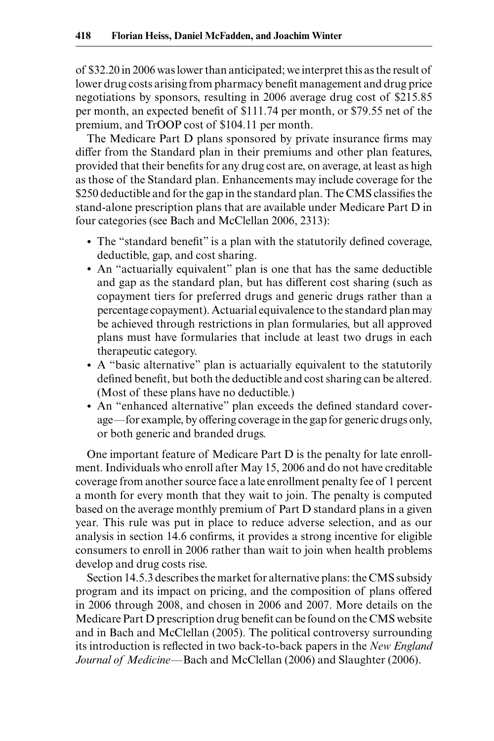of \$32.20 in 2006 was lower than anticipated; we interpret this as the result of lower drug costs arising from pharmacy benefit management and drug price negotiations by sponsors, resulting in 2006 average drug cost of \$215.85 per month, an expected benefit of \$111.74 per month, or \$79.55 net of the premium, and TrOOP cost of \$104.11 per month.

The Medicare Part D plans sponsored by private insurance firms may differ from the Standard plan in their premiums and other plan features, provided that their benefits for any drug cost are, on average, at least as high as those of the Standard plan. Enhancements may include coverage for the \$250 deductible and for the gap in the standard plan. The CMS classifies the stand- alone prescription plans that are available under Medicare Part D in four categories (see Bach and McClellan 2006, 2313):

- The "standard benefit" is a plan with the statutorily defined coverage, deductible, gap, and cost sharing.
- An "actuarially equivalent" plan is one that has the same deductible and gap as the standard plan, but has different cost sharing (such as copayment tiers for preferred drugs and generic drugs rather than a percentage copayment). Actuarial equivalence to the standard plan may be achieved through restrictions in plan formularies, but all approved plans must have formularies that include at least two drugs in each therapeutic category.
- A "basic alternative" plan is actuarially equivalent to the statutorily defined benefit, but both the deductible and cost sharing can be altered. (Most of these plans have no deductible.)
- An "enhanced alternative" plan exceeds the defined standard coverage—for example, by offering coverage in the gap for generic drugs only, or both generic and branded drugs.

One important feature of Medicare Part D is the penalty for late enrollment. Individuals who enroll after May 15, 2006 and do not have creditable coverage from another source face a late enrollment penalty fee of 1 percent a month for every month that they wait to join. The penalty is computed based on the average monthly premium of Part D standard plans in a given year. This rule was put in place to reduce adverse selection, and as our analysis in section 14.6 confirms, it provides a strong incentive for eligible consumers to enroll in 2006 rather than wait to join when health problems develop and drug costs rise.

Section 14.5.3 describes the market for alternative plans: the CMS subsidy program and its impact on pricing, and the composition of plans offered in 2006 through 2008, and chosen in 2006 and 2007. More details on the Medicare Part D prescription drug benefit can be found on the CMS website and in Bach and McClellan (2005). The political controversy surrounding its introduction is reflected in two back-to-back papers in the *New England Journal of Medicine*—Bach and McClellan (2006) and Slaughter (2006).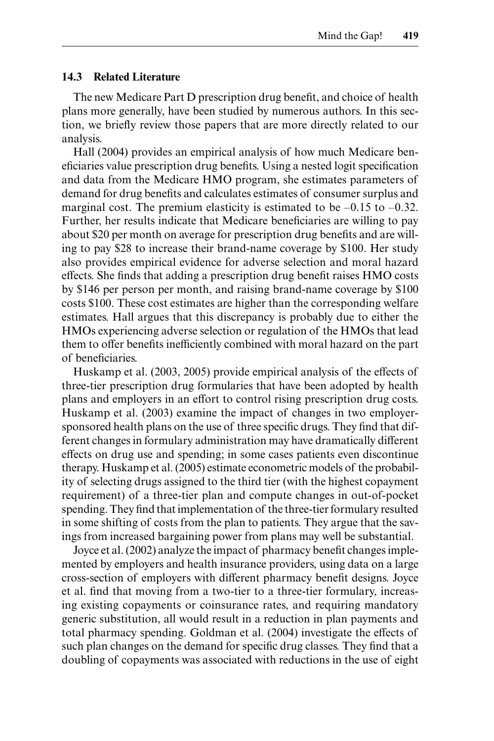# **14.3 Related Literature**

The new Medicare Part D prescription drug benefit, and choice of health plans more generally, have been studied by numerous authors. In this section, we briefly review those papers that are more directly related to our analysis.

Hall (2004) provides an empirical analysis of how much Medicare beneficiaries value prescription drug benefits. Using a nested logit specification and data from the Medicare HMO program, she estimates parameters of demand for drug benefits and calculates estimates of consumer surplus and marginal cost. The premium elasticity is estimated to be  $-0.15$  to  $-0.32$ . Further, her results indicate that Medicare beneficiaries are willing to pay about \$20 per month on average for prescription drug benefits and are willing to pay \$28 to increase their brand- name coverage by \$100. Her study also provides empirical evidence for adverse selection and moral hazard effects. She finds that adding a prescription drug benefit raises HMO costs by \$146 per person per month, and raising brand-name coverage by \$100 costs \$100. These cost estimates are higher than the corresponding welfare estimates. Hall argues that this discrepancy is probably due to either the HMOs experiencing adverse selection or regulation of the HMOs that lead them to offer benefits inefficiently combined with moral hazard on the part of beneficiaries.

Huskamp et al. (2003, 2005) provide empirical analysis of the effects of three- tier prescription drug formularies that have been adopted by health plans and employers in an effort to control rising prescription drug costs. Huskamp et al. (2003) examine the impact of changes in two employer sponsored health plans on the use of three specific drugs. They find that different changes in formulary administration may have dramatically different effects on drug use and spending; in some cases patients even discontinue therapy. Huskamp et al. (2005) estimate econometric models of the probability of selecting drugs assigned to the third tier (with the highest copayment requirement) of a three-tier plan and compute changes in out-of-pocket spending. They find that implementation of the three-tier formulary resulted in some shifting of costs from the plan to patients. They argue that the savings from increased bargaining power from plans may well be substantial.

Joyce et al. (2002) analyze the impact of pharmacy benefit changes implemented by employers and health insurance providers, using data on a large cross-section of employers with different pharmacy benefit designs. Joyce et al. find that moving from a two-tier to a three-tier formulary, increasing existing copayments or coinsurance rates, and requiring mandatory generic substitution, all would result in a reduction in plan payments and total pharmacy spending. Goldman et al. (2004) investigate the effects of such plan changes on the demand for specific drug classes. They find that a doubling of copayments was associated with reductions in the use of eight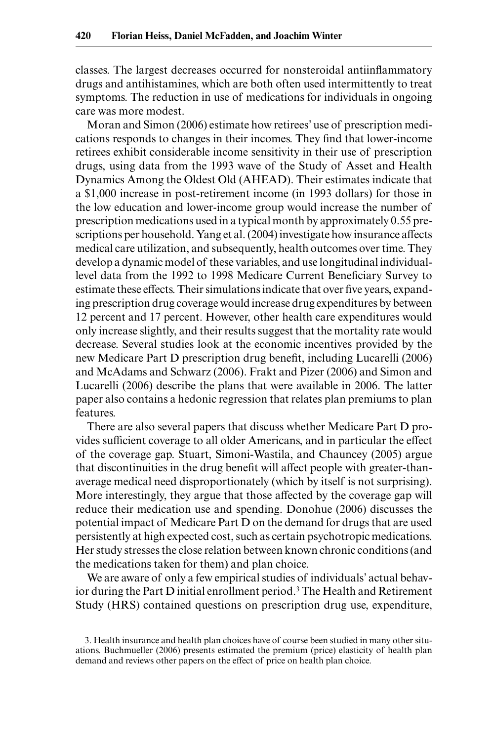classes. The largest decreases occurred for nonsteroidal antiinflammatory drugs and antihistamines, which are both often used intermittently to treat symptoms. The reduction in use of medications for individuals in ongoing care was more modest.

Moran and Simon (2006) estimate how retirees' use of prescription medications responds to changes in their incomes. They find that lower-income retirees exhibit considerable income sensitivity in their use of prescription drugs, using data from the 1993 wave of the Study of Asset and Health Dynamics Among the Oldest Old (AHEAD). Their estimates indicate that a \$1,000 increase in post- retirement income (in 1993 dollars) for those in the low education and lower- income group would increase the number of prescription medications used in a typical month by approximately 0.55 prescriptions per household. Yang et al. (2004) investigate how insurance affects medical care utilization, and subsequently, health outcomes over time. They develop a dynamic model of these variables, and use longitudinal individual level data from the 1992 to 1998 Medicare Current Beneficiary Survey to estimate these effects. Their simulations indicate that over five years, expanding prescription drug coverage would increase drug expenditures by between 12 percent and 17 percent. However, other health care expenditures would only increase slightly, and their results suggest that the mortality rate would decrease. Several studies look at the economic incentives provided by the new Medicare Part D prescription drug benefit, including Lucarelli (2006) and McAdams and Schwarz (2006). Frakt and Pizer (2006) and Simon and Lucarelli (2006) describe the plans that were available in 2006. The latter paper also contains a hedonic regression that relates plan premiums to plan features.

There are also several papers that discuss whether Medicare Part D provides sufficient coverage to all older Americans, and in particular the effect of the coverage gap. Stuart, Simoni- Wastila, and Chauncey (2005) argue that discontinuities in the drug benefit will affect people with greater-than average medical need disproportionately (which by itself is not surprising). More interestingly, they argue that those affected by the coverage gap will reduce their medication use and spending. Donohue (2006) discusses the potential impact of Medicare Part D on the demand for drugs that are used persistently at high expected cost, such as certain psychotropic medications. Her study stresses the close relation between known chronic conditions (and the medications taken for them) and plan choice.

We are aware of only a few empirical studies of individuals' actual behavior during the Part D initial enrollment period.<sup>3</sup> The Health and Retirement Study (HRS) contained questions on prescription drug use, expenditure,

<sup>3.</sup> Health insurance and health plan choices have of course been studied in many other situations. Buchmueller (2006) presents estimated the premium (price) elasticity of health plan demand and reviews other papers on the effect of price on health plan choice.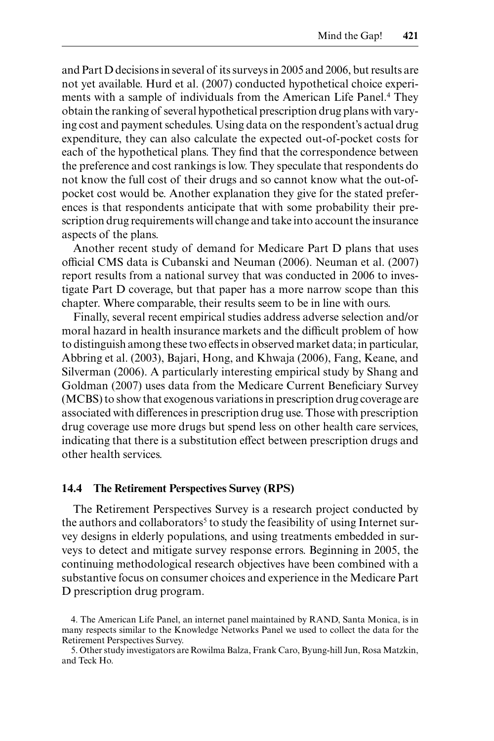and Part D decisions in several of its surveys in 2005 and 2006, but results are not yet available. Hurd et al. (2007) conducted hypothetical choice experiments with a sample of individuals from the American Life Panel.<sup>4</sup> They obtain the ranking of several hypothetical prescription drug plans with varying cost and payment schedules. Using data on the respondent's actual drug expenditure, they can also calculate the expected out-of-pocket costs for each of the hypothetical plans. They find that the correspondence between the preference and cost rankings is low. They speculate that respondents do not know the full cost of their drugs and so cannot know what the out-of pocket cost would be. Another explanation they give for the stated preferences is that respondents anticipate that with some probability their prescription drug requirements will change and take into account the insurance aspects of the plans.

Another recent study of demand for Medicare Part D plans that uses official CMS data is Cubanski and Neuman (2006). Neuman et al. (2007) report results from a national survey that was conducted in 2006 to investigate Part D coverage, but that paper has a more narrow scope than this chapter. Where comparable, their results seem to be in line with ours.

Finally, several recent empirical studies address adverse selection and/or moral hazard in health insurance markets and the difficult problem of how to distinguish among these two effects in observed market data; in particular, Abbring et al. (2003), Bajari, Hong, and Khwaja (2006), Fang, Keane, and Silverman (2006). A particularly interesting empirical study by Shang and Goldman (2007) uses data from the Medicare Current Beneficiary Survey (MCBS) to show that exogenous variations in prescription drug coverage are associated with differences in prescription drug use. Those with prescription drug coverage use more drugs but spend less on other health care services, indicating that there is a substitution effect between prescription drugs and other health services.

#### **14.4 The Retirement Perspectives Survey (RPS)**

The Retirement Perspectives Survey is a research project conducted by the authors and collaborators<sup>5</sup> to study the feasibility of using Internet survey designs in elderly populations, and using treatments embedded in surveys to detect and mitigate survey response errors. Beginning in 2005, the continuing methodological research objectives have been combined with a substantive focus on consumer choices and experience in the Medicare Part D prescription drug program.

5. Other study investigators are Rowilma Balza, Frank Caro, Byung- hill Jun, Rosa Matzkin, and Teck Ho.

<sup>4.</sup> The American Life Panel, an internet panel maintained by RAND, Santa Monica, is in many respects similar to the Knowledge Networks Panel we used to collect the data for the Retirement Perspectives Survey.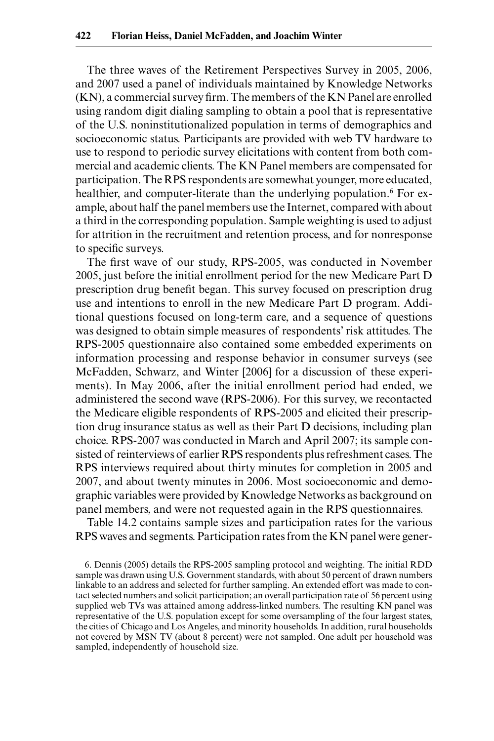The three waves of the Retirement Perspectives Survey in 2005, 2006, and 2007 used a panel of individuals maintained by Knowledge Networks  $(KN)$ , a commercial survey firm. The members of the  $KN$  Panel are enrolled using random digit dialing sampling to obtain a pool that is representative of the U.S. noninstitutionalized population in terms of demographics and socioeconomic status. Participants are provided with web TV hardware to use to respond to periodic survey elicitations with content from both commercial and academic clients. The KN Panel members are compensated for participation. The RPS respondents are somewhat younger, more educated, healthier, and computer-literate than the underlying population.<sup>6</sup> For example, about half the panel members use the Internet, compared with about a third in the corresponding population. Sample weighting is used to adjust for attrition in the recruitment and retention process, and for nonresponse to specific surveys.

The first wave of our study, RPS-2005, was conducted in November 2005, just before the initial enrollment period for the new Medicare Part D prescription drug benefit began. This survey focused on prescription drug use and intentions to enroll in the new Medicare Part D program. Additional questions focused on long- term care, and a sequence of questions was designed to obtain simple measures of respondents' risk attitudes. The RPS- 2005 questionnaire also contained some embedded experiments on information processing and response behavior in consumer surveys (see McFadden, Schwarz, and Winter [2006] for a discussion of these experiments). In May 2006, after the initial enrollment period had ended, we administered the second wave (RPS-2006). For this survey, we recontacted the Medicare eligible respondents of RPS- 2005 and elicited their prescription drug insurance status as well as their Part D decisions, including plan choice. RPS- 2007 was conducted in March and April 2007; its sample consisted of reinterviews of earlier RPS respondents plus refreshment cases. The RPS interviews required about thirty minutes for completion in 2005 and 2007, and about twenty minutes in 2006. Most socioeconomic and demographic variables were provided by Knowledge Networks as background on panel members, and were not requested again in the RPS questionnaires.

Table 14.2 contains sample sizes and participation rates for the various RPS waves and segments. Participation rates from the KN panel were gener-

6. Dennis (2005) details the RPS- 2005 sampling protocol and weighting. The initial RDD sample was drawn using U.S. Government standards, with about 50 percent of drawn numbers linkable to an address and selected for further sampling. An extended effort was made to contact selected numbers and solicit participation; an overall participation rate of 56 percent using supplied web TVs was attained among address-linked numbers. The resulting KN panel was representative of the U.S. population except for some oversampling of the four largest states, the cities of Chicago and Los Angeles, and minority households. In addition, rural households not covered by MSN TV (about 8 percent) were not sampled. One adult per household was sampled, independently of household size.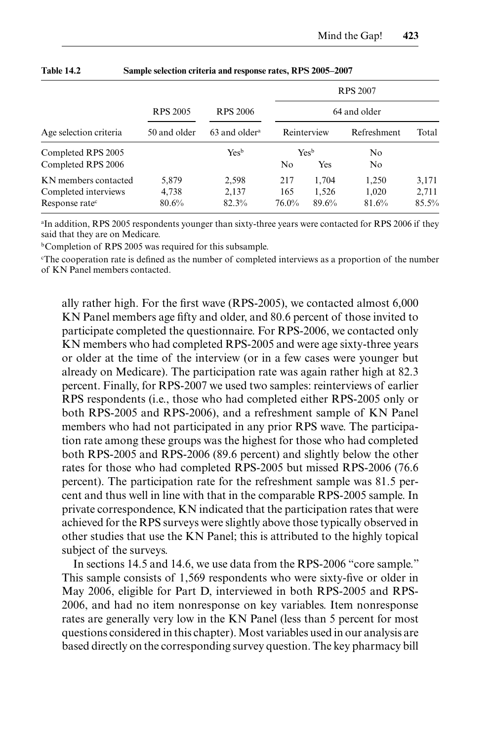|                                                    |                 |                             |                 | <b>RPS 2007</b> |                |                |  |  |
|----------------------------------------------------|-----------------|-----------------------------|-----------------|-----------------|----------------|----------------|--|--|
|                                                    | <b>RPS 2005</b> | <b>RPS 2006</b>             | 64 and older    |                 |                |                |  |  |
| Age selection criteria                             | 50 and older    | $63$ and older <sup>a</sup> |                 | Reinterview     | Refreshment    | Total          |  |  |
| Completed RPS 2005                                 |                 | Yesb                        |                 | Yesb            | No             |                |  |  |
| Completed RPS 2006                                 |                 |                             | No              | Yes             | No             |                |  |  |
| KN members contacted                               | 5,879           | 2,598                       | 217             | 1,704           | 1,250          | 3,171          |  |  |
| Completed interviews<br>Response rate <sup>c</sup> | 4,738<br>80.6%  | 2,137<br>82.3%              | 165<br>$76.0\%$ | 1,526<br>89.6%  | 1,020<br>81.6% | 2,711<br>85.5% |  |  |

## **Table 14.2 Sample selection criteria and response rates, RPS 2005–2007**

a In addition, RPS 2005 respondents younger than sixty- three years were contacted for RPS 2006 if they said that they are on Medicare.

**bCompletion of RPS 2005** was required for this subsample.

The cooperation rate is defined as the number of completed interviews as a proportion of the number of KN Panel members contacted.

ally rather high. For the first wave  $(RPS-2005)$ , we contacted almost  $6,000$ KN Panel members age fifty and older, and 80.6 percent of those invited to participate completed the questionnaire. For RPS-2006, we contacted only KN members who had completed RPS-2005 and were age sixty-three years or older at the time of the interview (or in a few cases were younger but already on Medicare). The participation rate was again rather high at 82.3 percent. Finally, for RPS-2007 we used two samples: reinterviews of earlier RPS respondents (i.e., those who had completed either RPS- 2005 only or both RPS-2005 and RPS-2006), and a refreshment sample of KN Panel members who had not participated in any prior RPS wave. The participation rate among these groups was the highest for those who had completed both RPS-2005 and RPS-2006 (89.6 percent) and slightly below the other rates for those who had completed RPS-2005 but missed RPS-2006 (76.6 percent). The participation rate for the refreshment sample was 81.5 percent and thus well in line with that in the comparable RPS- 2005 sample. In private correspondence, KN indicated that the participation rates that were achieved for the RPS surveys were slightly above those typically observed in other studies that use the KN Panel; this is attributed to the highly topical subject of the surveys.

In sections 14.5 and 14.6, we use data from the RPS-2006 "core sample." This sample consists of 1,569 respondents who were sixty-five or older in May 2006, eligible for Part D, interviewed in both RPS-2005 and RPS- 2006, and had no item nonresponse on key variables. Item nonresponse rates are generally very low in the KN Panel (less than 5 percent for most questions considered in this chapter). Most variables used in our analysis are based directly on the corresponding survey question. The key pharmacy bill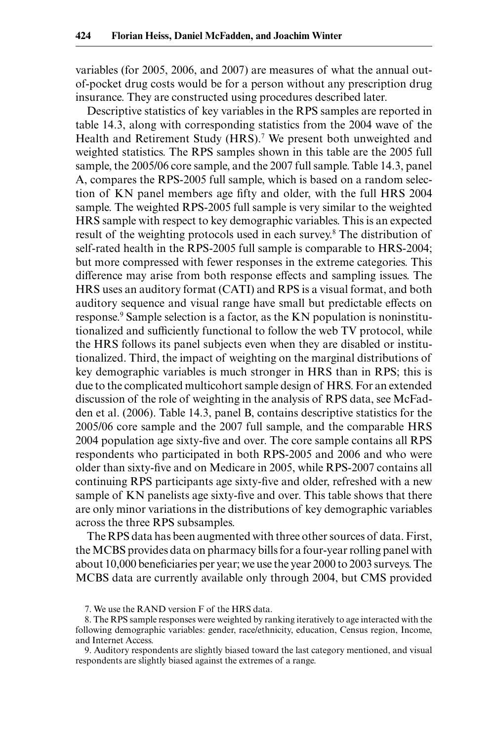variables (for 2005, 2006, and 2007) are measures of what the annual out of- pocket drug costs would be for a person without any prescription drug insurance. They are constructed using procedures described later.

Descriptive statistics of key variables in the RPS samples are reported in table 14.3, along with corresponding statistics from the 2004 wave of the Health and Retirement Study (HRS).<sup>7</sup> We present both unweighted and weighted statistics. The RPS samples shown in this table are the 2005 full sample, the 2005/06 core sample, and the 2007 full sample. Table 14.3, panel A, compares the RPS-2005 full sample, which is based on a random selection of KN panel members age fifty and older, with the full HRS 2004 sample. The weighted RPS-2005 full sample is very similar to the weighted HRS sample with respect to key demographic variables. This is an expected result of the weighting protocols used in each survey.<sup>8</sup> The distribution of self-rated health in the RPS-2005 full sample is comparable to HRS-2004; but more compressed with fewer responses in the extreme categories. This difference may arise from both response effects and sampling issues. The HRS uses an auditory format (CATI) and RPS is a visual format, and both auditory sequence and visual range have small but predictable effects on response.<sup>9</sup> Sample selection is a factor, as the KN population is noninstitutionalized and sufficiently functional to follow the web TV protocol, while the HRS follows its panel subjects even when they are disabled or institutionalized. Third, the impact of weighting on the marginal distributions of key demographic variables is much stronger in HRS than in RPS; this is due to the complicated multicohort sample design of HRS. For an extended discussion of the role of weighting in the analysis of RPS data, see McFadden et al. (2006). Table 14.3, panel B, contains descriptive statistics for the 2005/06 core sample and the 2007 full sample, and the comparable HRS 2004 population age sixty-five and over. The core sample contains all RPS respondents who participated in both RPS-2005 and 2006 and who were older than sixty-five and on Medicare in 2005, while RPS-2007 contains all continuing RPS participants age sixty-five and older, refreshed with a new sample of KN panelists age sixty-five and over. This table shows that there are only minor variations in the distributions of key demographic variables across the three RPS subsamples.

The RPS data has been augmented with three other sources of data. First, the MCBS provides data on pharmacy bills for a four- year rolling panel with about 10,000 beneficiaries per year; we use the year 2000 to 2003 surveys. The MCBS data are currently available only through 2004, but CMS provided

9. Auditory respondents are slightly biased toward the last category mentioned, and visual respondents are slightly biased against the extremes of a range.

<sup>7.</sup> We use the RAND version F of the HRS data.

<sup>8.</sup> The RPS sample responses were weighted by ranking iteratively to age interacted with the following demographic variables: gender, race/ethnicity, education, Census region, Income, and Internet Access.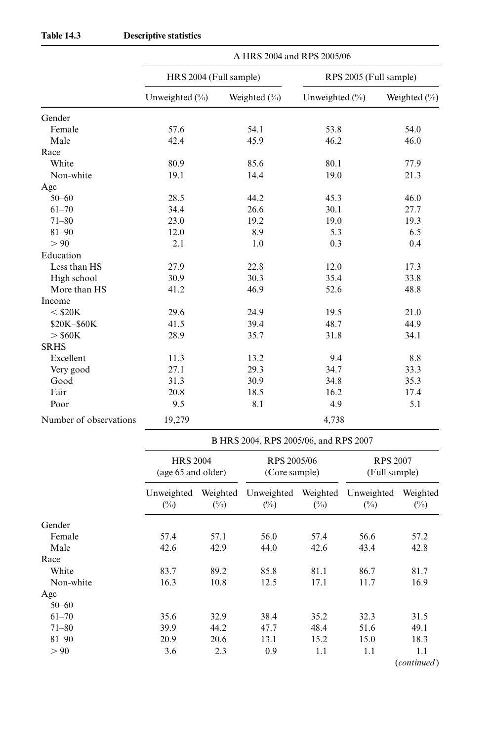|                        | A HRS 2004 and RPS 2005/06 |                  |                        |                  |  |  |
|------------------------|----------------------------|------------------|------------------------|------------------|--|--|
|                        | HRS 2004 (Full sample)     |                  | RPS 2005 (Full sample) |                  |  |  |
|                        | Unweighted $(\% )$         | Weighted $(\% )$ | Unweighted $(\% )$     | Weighted $(\% )$ |  |  |
| Gender                 |                            |                  |                        |                  |  |  |
| Female                 | 57.6                       | 54.1             | 53.8                   | 54.0             |  |  |
| Male                   | 42.4                       | 45.9             | 46.2                   | 46.0             |  |  |
| Race                   |                            |                  |                        |                  |  |  |
| White                  | 80.9                       | 85.6             | 80.1                   | 77.9             |  |  |
| Non-white              | 19.1                       | 14.4             | 19.0                   | 21.3             |  |  |
| Age                    |                            |                  |                        |                  |  |  |
| $50 - 60$              | 28.5                       | 44.2             | 45.3                   | 46.0             |  |  |
| $61 - 70$              | 34.4                       | 26.6             | 30.1                   | 27.7             |  |  |
| $71 - 80$              | 23.0                       | 19.2             | 19.0                   | 19.3             |  |  |
| $81 - 90$              | 12.0                       | 8.9              | 5.3                    | 6.5              |  |  |
| > 90                   | 2.1                        | 1.0              | 0.3                    | 0.4              |  |  |
| Education              |                            |                  |                        |                  |  |  |
| Less than HS           | 27.9                       | 22.8             | 12.0                   | 17.3             |  |  |
| High school            | 30.9                       | 30.3             | 35.4                   | 33.8             |  |  |
| More than HS           | 41.2                       | 46.9             | 52.6                   | 48.8             |  |  |
| Income                 |                            |                  |                        |                  |  |  |
| $<$ \$20K              | 29.6                       | 24.9             | 19.5                   | 21.0             |  |  |
| \$20K-\$60K            | 41.5                       | 39.4             | 48.7                   | 44.9             |  |  |
| $>$ \$60K              | 28.9                       | 35.7             | 31.8                   | 34.1             |  |  |
| <b>SRHS</b>            |                            |                  |                        |                  |  |  |
| Excellent              | 11.3                       | 13.2             | 9.4                    | 8.8              |  |  |
| Very good              | 27.1                       | 29.3             | 34.7                   | 33.3             |  |  |
| Good                   | 31.3                       | 30.9             | 34.8                   | 35.3             |  |  |
| Fair                   | 20.8                       | 18.5             | 16.2                   | 17.4             |  |  |
| Poor                   | 9.5                        | 8.1              | 4.9                    | 5.1              |  |  |
| Number of observations | 19,279                     |                  | 4,738                  |                  |  |  |

|  |  | B HRS 2004, RPS 2005/06, and RPS 2007 |
|--|--|---------------------------------------|
|--|--|---------------------------------------|

|           |                      | <b>HRS 2004</b><br>(age 65 and older) |                      | RPS 2005/06<br>(Core sample) |                      | <b>RPS 2007</b><br>(Full sample) |  |
|-----------|----------------------|---------------------------------------|----------------------|------------------------------|----------------------|----------------------------------|--|
|           | Unweighted<br>$(\%)$ | Weighted<br>$(\%)$                    | Unweighted<br>$(\%)$ | Weighted<br>$(\%)$           | Unweighted<br>$(\%)$ | Weighted<br>$(\%)$               |  |
| Gender    |                      |                                       |                      |                              |                      |                                  |  |
| Female    | 57.4                 | 57.1                                  | 56.0                 | 57.4                         | 56.6                 | 57.2                             |  |
| Male      | 42.6                 | 42.9                                  | 44.0                 | 42.6                         | 43.4                 | 42.8                             |  |
| Race      |                      |                                       |                      |                              |                      |                                  |  |
| White     | 83.7                 | 89.2                                  | 85.8                 | 81.1                         | 86.7                 | 81.7                             |  |
| Non-white | 16.3                 | 10.8                                  | 12.5                 | 17.1                         | 11.7                 | 16.9                             |  |
| Age       |                      |                                       |                      |                              |                      |                                  |  |
| $50 - 60$ |                      |                                       |                      |                              |                      |                                  |  |
| $61 - 70$ | 35.6                 | 32.9                                  | 38.4                 | 35.2                         | 32.3                 | 31.5                             |  |
| $71 - 80$ | 39.9                 | 44.2                                  | 47.7                 | 48.4                         | 51.6                 | 49.1                             |  |
| $81 - 90$ | 20.9                 | 20.6                                  | 13.1                 | 15.2                         | 15.0                 | 18.3                             |  |
| > 90      | 3.6                  | 2.3                                   | 0.9                  | 1.1                          | 1.1                  | 1.1                              |  |
|           |                      |                                       |                      |                              |                      | (continued)                      |  |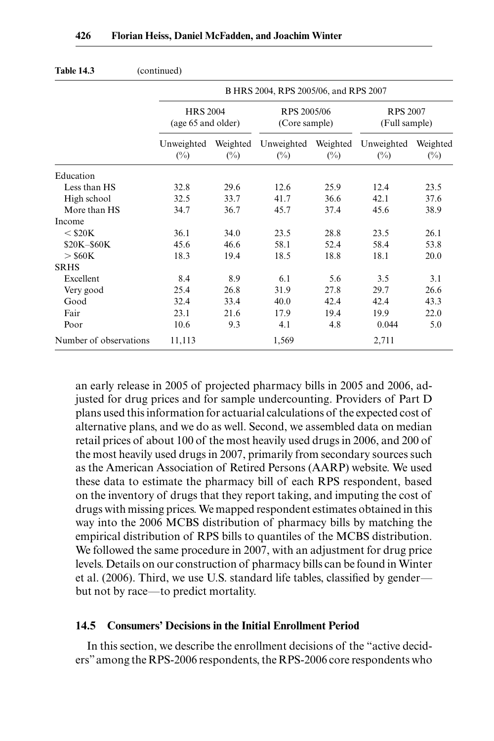|                        | B HRS 2004, RPS 2005/06, and RPS 2007 |                                       |                      |                              |                      |                                  |  |
|------------------------|---------------------------------------|---------------------------------------|----------------------|------------------------------|----------------------|----------------------------------|--|
|                        |                                       | <b>HRS 2004</b><br>(age 65 and older) |                      | RPS 2005/06<br>(Core sample) |                      | <b>RPS 2007</b><br>(Full sample) |  |
|                        | Unweighted<br>$(\%)$                  | Weighted<br>$(\%)$                    | Unweighted<br>$(\%)$ | Weighted<br>$(\%)$           | Unweighted<br>$(\%)$ | Weighted<br>$(\%)$               |  |
| Education              |                                       |                                       |                      |                              |                      |                                  |  |
| Less than HS           | 32.8                                  | 29.6                                  | 12.6                 | 25.9                         | 12.4                 | 23.5                             |  |
| High school            | 32.5                                  | 33.7                                  | 41.7                 | 36.6                         | 42.1                 | 37.6                             |  |
| More than HS           | 34.7                                  | 36.7                                  | 45.7                 | 37.4                         | 45.6                 | 38.9                             |  |
| Income                 |                                       |                                       |                      |                              |                      |                                  |  |
| $<$ \$20K              | 36.1                                  | 34.0                                  | 23.5                 | 28.8                         | 23.5                 | 26.1                             |  |
| \$20K-\$60K            | 45.6                                  | 46.6                                  | 58.1                 | 52.4                         | 58.4                 | 53.8                             |  |
| $>$ \$60K              | 18.3                                  | 19.4                                  | 18.5                 | 18.8                         | 18.1                 | 20.0                             |  |
| <b>SRHS</b>            |                                       |                                       |                      |                              |                      |                                  |  |
| Excellent              | 8.4                                   | 8.9                                   | 6.1                  | 5.6                          | 3.5                  | 3.1                              |  |
| Very good              | 25.4                                  | 26.8                                  | 31.9                 | 27.8                         | 29.7                 | 26.6                             |  |
| Good                   | 32.4                                  | 33.4                                  | 40.0                 | 42.4                         | 42.4                 | 43.3                             |  |
| Fair                   | 23.1                                  | 21.6                                  | 17.9                 | 19.4                         | 19.9                 | 22.0                             |  |
| Poor                   | 10.6                                  | 9.3                                   | 4.1                  | 4.8                          | 0.044                | 5.0                              |  |
| Number of observations | 11,113                                |                                       | 1,569                |                              | 2,711                |                                  |  |

#### **Table 14.3** (continued)

an early release in 2005 of projected pharmacy bills in 2005 and 2006, adjusted for drug prices and for sample undercounting. Providers of Part D plans used this information for actuarial calculations of the expected cost of alternative plans, and we do as well. Second, we assembled data on median retail prices of about 100 of the most heavily used drugs in 2006, and 200 of the most heavily used drugs in 2007, primarily from secondary sources such as the American Association of Retired Persons (AARP) website. We used these data to estimate the pharmacy bill of each RPS respondent, based on the inventory of drugs that they report taking, and imputing the cost of drugs with missing prices. We mapped respondent estimates obtained in this way into the 2006 MCBS distribution of pharmacy bills by matching the empirical distribution of RPS bills to quantiles of the MCBS distribution. We followed the same procedure in 2007, with an adjustment for drug price levels. Details on our construction of pharmacy bills can be found in Winter et al.  $(2006)$ . Third, we use U.S. standard life tables, classified by gender but not by race—to predict mortality.

# **14.5 Consumers' Decisions in the Initial Enrollment Period**

In this section, we describe the enrollment decisions of the "active deciders" among the RPS-2006 respondents, the RPS-2006 core respondents who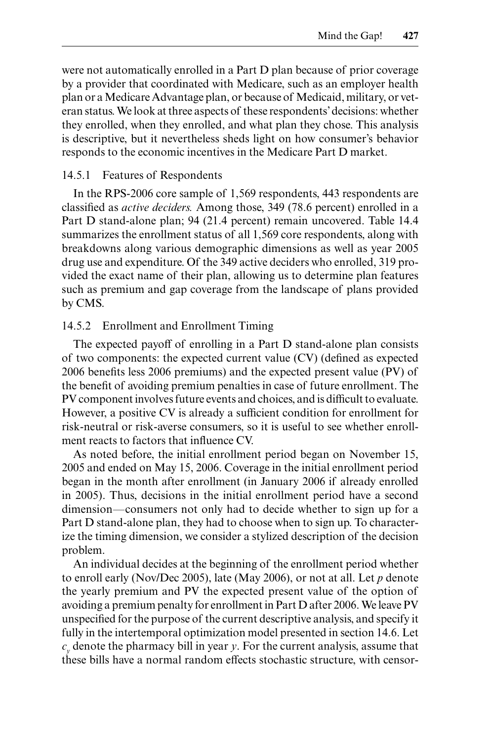were not automatically enrolled in a Part D plan because of prior coverage by a provider that coordinated with Medicare, such as an employer health plan or a Medicare Advantage plan, or because of Medicaid, military, or veteran status. We look at three aspects of these respondents' decisions: whether they enrolled, when they enrolled, and what plan they chose. This analysis is descriptive, but it nevertheless sheds light on how consumer's behavior responds to the economic incentives in the Medicare Part D market.

# 14.5.1 Features of Respondents

In the RPS-2006 core sample of 1,569 respondents, 443 respondents are classified as *active deciders*. Among those, 349 (78.6 percent) enrolled in a Part D stand-alone plan; 94 (21.4 percent) remain uncovered. Table 14.4 summarizes the enrollment status of all 1,569 core respondents, along with breakdowns along various demographic dimensions as well as year 2005 drug use and expenditure. Of the 349 active deciders who enrolled, 319 provided the exact name of their plan, allowing us to determine plan features such as premium and gap coverage from the landscape of plans provided by CMS.

# 14.5.2 Enrollment and Enrollment Timing

The expected payoff of enrolling in a Part D stand-alone plan consists of two components: the expected current value (CV) (defined as expected 2006 benefits less 2006 premiums) and the expected present value (PV) of the benefit of avoiding premium penalties in case of future enrollment. The PV component involves future events and choices, and is difficult to evaluate. However, a positive CV is already a sufficient condition for enrollment for risk- neutral or risk- averse consumers, so it is useful to see whether enrollment reacts to factors that influence CV.

As noted before, the initial enrollment period began on November 15, 2005 and ended on May 15, 2006. Coverage in the initial enrollment period began in the month after enrollment (in January 2006 if already enrolled in 2005). Thus, decisions in the initial enrollment period have a second dimension—consumers not only had to decide whether to sign up for a Part D stand-alone plan, they had to choose when to sign up. To characterize the timing dimension, we consider a stylized description of the decision problem.

An individual decides at the beginning of the enrollment period whether to enroll early (Nov/ Dec 2005), late (May 2006), or not at all. Let *p* denote the yearly premium and PV the expected present value of the option of avoiding a premium penalty for enrollment in Part D after 2006. We leave PV unspecified for the purpose of the current descriptive analysis, and specify it fully in the intertemporal optimization model presented in section 14.6. Let *cy* denote the pharmacy bill in year *y*. For the current analysis, assume that these bills have a normal random effects stochastic structure, with censor-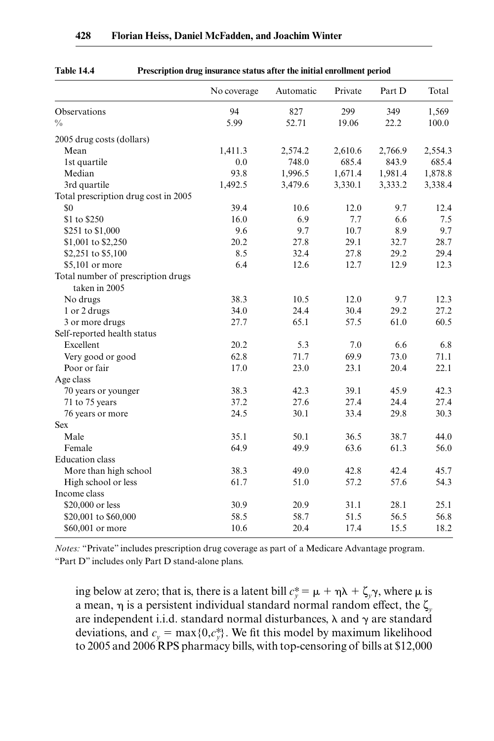| <b>Table 14.4</b><br>Prescription drug insurance status after the initial enrollment period |               |               |         |                       |               |  |
|---------------------------------------------------------------------------------------------|---------------|---------------|---------|-----------------------|---------------|--|
|                                                                                             | No coverage   | Automatic     | Private | Part D                | Total         |  |
| Observations                                                                                | 94            | 827           | 299     | 349                   | 1,569         |  |
| $\frac{0}{0}$                                                                               | 5.99          | 52.71         | 19.06   | 22.2                  | 100.0         |  |
| 2005 drug costs (dollars)                                                                   |               |               |         |                       |               |  |
| Mean                                                                                        | 1,411.3       | 2,574.2       | 2,610.6 | 2,766.9               | 2,554.3       |  |
| 1st quartile                                                                                | 0.0           | 748.0         | 685.4   | 843.9                 | 685.4         |  |
| Median                                                                                      | 93.8          | 1,996.5       | 1,671.4 | 1,981.4               | 1,878.8       |  |
| 3rd quartile                                                                                | 1,492.5       | 3,479.6       | 3,330.1 | 3,333.2               | 3,338.4       |  |
| Total prescription drug cost in 2005                                                        |               |               |         |                       |               |  |
| \$0                                                                                         | 39.4          | 10.6          | 12.0    | 9.7                   | 12.4          |  |
| \$1 to \$250                                                                                | 16.0          | 6.9           | 7.7     | 6.6                   | 7.5           |  |
| \$251 to \$1,000                                                                            | 9.6           | 9.7           | 10.7    | 8.9                   | 9.7           |  |
| \$1,001 to \$2,250                                                                          | 20.2          | 27.8          | 29.1    | 32.7                  | 28.7          |  |
| \$2,251 to \$5,100                                                                          | 8.5           | 32.4          | 27.8    | 29.2                  | 29.4          |  |
| \$5,101 or more                                                                             | 6.4           | 12.6          | 12.7    | 12.9                  | 12.3          |  |
| Total number of prescription drugs<br>taken in 2005                                         |               |               |         |                       |               |  |
| No drugs                                                                                    | 38.3          | 10.5          | 12.0    | 9.7                   | 12.3          |  |
| 1 or 2 drugs                                                                                | 34.0          | 24.4          | 30.4    | 29.2                  | 27.2          |  |
| 3 or more drugs                                                                             | 27.7          | 65.1          | 57.5    | 61.0                  | 60.5          |  |
| Self-reported health status                                                                 |               |               |         |                       |               |  |
|                                                                                             | $\sim$ $\sim$ | $\sim$ $\sim$ | $\sim$  | $\epsilon$ $\epsilon$ | $\sim$ $\sim$ |  |

| 428 |  | Florian Heiss, Daniel McFadden, and Joachim Winter |
|-----|--|----------------------------------------------------|
|     |  |                                                    |

Excellent 20.2 5.3 7.0 6.6 6.8 Very good or good 62.8 71.7 69.9 73.0 71.1 Poor or fair 17.0 23.0 23.1 20.4 22.1 Age class 70 years or younger 38.3 42.3 39.1 45.9 42.3 71 to 75 years 37.2 27.6 27.4 24.4 27.4 76 years or more 24.5 30.1 33.4 29.8 30.3 Sex Male 35.1 50.1 36.5 38.7 44.0 Female 64.9 49.9 63.6 61.3 56.0 Education class More than high school 38.3 49.0 42.8 42.4 45.7 High school or less 61.7 51.0 57.2 57.6 54.3 Income class \$20,000 or less 30.9 20.9 31.1 28.1 25.1 \$20,001 to \$60,000 58.5 58.7 51.5 56.5 56.8 \$60,001 or more 10.6 20.4 17.4 15.5 18.2 *Notes:* "Private" includes prescription drug coverage as part of a Medicare Advantage program. "Part D" includes only Part D stand-alone plans.

ing below at zero; that is, there is a latent bill  $c_y^* = \mu + \eta \lambda + \zeta_y \gamma$ , where  $\mu$  is a mean,  $η$  is a persistent individual standard normal random effect, the  $ζ<sub>ν</sub>$ are independent i.i.d. standard normal disturbances,  $\lambda$  and  $\gamma$  are standard deviations, and  $c_y = \max\{0, c_y^*\}$ . We fit this model by maximum likelihood to 2005 and 2006 RPS pharmacy bills, with top-censoring of bills at \$12,000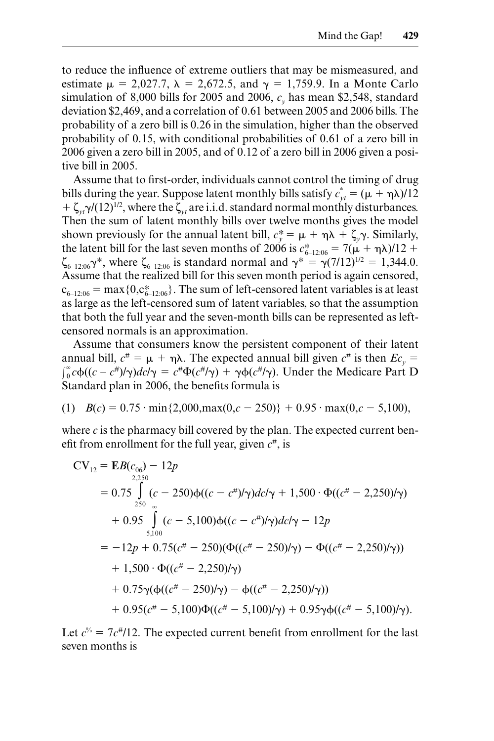to reduce the influence of extreme outliers that may be mismeasured, and estimate  $\mu = 2{,}027.7$ ,  $\lambda = 2{,}672.5$ , and  $\gamma = 1{,}759.9$ . In a Monte Carlo simulation of 8,000 bills for 2005 and 2006, *cy* has mean \$2,548, standard deviation \$2,469, and a correlation of 0.61 between 2005 and 2006 bills. The probability of a zero bill is 0.26 in the simulation, higher than the observed probability of 0.15, with conditional probabilities of 0.61 of a zero bill in 2006 given a zero bill in 2005, and of 0.12 of a zero bill in 2006 given a positive bill in 2005.

Assume that to first-order, individuals cannot control the timing of drug bills during the year. Suppose latent monthly bills satisfy  $c_{yt}^* = (\mu + \eta \lambda)/12$  $\zeta_{y}$ /(12)<sup>1/2</sup>, where the  $\zeta_{y}$  are i.i.d. standard normal monthly disturbances. Then the sum of latent monthly bills over twelve months gives the model shown previously for the annual latent bill,  $c_y^* = \mu + \eta \lambda + \zeta_y \gamma$ . Similarly, the latent bill for the last seven months of 2006 is  $c_{6-12:06}^* = 7(\mu + \eta \lambda)/12 +$  $\zeta_{6-12:06}\gamma^*$ , where  $\zeta_{6-12:06}$  is standard normal and  $\gamma^* = \gamma(7/12)^{1/2} = 1,344.0$ . Assume that the realized bill for this seven month period is again censored,  $c_{6-12:06} = \max\{0, c_{6-12:06}^*\}$ . The sum of left-censored latent variables is at least as large as the left- censored sum of latent variables, so that the assumption that both the full year and the seven- month bills can be represented as left censored normals is an approximation.

Assume that consumers know the persistent component of their latent annual bill,  $c^{\#} = \mu + \eta \lambda$ . The expected annual bill given  $c^{\#}$  is then  $Ec_{\varphi} =$  $\int_0^{\infty} c \phi((c - c^{\#})/\gamma) \, d c/\gamma = c^{\#} \Phi(c^{\#}/\gamma) + \gamma \phi(c^{\#}/\gamma)$ . Under the Medicare Part D Standard plan in 2006, the benefits formula is

(1) 
$$
B(c) = 0.75 \cdot \min\{2,000,\max(0,c-250)\} + 0.95 \cdot \max(0,c-5,100),
$$

where  $c$  is the pharmacy bill covered by the plan. The expected current benefit from enrollment for the full year, given  $c^{\#}$ , is

$$
CV_{12} = EB(c_{06}) - 12p
$$
  
= 0.75  $\int_{2.50}^{0.250} (c - 250) \phi((c - c^{\#})/\gamma) d c/\gamma + 1,500 \cdot \Phi((c^{\#} - 2,250)/\gamma)$   
+ 0.95  $\int_{5,100}^{\infty} (c - 5,100) \phi((c - c^{\#})/\gamma) d c/\gamma - 12p$   
= -12p + 0.75 $(c^{\#} - 250)(\Phi((c^{\#} - 250)/\gamma) - \Phi((c^{\#} - 2,250)/\gamma))$   
+ 1,500  $\cdot \Phi((c^{\#} - 2,250)/\gamma)$   
+ 0.75 $\gamma(\phi((c^{\#} - 250)/\gamma) - \phi((c^{\#} - 2,250)/\gamma))$   
+ 0.95 $(c^{\#} - 5,100)\Phi((c^{\#} - 5,100)/\gamma) + 0.95\gamma\phi((c^{\#} - 5,100)/\gamma).$ 

Let  $c^{k} = 7c^{k}/12$ . The expected current benefit from enrollment for the last seven months is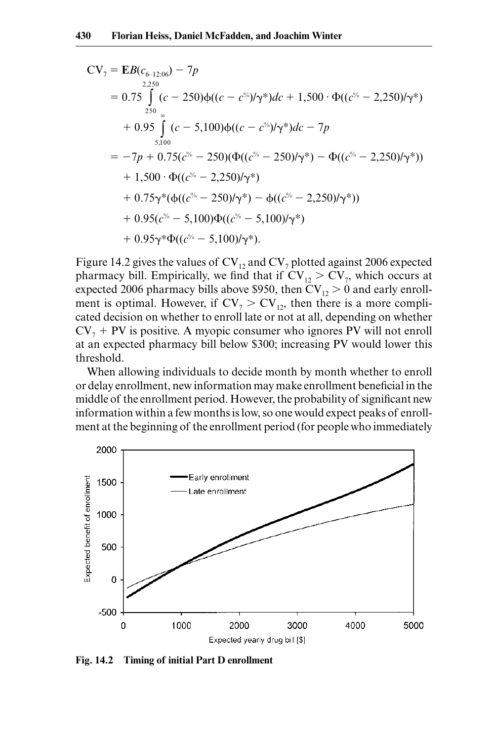$$
CV_{7} = EB(c_{6-12:06}) - 7p
$$
\n
$$
= 0.75 \int_{250}^{2,250} (c - 250) \phi((c - c^{\%})/\gamma^{*}) dc + 1,500 \cdot \Phi((c^{\%} - 2,250)/\gamma^{*})
$$
\n
$$
+ 0.95 \int_{5,100}^{5} (c - 5,100) \phi((c - c^{\%})/\gamma^{*}) dc - 7p
$$
\n
$$
= -7p + 0.75(c^{\%} - 250)(\Phi((c^{\%} - 250)/\gamma^{*}) - \Phi((c^{\%} - 2,250)/\gamma^{*}))
$$
\n
$$
+ 1,500 \cdot \Phi((c^{\%} - 2,250)/\gamma^{*})
$$
\n
$$
+ 0.75\gamma^{*}(\phi((c^{\%} - 250)/\gamma^{*}) - \phi((c^{\%} - 2,250)/\gamma^{*}))
$$
\n
$$
+ 0.95(c^{\%} - 5,100)\Phi((c^{\%} - 5,100)/\gamma^{*})
$$
\n
$$
+ 0.95\gamma^{*}\Phi((c^{\%} - 5,100)/\gamma^{*}).
$$

Figure 14.2 gives the values of  $CV_1$  and  $CV_7$  plotted against 2006 expected pharmacy bill. Empirically, we find that if  $CV_{12} > CV_{7}$ , which occurs at expected 2006 pharmacy bills above \$950, then  $\mathrm{CV}_{12}$   $>$  0 and early enrollment is optimal. However, if  $CV_7 > CV_{12}$ , then there is a more complicated decision on whether to enroll late or not at all, depending on whether  $CV_7$  + PV is positive. A myopic consumer who ignores PV will not enroll at an expected pharmacy bill below \$300; increasing PV would lower this threshold.

When allowing individuals to decide month by month whether to enroll or delay enrollment, new information may make enrollment beneficial in the middle of the enrollment period. However, the probability of significant new information within a few months is low, so one would expect peaks of enrollment at the beginning of the enrollment period (for people who immediately



**Fig. 14.2 Timing of initial Part D enrollment**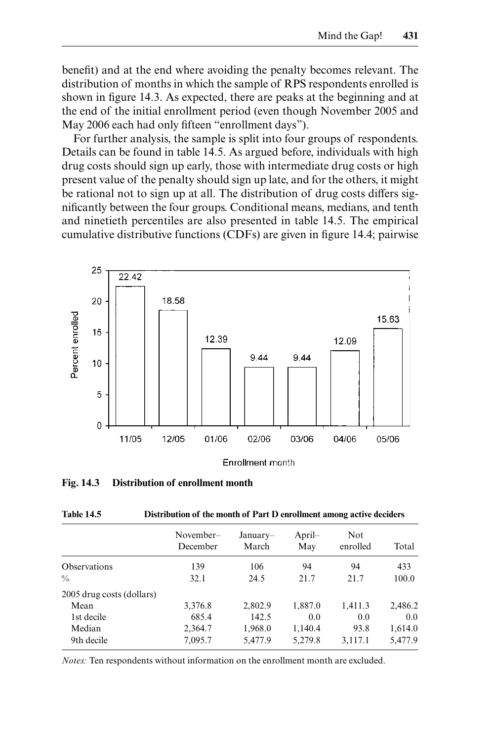benefit) and at the end where avoiding the penalty becomes relevant. The distribution of months in which the sample of RPS respondents enrolled is shown in figure 14.3. As expected, there are peaks at the beginning and at the end of the initial enrollment period (even though November 2005 and May 2006 each had only fifteen "enrollment days").

For further analysis, the sample is split into four groups of respondents. Details can be found in table 14.5. As argued before, individuals with high drug costs should sign up early, those with intermediate drug costs or high present value of the penalty should sign up late, and for the others, it might be rational not to sign up at all. The distribution of drug costs differs significantly between the four groups. Conditional means, medians, and tenth and ninetieth percentiles are also presented in table 14.5. The empirical cumulative distributive functions (CDFs) are given in figure 14.4; pairwise



**Fig. 14.3 Distribution of enrollment month**

| <b>Table 14.5</b> | Distribution of the month of Part D enrollment among active deciders |  |
|-------------------|----------------------------------------------------------------------|--|
|                   |                                                                      |  |

|                           | November-<br>December | January-<br>March | April-<br>May | <b>Not</b><br>enrolled | Total   |
|---------------------------|-----------------------|-------------------|---------------|------------------------|---------|
| <b>Observations</b>       | 139                   | 106               | 94            | 94                     | 433     |
| $\frac{0}{0}$             | 32.1                  | 24.5              | 21.7          | 21.7                   | 100.0   |
| 2005 drug costs (dollars) |                       |                   |               |                        |         |
| Mean                      | 3,376.8               | 2,802.9           | 1,887.0       | 1,411.3                | 2,486.2 |
| 1st decile                | 685.4                 | 142.5             | 0.0           | 0.0                    | 0.0     |
| Median                    | 2,364.7               | 1,968.0           | 1,140.4       | 93.8                   | 1,614.0 |
| 9th decile                | 7,095.7               | 5,477.9           | 5,279.8       | 3,117.1                | 5,477.9 |

*Notes:* Ten respondents without information on the enrollment month are excluded.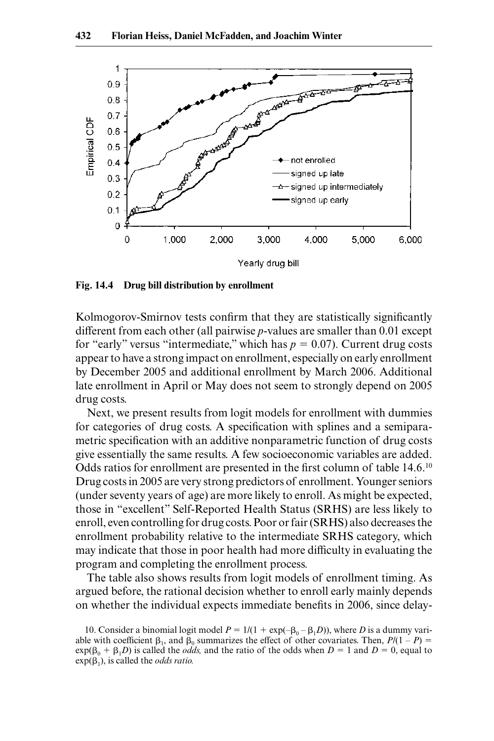

**Fig. 14.4 Drug bill distribution by enrollment**

Kolmogorov-Smirnov tests confirm that they are statistically significantly different from each other (all pairwise *p*- values are smaller than 0.01 except for "early" versus "intermediate," which has  $p = 0.07$ ). Current drug costs appear to have a strong impact on enrollment, especially on early enrollment by December 2005 and additional enrollment by March 2006. Additional late enrollment in April or May does not seem to strongly depend on 2005 drug costs.

Next, we present results from logit models for enrollment with dummies for categories of drug costs. A specification with splines and a semiparametric specification with an additive nonparametric function of drug costs give essentially the same results. A few socioeconomic variables are added. Odds ratios for enrollment are presented in the first column of table  $14.6$ <sup>10</sup> Drug costs in 2005 are very strong predictors of enrollment. Younger seniors (under seventy years of age) are more likely to enroll. As might be expected, those in "excellent" Self- Reported Health Status (SRHS) are less likely to enroll, even controlling for drug costs. Poor or fair (SRHS) also decreases the enrollment probability relative to the intermediate SRHS category, which may indicate that those in poor health had more difficulty in evaluating the program and completing the enrollment process.

The table also shows results from logit models of enrollment timing. As argued before, the rational decision whether to enroll early mainly depends on whether the individual expects immediate benefits in 2006, since delay-

<sup>10.</sup> Consider a binomial logit model  $P = 1/(1 + \exp(-\beta_0 - \beta_1 D))$ , where *D* is a dummy variable with coefficient  $\beta_1$ , and  $\beta_0$  summarizes the effect of other covariates. Then,  $P/(1 - P) =$  $exp(\beta_0 + \beta_1 D)$  is called the *odds*, and the ratio of the odds when  $D = 1$  and  $D = 0$ , equal to  $exp(\beta_1)$ , is called the *odds ratio*.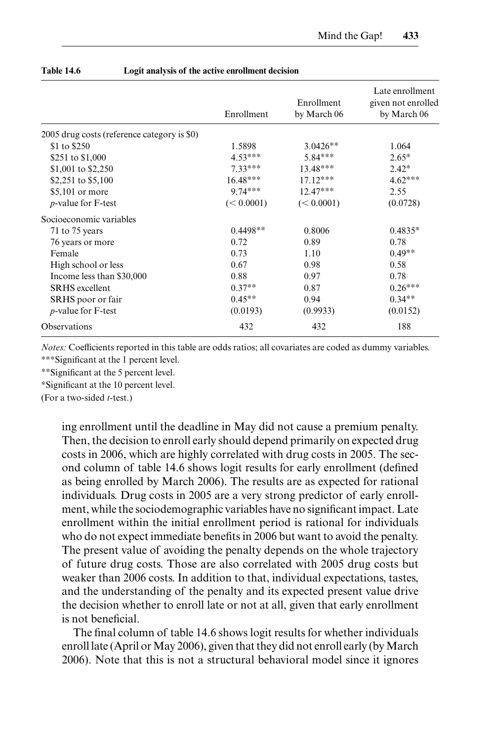|                                             | Enrollment | Enrollment<br>by March 06 | Late enrollment<br>given not enrolled<br>by March 06 |
|---------------------------------------------|------------|---------------------------|------------------------------------------------------|
| 2005 drug costs (reference category is \$0) |            |                           |                                                      |
| \$1 to \$250                                | 1.5898     | $3.0426**$                | 1.064                                                |
| \$251 to \$1,000                            | $4.53***$  | $5.84***$                 | $2.65*$                                              |
| \$1,001 to \$2,250                          | $7.33***$  | $13.48***$                | $2.42*$                                              |
| \$2,251 to \$5,100                          | $16.48***$ | $17.12***$                | $4.62***$                                            |
| \$5,101 or more                             | $9.74***$  | $12.47***$                | 2.55                                                 |
| $p$ -value for F-test                       | (< 0.0001) | (< 0.0001)                | (0.0728)                                             |
| Socioeconomic variables                     |            |                           |                                                      |
| 71 to 75 years                              | $0.4498**$ | 0.8006                    | $0.4835*$                                            |
| 76 years or more                            | 0.72       | 0.89                      | 0.78                                                 |
| Female                                      | 0.73       | 1.10                      | $0.49**$                                             |
| High school or less                         | 0.67       | 0.98                      | 0.58                                                 |
| Income less than \$30,000                   | 0.88       | 0.97                      | 0.78                                                 |
| <b>SRHS</b> excellent                       | $0.37**$   | 0.87                      | $0.26***$                                            |
| SRHS poor or fair                           | $0.45**$   | 0.94                      | $0.34**$                                             |
| $p$ -value for F-test                       | (0.0193)   | (0.9933)                  | (0.0152)                                             |
| Observations                                | 432        | 432                       | 188                                                  |

#### **Table 14.6 Logit analysis of the active enrollment decision**

*Notes:* Coefficients reported in this table are odds ratios; all covariates are coded as dummy variables. ∗∗∗Signifi cant at the 1 percent level.

∗∗Signifi cant at the 5 percent level.

∗Signifi cant at the 10 percent level.

(For a two- sided *t*- test.)

ing enrollment until the deadline in May did not cause a premium penalty. Then, the decision to enroll early should depend primarily on expected drug costs in 2006, which are highly correlated with drug costs in 2005. The second column of table 14.6 shows logit results for early enrollment (defined as being enrolled by March 2006). The results are as expected for rational individuals. Drug costs in 2005 are a very strong predictor of early enrollment, while the sociodemographic variables have no significant impact. Late enrollment within the initial enrollment period is rational for individuals who do not expect immediate benefits in 2006 but want to avoid the penalty. The present value of avoiding the penalty depends on the whole trajectory of future drug costs. Those are also correlated with 2005 drug costs but weaker than 2006 costs. In addition to that, individual expectations, tastes, and the understanding of the penalty and its expected present value drive the decision whether to enroll late or not at all, given that early enrollment is not beneficial.

The final column of table 14.6 shows logit results for whether individuals enroll late (April or May 2006), given that they did not enroll early (by March 2006). Note that this is not a structural behavioral model since it ignores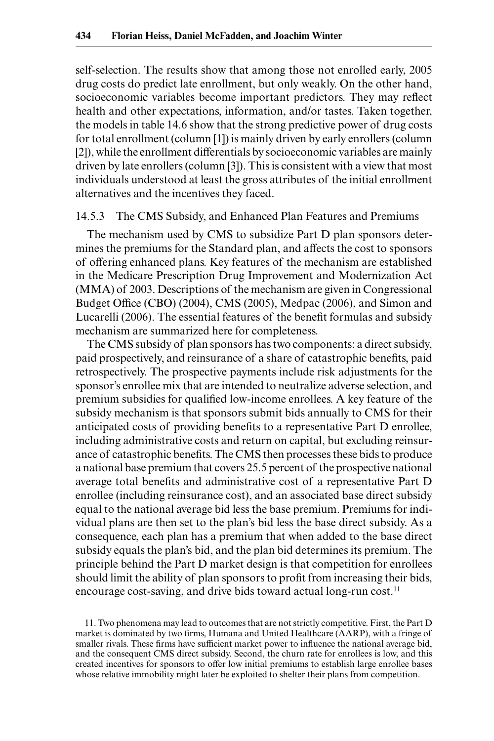self- selection. The results show that among those not enrolled early, 2005 drug costs do predict late enrollment, but only weakly. On the other hand, socioeconomic variables become important predictors. They may reflect health and other expectations, information, and/or tastes. Taken together, the models in table 14.6 show that the strong predictive power of drug costs for total enrollment (column [1]) is mainly driven by early enrollers (column [2]), while the enrollment differentials by socioeconomic variables are mainly driven by late enrollers (column [3]). This is consistent with a view that most individuals understood at least the gross attributes of the initial enrollment alternatives and the incentives they faced.

# 14.5.3 The CMS Subsidy, and Enhanced Plan Features and Premiums

The mechanism used by CMS to subsidize Part D plan sponsors determines the premiums for the Standard plan, and affects the cost to sponsors of offering enhanced plans. Key features of the mechanism are established in the Medicare Prescription Drug Improvement and Modernization Act (MMA) of 2003. Descriptions of the mechanism are given in Congressional Budget Office (CBO) (2004), CMS (2005), Medpac (2006), and Simon and Lucarelli (2006). The essential features of the benefit formulas and subsidy mechanism are summarized here for completeness.

The CMS subsidy of plan sponsors has two components: a direct subsidy, paid prospectively, and reinsurance of a share of catastrophic benefits, paid retrospectively. The prospective payments include risk adjustments for the sponsor's enrollee mix that are intended to neutralize adverse selection, and premium subsidies for qualified low-income enrollees. A key feature of the subsidy mechanism is that sponsors submit bids annually to CMS for their anticipated costs of providing benefits to a representative Part D enrollee, including administrative costs and return on capital, but excluding reinsurance of catastrophic benefits. The CMS then processes these bids to produce a national base premium that covers 25.5 percent of the prospective national average total benefits and administrative cost of a representative Part D enrollee (including reinsurance cost), and an associated base direct subsidy equal to the national average bid less the base premium. Premiums for individual plans are then set to the plan's bid less the base direct subsidy. As a consequence, each plan has a premium that when added to the base direct subsidy equals the plan's bid, and the plan bid determines its premium. The principle behind the Part D market design is that competition for enrollees should limit the ability of plan sponsors to profit from increasing their bids, encourage cost-saving, and drive bids toward actual long-run cost.<sup>11</sup>

11. Two phenomena may lead to outcomes that are not strictly competitive. First, the Part D market is dominated by two firms, Humana and United Healthcare (AARP), with a fringe of smaller rivals. These firms have sufficient market power to influence the national average bid, and the consequent CMS direct subsidy. Second, the churn rate for enrollees is low, and this created incentives for sponsors to offer low initial premiums to establish large enrollee bases whose relative immobility might later be exploited to shelter their plans from competition.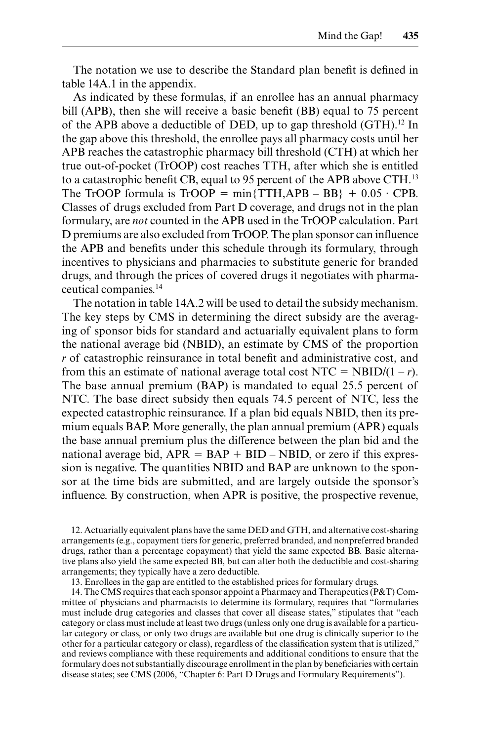The notation we use to describe the Standard plan benefit is defined in table 14A.1 in the appendix.

As indicated by these formulas, if an enrollee has an annual pharmacy bill (APB), then she will receive a basic benefit (BB) equal to 75 percent of the APB above a deductible of DED, up to gap threshold (GTH).12 In the gap above this threshold, the enrollee pays all pharmacy costs until her APB reaches the catastrophic pharmacy bill threshold (CTH) at which her true out- of- pocket (TrOOP) cost reaches TTH, after which she is entitled to a catastrophic benefit CB, equal to 95 percent of the APB above CTH.<sup>13</sup> The TrOOP formula is TrOOP =  $min{TTH, APB - BB} + 0.05 \cdot CPB$ . Classes of drugs excluded from Part D coverage, and drugs not in the plan formulary, are *not* counted in the APB used in the TrOOP calculation. Part D premiums are also excluded from TrOOP. The plan sponsor can influence the APB and benefits under this schedule through its formulary, through incentives to physicians and pharmacies to substitute generic for branded drugs, and through the prices of covered drugs it negotiates with pharmaceutical companies.14

The notation in table 14A.2 will be used to detail the subsidy mechanism. The key steps by CMS in determining the direct subsidy are the averaging of sponsor bids for standard and actuarially equivalent plans to form the national average bid (NBID), an estimate by CMS of the proportion *r* of catastrophic reinsurance in total benefit and administrative cost, and from this an estimate of national average total cost  $NTC = NBID/(1 - r)$ . The base annual premium (BAP) is mandated to equal 25.5 percent of NTC. The base direct subsidy then equals 74.5 percent of NTC, less the expected catastrophic reinsurance. If a plan bid equals NBID, then its premium equals BAP. More generally, the plan annual premium (APR) equals the base annual premium plus the difference between the plan bid and the national average bid,  $APR = BAP + BID - NBID$ , or zero if this expression is negative. The quantities NBID and BAP are unknown to the sponsor at the time bids are submitted, and are largely outside the sponsor's influence. By construction, when APR is positive, the prospective revenue,

12. Actuarially equivalent plans have the same DED and GTH, and alternative cost- sharing arrangements (e.g., copayment tiers for generic, preferred branded, and nonpreferred branded drugs, rather than a percentage copayment) that yield the same expected BB. Basic alternative plans also yield the same expected BB, but can alter both the deductible and cost- sharing arrangements; they typically have a zero deductible.

13. Enrollees in the gap are entitled to the established prices for formulary drugs.

14. The CMS requires that each sponsor appoint a Pharmacy and Therapeutics (P&T) Committee of physicians and pharmacists to determine its formulary, requires that "formularies must include drug categories and classes that cover all disease states," stipulates that "each category or class must include at least two drugs (unless only one drug is available for a particular category or class, or only two drugs are available but one drug is clinically superior to the other for a particular category or class), regardless of the classification system that is utilized," and reviews compliance with these requirements and additional conditions to ensure that the formulary does not substantially discourage enrollment in the plan by beneficiaries with certain disease states; see CMS (2006, "Chapter 6: Part D Drugs and Formulary Requirements").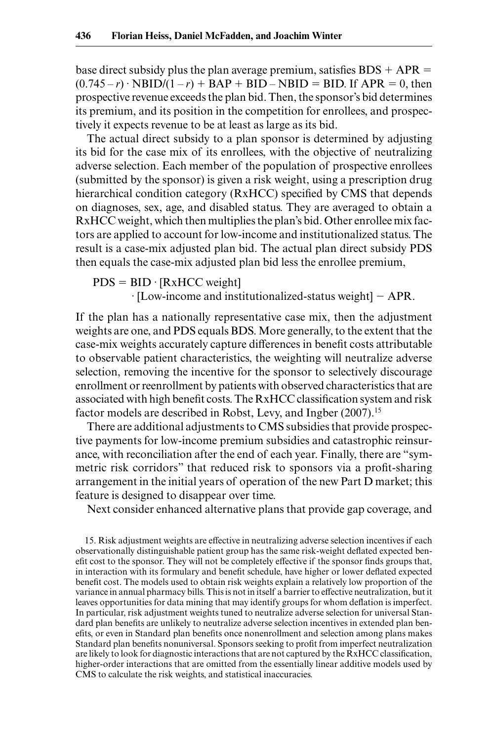base direct subsidy plus the plan average premium, satisfies  $BDS + APR =$  $(0.745 - r) \cdot NBID/(1 - r) + BAP + BID - NBID = BID$ . If APR = 0, then prospective revenue exceeds the plan bid. Then, the sponsor's bid determines its premium, and its position in the competition for enrollees, and prospectively it expects revenue to be at least as large as its bid.

The actual direct subsidy to a plan sponsor is determined by adjusting its bid for the case mix of its enrollees, with the objective of neutralizing adverse selection. Each member of the population of prospective enrollees (submitted by the sponsor) is given a risk weight, using a prescription drug hierarchical condition category (RxHCC) specified by CMS that depends on diagnoses, sex, age, and disabled status. They are averaged to obtain a RxHCC weight, which then multiplies the plan's bid. Other enrollee mix factors are applied to account for low- income and institutionalized status. The result is a case-mix adjusted plan bid. The actual plan direct subsidy PDS then equals the case- mix adjusted plan bid less the enrollee premium,

 $PDS = BID \cdot [RxHCC weight]$  $\cdot$  [Low-income and institutionalized-status weight]  $-$  APR.

If the plan has a nationally representative case mix, then the adjustment weights are one, and PDS equals BDS. More generally, to the extent that the case-mix weights accurately capture differences in benefit costs attributable to observable patient characteristics, the weighting will neutralize adverse selection, removing the incentive for the sponsor to selectively discourage enrollment or reenrollment by patients with observed characteristics that are associated with high benefit costs. The RxHCC classification system and risk factor models are described in Robst, Levy, and Ingber (2007).<sup>15</sup>

There are additional adjustments to CMS subsidies that provide prospective payments for low- income premium subsidies and catastrophic reinsurance, with reconciliation after the end of each year. Finally, there are "symmetric risk corridors" that reduced risk to sponsors via a profit-sharing arrangement in the initial years of operation of the new Part D market; this feature is designed to disappear over time.

Next consider enhanced alternative plans that provide gap coverage, and

15. Risk adjustment weights are effective in neutralizing adverse selection incentives if each observationally distinguishable patient group has the same risk-weight deflated expected benefit cost to the sponsor. They will not be completely effective if the sponsor finds groups that, in interaction with its formulary and benefit schedule, have higher or lower deflated expected benefit cost. The models used to obtain risk weights explain a relatively low proportion of the variance in annual pharmacy bills. This is not in itself a barrier to effective neutralization, but it leaves opportunities for data mining that may identify groups for whom deflation is imperfect. In particular, risk adjustment weights tuned to neutralize adverse selection for universal Standard plan benefits are unlikely to neutralize adverse selection incentives in extended plan benefits, or even in Standard plan benefits once nonenrollment and selection among plans makes Standard plan benefits nonuniversal. Sponsors seeking to profit from imperfect neutralization are likely to look for diagnostic interactions that are not captured by the RxHCC classification, higher- order interactions that are omitted from the essentially linear additive models used by CMS to calculate the risk weights, and statistical inaccuracies.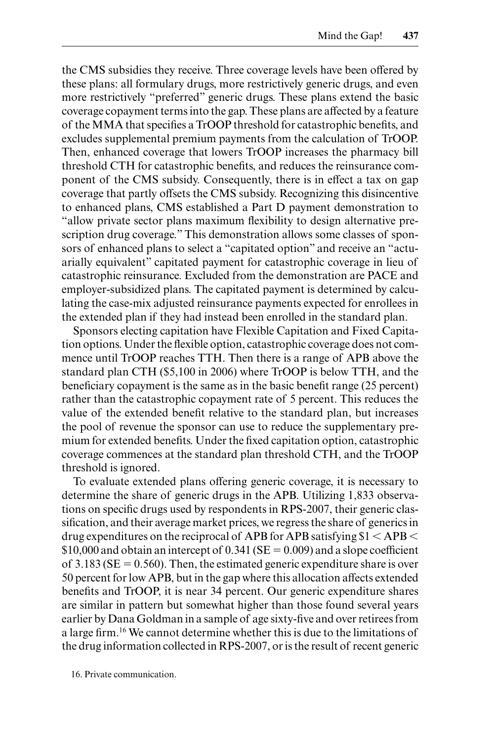the CMS subsidies they receive. Three coverage levels have been offered by these plans: all formulary drugs, more restrictively generic drugs, and even more restrictively "preferred" generic drugs. These plans extend the basic coverage copayment terms into the gap. These plans are affected by a feature of the MMA that specifies a TrOOP threshold for catastrophic benefits, and excludes supplemental premium payments from the calculation of TrOOP. Then, enhanced coverage that lowers TrOOP increases the pharmacy bill threshold CTH for catastrophic benefits, and reduces the reinsurance component of the CMS subsidy. Consequently, there is in effect a tax on gap coverage that partly offsets the CMS subsidy. Recognizing this disincentive to enhanced plans, CMS established a Part D payment demonstration to "allow private sector plans maximum flexibility to design alternative prescription drug coverage." This demonstration allows some classes of sponsors of enhanced plans to select a "capitated option" and receive an "actuarially equivalent" capitated payment for catastrophic coverage in lieu of catastrophic reinsurance. Excluded from the demonstration are PACE and employer- subsidized plans. The capitated payment is determined by calculating the case- mix adjusted reinsurance payments expected for enrollees in the extended plan if they had instead been enrolled in the standard plan.

Sponsors electing capitation have Flexible Capitation and Fixed Capitation options. Under the flexible option, catastrophic coverage does not commence until TrOOP reaches TTH. Then there is a range of APB above the standard plan CTH (\$5,100 in 2006) where TrOOP is below TTH, and the beneficiary copayment is the same as in the basic benefit range (25 percent) rather than the catastrophic copayment rate of 5 percent. This reduces the value of the extended benefit relative to the standard plan, but increases the pool of revenue the sponsor can use to reduce the supplementary premium for extended benefits. Under the fixed capitation option, catastrophic coverage commences at the standard plan threshold CTH, and the TrOOP threshold is ignored.

To evaluate extended plans offering generic coverage, it is necessary to determine the share of generic drugs in the APB. Utilizing 1,833 observations on specific drugs used by respondents in RPS-2007, their generic classification, and their average market prices, we regress the share of generics in drug expenditures on the reciprocal of APB for APB satisfying  $1 <$  APB  $<$ \$10,000 and obtain an intercept of  $0.341$  (SE = 0.009) and a slope coefficient of  $3.183$  (SE = 0.560). Then, the estimated generic expenditure share is over 50 percent for low APB, but in the gap where this allocation affects extended benefits and TrOOP, it is near 34 percent. Our generic expenditure shares are similar in pattern but somewhat higher than those found several years earlier by Dana Goldman in a sample of age sixty-five and over retirees from a large firm.<sup>16</sup> We cannot determine whether this is due to the limitations of the drug information collected in RPS- 2007, or is the result of recent generic

16. Private communication.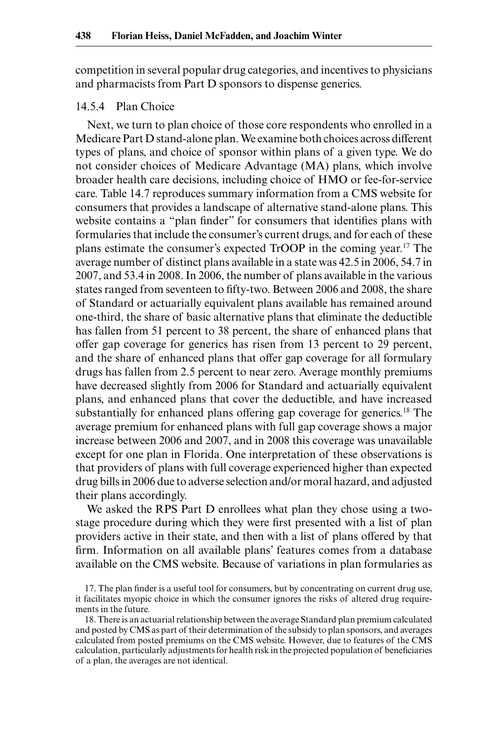competition in several popular drug categories, and incentives to physicians and pharmacists from Part D sponsors to dispense generics.

## 14.5.4 Plan Choice

Next, we turn to plan choice of those core respondents who enrolled in a Medicare Part D stand-alone plan. We examine both choices across different types of plans, and choice of sponsor within plans of a given type. We do not consider choices of Medicare Advantage (MA) plans, which involve broader health care decisions, including choice of HMO or fee-for-service care. Table 14.7 reproduces summary information from a CMS website for consumers that provides a landscape of alternative stand- alone plans. This website contains a "plan finder" for consumers that identifies plans with formularies that include the consumer's current drugs, and for each of these plans estimate the consumer's expected TrOOP in the coming year.17 The average number of distinct plans available in a state was 42.5 in 2006, 54.7 in 2007, and 53.4 in 2008. In 2006, the number of plans available in the various states ranged from seventeen to fifty-two. Between 2006 and 2008, the share of Standard or actuarially equivalent plans available has remained around one- third, the share of basic alternative plans that eliminate the deductible has fallen from 51 percent to 38 percent, the share of enhanced plans that offer gap coverage for generics has risen from 13 percent to 29 percent, and the share of enhanced plans that offer gap coverage for all formulary drugs has fallen from 2.5 percent to near zero. Average monthly premiums have decreased slightly from 2006 for Standard and actuarially equivalent plans, and enhanced plans that cover the deductible, and have increased substantially for enhanced plans offering gap coverage for generics.<sup>18</sup> The average premium for enhanced plans with full gap coverage shows a major increase between 2006 and 2007, and in 2008 this coverage was unavailable except for one plan in Florida. One interpretation of these observations is that providers of plans with full coverage experienced higher than expected drug bills in 2006 due to adverse selection and/or moral hazard, and adjusted their plans accordingly.

We asked the RPS Part D enrollees what plan they chose using a two stage procedure during which they were first presented with a list of plan providers active in their state, and then with a list of plans offered by that firm. Information on all available plans' features comes from a database available on the CMS website. Because of variations in plan formularies as

<sup>17.</sup> The plan finder is a useful tool for consumers, but by concentrating on current drug use, it facilitates myopic choice in which the consumer ignores the risks of altered drug requirements in the future.

<sup>18.</sup> There is an actuarial relationship between the average Standard plan premium calculated and posted by CMS as part of their determination of the subsidy to plan sponsors, and averages calculated from posted premiums on the CMS website. However, due to features of the CMS calculation, particularly adjustments for health risk in the projected population of beneficiaries of a plan, the averages are not identical.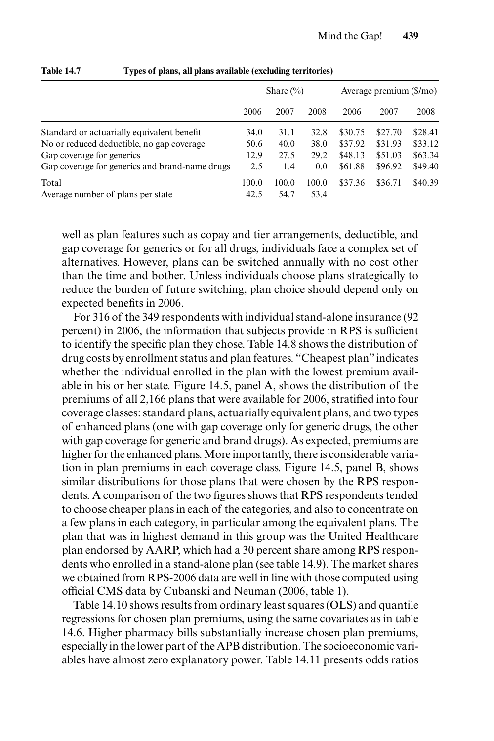|                                                |       | Share $(\% )$ |       |         | Average premium (\$/mo) |         |
|------------------------------------------------|-------|---------------|-------|---------|-------------------------|---------|
|                                                | 2006  | 2007          | 2008  | 2006    | 2007                    | 2008    |
| Standard or actuarially equivalent benefit     | 34.0  | 31.1          | 32.8  | \$30.75 | \$27.70                 | \$28.41 |
| No or reduced deductible, no gap coverage      | 50.6  | 40.0          | 38.0  | \$37.92 | \$31.93                 | \$33.12 |
| Gap coverage for generics                      | 12.9  | 27.5          | 29.2  | \$48.13 | \$51.03                 | \$63.34 |
| Gap coverage for generics and brand-name drugs | 2.5   | 1.4           | 0.0   | \$61.88 | \$96.92                 | \$49.40 |
| Total                                          | 100.0 | 100.0         | 100.0 | \$37.36 | \$36.71                 | \$40.39 |
| Average number of plans per state              | 42.5  | 54.7          | 53.4  |         |                         |         |

#### **Table 14.7 Types of plans, all plans available (excluding territories)**

well as plan features such as copay and tier arrangements, deductible, and gap coverage for generics or for all drugs, individuals face a complex set of alternatives. However, plans can be switched annually with no cost other than the time and bother. Unless individuals choose plans strategically to reduce the burden of future switching, plan choice should depend only on expected benefits in 2006.

For 316 of the 349 respondents with individual stand- alone insurance (92 percent) in 2006, the information that subjects provide in RPS is sufficient to identify the specific plan they chose. Table 14.8 shows the distribution of drug costs by enrollment status and plan features. "Cheapest plan" indicates whether the individual enrolled in the plan with the lowest premium available in his or her state. Figure 14.5, panel A, shows the distribution of the premiums of all 2,166 plans that were available for 2006, stratified into four coverage classes: standard plans, actuarially equivalent plans, and two types of enhanced plans (one with gap coverage only for generic drugs, the other with gap coverage for generic and brand drugs). As expected, premiums are higher for the enhanced plans. More importantly, there is considerable variation in plan premiums in each coverage class. Figure 14.5, panel B, shows similar distributions for those plans that were chosen by the RPS respondents. A comparison of the two figures shows that RPS respondents tended to choose cheaper plans in each of the categories, and also to concentrate on a few plans in each category, in particular among the equivalent plans. The plan that was in highest demand in this group was the United Healthcare plan endorsed by AARP, which had a 30 percent share among RPS respondents who enrolled in a stand-alone plan (see table 14.9). The market shares we obtained from RPS-2006 data are well in line with those computed using official CMS data by Cubanski and Neuman (2006, table 1).

Table 14.10 shows results from ordinary least squares (OLS) and quantile regressions for chosen plan premiums, using the same covariates as in table 14.6. Higher pharmacy bills substantially increase chosen plan premiums, especially in the lower part of the APB distribution. The socioeconomic variables have almost zero explanatory power. Table 14.11 presents odds ratios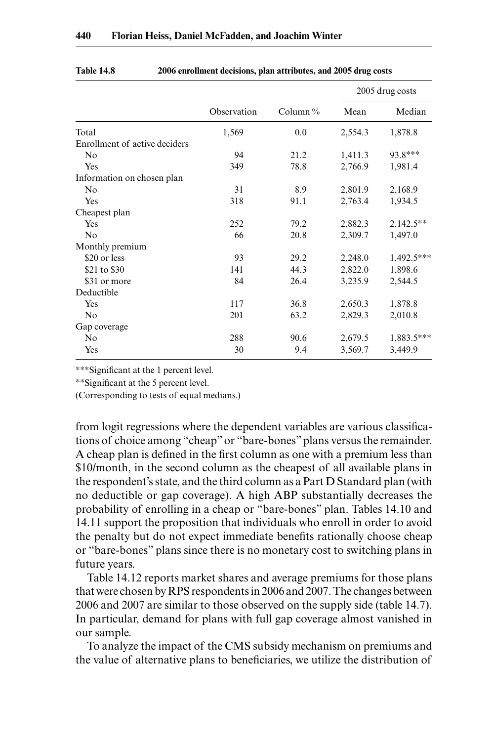|                               |             |             |         | 2005 drug costs |
|-------------------------------|-------------|-------------|---------|-----------------|
|                               | Observation | Column $\%$ | Mean    | Median          |
| Total                         | 1,569       | 0.0         | 2,554.3 | 1,878.8         |
| Enrollment of active deciders |             |             |         |                 |
| N <sub>0</sub>                | 94          | 21.2        | 1,411.3 | 93.8***         |
| Yes                           | 349         | 78.8        | 2,766.9 | 1,981.4         |
| Information on chosen plan    |             |             |         |                 |
| No                            | 31          | 8.9         | 2,801.9 | 2,168.9         |
| Yes                           | 318         | 91.1        | 2,763.4 | 1,934.5         |
| Cheapest plan                 |             |             |         |                 |
| Yes                           | 252         | 79.2        | 2,882.3 | $2,142.5**$     |
| No                            | 66          | 20.8        | 2,309.7 | 1,497.0         |
| Monthly premium               |             |             |         |                 |
| \$20 or less                  | 93          | 29.2        | 2,248.0 | 1,492.5***      |
| \$21 to \$30                  | 141         | 44.3        | 2,822.0 | 1,898.6         |
| \$31 or more                  | 84          | 26.4        | 3,235.9 | 2,544.5         |
| Deductible                    |             |             |         |                 |
| Yes                           | 117         | 36.8        | 2,650.3 | 1,878.8         |
| No                            | 201         | 63.2        | 2,829.3 | 2,010.8         |
| Gap coverage                  |             |             |         |                 |
| No                            | 288         | 90.6        | 2,679.5 | 1,883.5***      |
| Yes                           | 30          | 9.4         | 3,569.7 | 3,449.9         |

#### **Table 14.8 2006 enrollment decisions, plan attributes, and 2005 drug costs**

∗∗∗Signifi cant at the 1 percent level.

∗∗Signifi cant at the 5 percent level.

(Corresponding to tests of equal medians.)

from logit regressions where the dependent variables are various classifications of choice among "cheap" or "bare- bones" plans versus the remainder. A cheap plan is defined in the first column as one with a premium less than \$10/ month, in the second column as the cheapest of all available plans in the respondent's state, and the third column as a Part D Standard plan (with no deductible or gap coverage). A high ABP substantially decreases the probability of enrolling in a cheap or "bare- bones" plan. Tables 14.10 and 14.11 support the proposition that individuals who enroll in order to avoid the penalty but do not expect immediate benefits rationally choose cheap or "bare- bones" plans since there is no monetary cost to switching plans in future years.

Table 14.12 reports market shares and average premiums for those plans that were chosen by RPS respondents in 2006 and 2007. The changes between 2006 and 2007 are similar to those observed on the supply side (table 14.7). In particular, demand for plans with full gap coverage almost vanished in our sample.

To analyze the impact of the CMS subsidy mechanism on premiums and the value of alternative plans to beneficiaries, we utilize the distribution of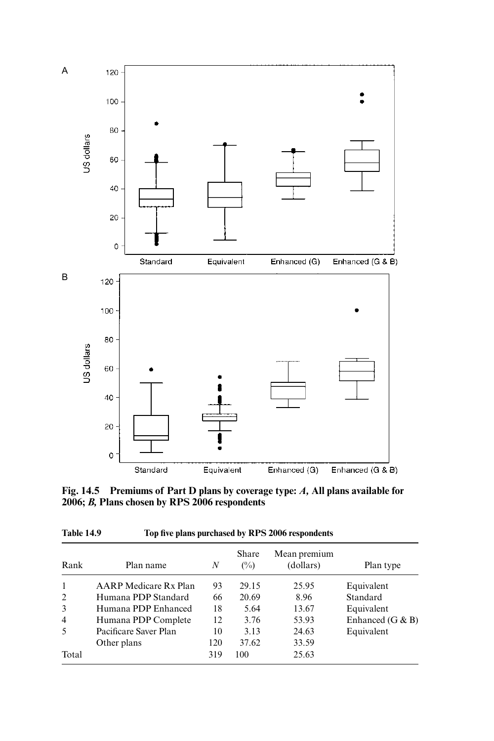

**Fig. 14.5 Premiums of Part D plans by coverage type:** *A,* **All plans available for 2006;** *B,* **Plans chosen by RPS 2006 respondents**

| Table 14.9 |  |  | Top five plans purchased by RPS 2006 respondents |  |  |  |  |
|------------|--|--|--------------------------------------------------|--|--|--|--|
|------------|--|--|--------------------------------------------------|--|--|--|--|

| Rank           | Plan name             | $\boldsymbol{N}$ | Share<br>$(\%)$ | Mean premium<br>(dollars) | Plan type          |
|----------------|-----------------------|------------------|-----------------|---------------------------|--------------------|
| -1             | AARP Medicare Rx Plan | 93               | 29.15           | 25.95                     | Equivalent         |
| 2              | Humana PDP Standard   | 66               | 20.69           | 8.96                      | Standard           |
| 3              | Humana PDP Enhanced   | 18               | 5.64            | 13.67                     | Equivalent         |
| $\overline{4}$ | Humana PDP Complete   | 12               | 3.76            | 53.93                     | Enhanced $(G & B)$ |
| 5              | Pacificare Saver Plan | 10               | 3.13            | 24.63                     | Equivalent         |
|                | Other plans           | 120              | 37.62           | 33.59                     |                    |
| Total          |                       | 319              | 100             | 25.63                     |                    |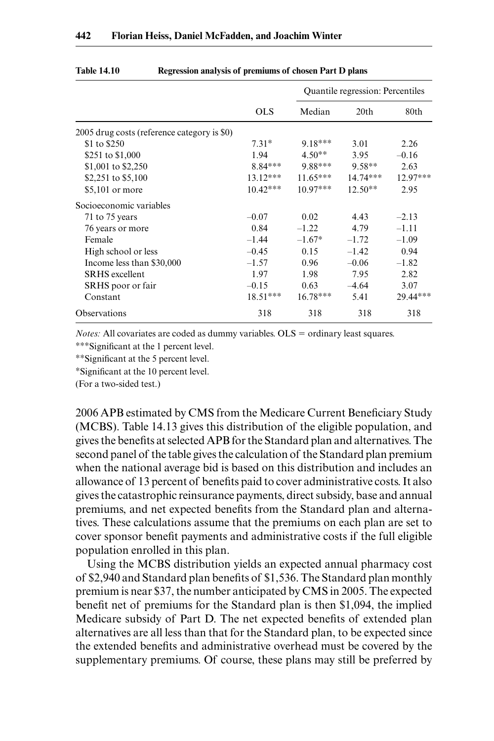|                                             |            |            | Quantile regression: Percentiles |            |
|---------------------------------------------|------------|------------|----------------------------------|------------|
|                                             | <b>OLS</b> | Median     | 20th                             | 80th       |
| 2005 drug costs (reference category is \$0) |            |            |                                  |            |
| \$1 to \$250                                | $7.31*$    | $9.18***$  | 3.01                             | 2.26       |
| \$251 to \$1,000                            | 1.94       | $4.50**$   | 3.95                             | $-0.16$    |
| \$1,001 to \$2,250                          | $8.84***$  | $9.88***$  | $9.58**$                         | 2.63       |
| \$2,251 to \$5,100                          | $13.12***$ | $11.65***$ | $14.74***$                       | $12.97***$ |
| \$5,101 or more                             | $10.42***$ | $10.97***$ | $12.50**$                        | 2.95       |
| Socioeconomic variables                     |            |            |                                  |            |
| 71 to 75 years                              | $-0.07$    | 0.02       | 4.43                             | $-2.13$    |
| 76 years or more                            | 0.84       | $-1.22$    | 4.79                             | $-1.11$    |
| Female                                      | $-1.44$    | $-1.67*$   | $-1.72$                          | $-1.09$    |
| High school or less                         | $-0.45$    | 0.15       | $-1.42$                          | 0.94       |
| Income less than \$30,000                   | $-1.57$    | 0.96       | $-0.06$                          | $-1.82$    |
| SRHS excellent                              | 1.97       | 1.98       | 7.95                             | 2.82       |
| SRHS poor or fair                           | $-0.15$    | 0.63       | $-4.64$                          | 3.07       |
| Constant                                    | $18.51***$ | $16.78***$ | 5.41                             | 29.44***   |
| <b>Observations</b>                         | 318        | 318        | 318                              | 318        |

#### **Table 14.10 Regression analysis of premiums of chosen Part D plans**

*Notes:* All covariates are coded as dummy variables. OLS = ordinary least squares.

∗∗∗Signifi cant at the 1 percent level.

∗∗Signifi cant at the 5 percent level.

∗Signifi cant at the 10 percent level.

(For a two-sided test.)

2006 APB estimated by CMS from the Medicare Current Beneficiary Study (MCBS). Table 14.13 gives this distribution of the eligible population, and gives the benefits at selected APB for the Standard plan and alternatives. The second panel of the table gives the calculation of the Standard plan premium when the national average bid is based on this distribution and includes an allowance of 13 percent of benefits paid to cover administrative costs. It also gives the catastrophic reinsurance payments, direct subsidy, base and annual premiums, and net expected benefits from the Standard plan and alternatives. These calculations assume that the premiums on each plan are set to cover sponsor benefit payments and administrative costs if the full eligible population enrolled in this plan.

Using the MCBS distribution yields an expected annual pharmacy cost of \$2,940 and Standard plan benefits of \$1,536. The Standard plan monthly premium is near \$37, the number anticipated by CMS in 2005. The expected benefit net of premiums for the Standard plan is then \$1,094, the implied Medicare subsidy of Part D. The net expected benefits of extended plan alternatives are all less than that for the Standard plan, to be expected since the extended benefits and administrative overhead must be covered by the supplementary premiums. Of course, these plans may still be preferred by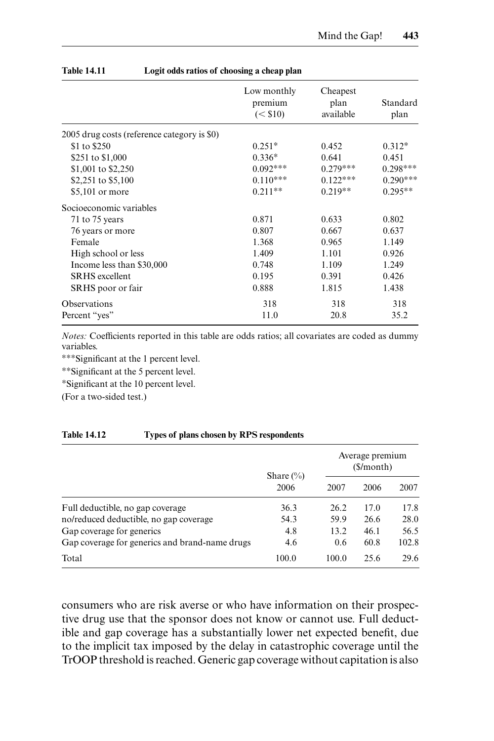|                                             | Low monthly<br>premium<br>(< 10 | Cheapest<br>plan<br>available | Standard<br>plan |
|---------------------------------------------|---------------------------------|-------------------------------|------------------|
| 2005 drug costs (reference category is \$0) |                                 |                               |                  |
| \$1 to \$250                                | $0.251*$                        | 0.452                         | $0.312*$         |
| \$251 to \$1,000                            | $0.336*$                        | 0.641                         | 0.451            |
| \$1,001 to \$2,250                          | $0.092***$                      | $0.279***$                    | $0.298***$       |
| \$2,251 to \$5,100                          | $0.110***$                      | $0.122***$                    | $0.290***$       |
| \$5,101 or more                             | $0.211**$                       | $0.219**$                     | $0.295**$        |
| Socioeconomic variables                     |                                 |                               |                  |
| 71 to 75 years                              | 0.871                           | 0.633                         | 0.802            |
| 76 years or more                            | 0.807                           | 0.667                         | 0.637            |
| Female                                      | 1.368                           | 0.965                         | 1.149            |
| High school or less                         | 1.409                           | 1.101                         | 0.926            |
| Income less than \$30,000                   | 0.748                           | 1.109                         | 1.249            |
| SRHS excellent                              | 0.195                           | 0.391                         | 0.426            |
| SRHS poor or fair                           | 0.888                           | 1.815                         | 1.438            |
| Observations                                | 318                             | 318                           | 318              |
| Percent "yes"                               | 11.0                            | 20.8                          | 35.2             |

#### **Table 14.11 Logit odds ratios of choosing a cheap plan**

*Notes:* Coefficients reported in this table are odds ratios; all covariates are coded as dummy variables.

∗∗∗Signifi cant at the 1 percent level.

∗∗Signifi cant at the 5 percent level.

∗Signifi cant at the 10 percent level.

(For a two-sided test.)

#### **Table 14.12 Types of plans chosen by RPS respondents**

|                                                |                       |       | Average premium<br>(S/month) |       |
|------------------------------------------------|-----------------------|-------|------------------------------|-------|
|                                                | Share $(\% )$<br>2006 | 2007  | 2006                         | 2007  |
| Full deductible, no gap coverage               | 36.3                  | 26.2  | 17.0                         | 17.8  |
| no/reduced deductible, no gap coverage         | 54.3                  | 59.9  | 26.6                         | 28.0  |
| Gap coverage for generics                      | 4.8                   | 13.2  | 46.1                         | 56.5  |
| Gap coverage for generics and brand-name drugs | 4.6                   | 0.6   | 60.8                         | 102.8 |
| Total                                          | 100.0                 | 100.0 | 25.6                         | 29.6  |

consumers who are risk averse or who have information on their prospective drug use that the sponsor does not know or cannot use. Full deductible and gap coverage has a substantially lower net expected benefit, due to the implicit tax imposed by the delay in catastrophic coverage until the TrOOP threshold is reached. Generic gap coverage without capitation is also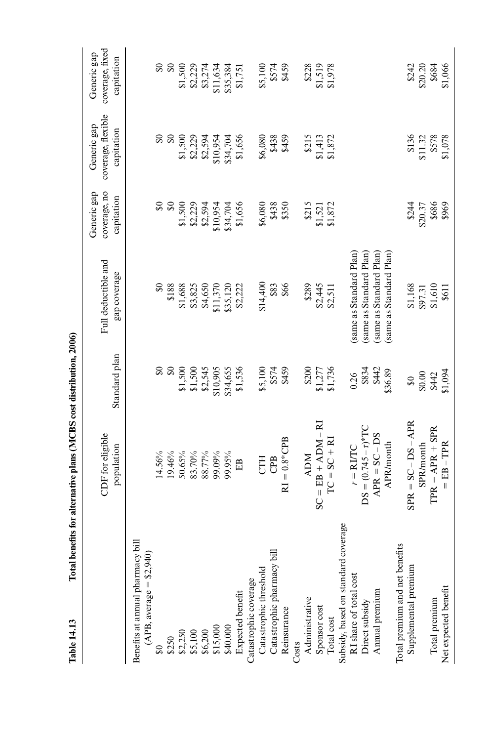|                                                               | CDF for eligible<br>population | Standard plan              | Full deductible and<br>gap coverage | coverage, no<br>Generic gap<br>capitation | coverage, flexible<br>Generic gap<br>capitation                | coverage, fixed<br>Generic gap<br>capitation |
|---------------------------------------------------------------|--------------------------------|----------------------------|-------------------------------------|-------------------------------------------|----------------------------------------------------------------|----------------------------------------------|
| Benefits at annual pharmacy bill<br>$(APB, average = $2,940)$ |                                |                            |                                     |                                           |                                                                |                                              |
| $\mathbf{S}$                                                  | 14.56%                         |                            | $\pmb{\mathcal{S}}$                 |                                           |                                                                | S                                            |
| \$250                                                         | 19.46%                         | $\boldsymbol{\mathcal{S}}$ | \$188                               | $\boldsymbol{\mathcal{S}}$                | $\boldsymbol{\mathcal{S}}$                                     | $\boldsymbol{\mathcal{S}}$                   |
| \$2,250                                                       | 50.65%                         | \$1,500                    | \$1,688                             | \$1,500                                   | \$1,500                                                        | \$1,500                                      |
|                                                               | 83.70%                         | \$1,500                    | \$3,825                             | \$2,229                                   | \$2,229                                                        | \$2,229                                      |
| \$5,100<br>\$6,200                                            | $88.77\%$                      | \$2,545                    | \$4,650                             | \$2,594                                   | \$2,594                                                        | \$3,274                                      |
| \$15,000                                                      | 99.09%                         | \$10,905                   | \$11,370                            | \$10,954                                  | \$10,954                                                       | \$11,634                                     |
| \$40,000                                                      | 99.95%                         | \$34,655                   | \$35,120                            | \$34,704                                  | \$34,704                                                       | \$35,384                                     |
| Expected benefit                                              | $\mathbb{E}$                   | \$1,536                    | \$2,222                             | \$1,656                                   | \$1,656                                                        | \$1,751                                      |
| Catastrophic coverage                                         |                                |                            |                                     |                                           |                                                                |                                              |
| Catastrophic threshold                                        | <b>CTH</b>                     | \$5,100                    | \$14,400                            | \$6,080                                   | \$6,080                                                        | \$5,100                                      |
| Catastrophic pharmacy bill                                    | CPB                            | \$574<br>\$459             | \$83                                | \$438                                     |                                                                | \$574<br>\$459                               |
| Reinsurance                                                   | $RI = 0.8$ *CPB                |                            | \$66                                | \$350                                     | \$438<br>\$459                                                 |                                              |
| Costs                                                         |                                |                            |                                     |                                           |                                                                |                                              |
| Administrative                                                | <b>NOW</b>                     | \$200                      | \$289                               | \$215                                     | \$215                                                          | \$228                                        |
| Sponsor cost                                                  | $SC = EB + ADM - RI$           |                            | \$2,445                             |                                           | $$1,413$<br>$$1,872$                                           |                                              |
| Total cost                                                    | $TC = SC + RI$                 | \$1,277<br>\$1,736         | \$2,511                             | $$1,521$<br>$$1,872$                      |                                                                | \$1,519<br>\$1,978                           |
| Subsidy, based on standard coverage                           |                                |                            |                                     |                                           |                                                                |                                              |
| RI share of total cost                                        | $r = RITC$                     | 0.26                       | same as Standard Plan)              |                                           |                                                                |                                              |
| Direct subsidy                                                | $DS = (0.745 - r)^*TC$         | \$834                      | same as Standard Plan)              |                                           |                                                                |                                              |
| Annual premium                                                | $APR = SC - DS$                | \$442                      | (same as Standard Plan)             |                                           |                                                                |                                              |
|                                                               | <b>APR/month</b>               | \$36.89                    | (same as Standard Plan)             |                                           |                                                                |                                              |
| Total premium and net benefits                                |                                |                            |                                     |                                           |                                                                |                                              |
| Supplemental premium                                          | $SPR = SC - DS - APR$          | $\overline{\mathcal{S}}$   | \$1,168                             | \$244                                     |                                                                | \$242                                        |
|                                                               | <b>SPR/month</b>               | $\$0.00$                   | \$97.31                             | \$20.37                                   |                                                                | \$20.20                                      |
| Total premium                                                 | $TPR = APR + SPR$              | \$442                      | \$1,610                             | \$686                                     |                                                                | \$684                                        |
| Net expected benefit                                          | $=$ EB $-$ TPR                 | \$1,094                    | \$611                               | \$969                                     | $\begin{array}{c} $136 \\ 811.32 \\ $578 \\ $4578 \end{array}$ | \$1,066                                      |
|                                                               |                                |                            |                                     |                                           |                                                                |                                              |

Total benefits for alternative plans (MCBS cost distribution, 2006) Table 14.13 Total benefits for alternative plans (MCBS cost distribution, 2006)

**Table 14.13**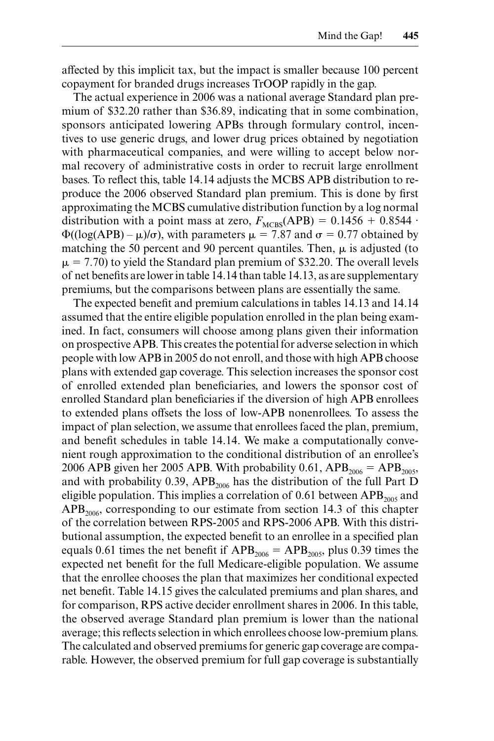affected by this implicit tax, but the impact is smaller because 100 percent copayment for branded drugs increases TrOOP rapidly in the gap.

The actual experience in 2006 was a national average Standard plan premium of \$32.20 rather than \$36.89, indicating that in some combination, sponsors anticipated lowering APBs through formulary control, incentives to use generic drugs, and lower drug prices obtained by negotiation with pharmaceutical companies, and were willing to accept below normal recovery of administrative costs in order to recruit large enrollment bases. To reflect this, table 14.14 adjusts the MCBS APB distribution to reproduce the 2006 observed Standard plan premium. This is done by first approximating the MCBS cumulative distribution function by a log normal distribution with a point mass at zero,  $F_{MCR}(APB) = 0.1456 + 0.8544$  $\Phi((\log (APB) - \mu)/\sigma)$ , with parameters  $\mu = 7.87$  and  $\sigma = 0.77$  obtained by matching the 50 percent and 90 percent quantiles. Then,  $\mu$  is adjusted (to  $\mu$  = 7.70) to yield the Standard plan premium of \$32.20. The overall levels of net benefits are lower in table 14.14 than table 14.13, as are supplementary premiums, but the comparisons between plans are essentially the same.

The expected benefit and premium calculations in tables 14.13 and 14.14 assumed that the entire eligible population enrolled in the plan being examined. In fact, consumers will choose among plans given their information on prospective APB. This creates the potential for adverse selection in which people with low APB in 2005 do not enroll, and those with high APB choose plans with extended gap coverage. This selection increases the sponsor cost of enrolled extended plan beneficiaries, and lowers the sponsor cost of enrolled Standard plan beneficiaries if the diversion of high APB enrollees to extended plans offsets the loss of low- APB nonenrollees. To assess the impact of plan selection, we assume that enrollees faced the plan, premium, and benefit schedules in table 14.14. We make a computationally convenient rough approximation to the conditional distribution of an enrollee's 2006 APB given her 2005 APB. With probability 0.61,  $APB_{2006} = APB_{2005}$ , and with probability 0.39, APB<sub>2006</sub> has the distribution of the full Part D eligible population. This implies a correlation of 0.61 between  $APB<sub>2005</sub>$  and  $APB<sub>2006</sub>$ , corresponding to our estimate from section 14.3 of this chapter of the correlation between RPS-2005 and RPS-2006 APB. With this distributional assumption, the expected benefit to an enrollee in a specified plan equals 0.61 times the net benefit if  $APB_{2006} = APB_{2005}$ , plus 0.39 times the expected net benefit for the full Medicare-eligible population. We assume that the enrollee chooses the plan that maximizes her conditional expected net benefit. Table 14.15 gives the calculated premiums and plan shares, and for comparison, RPS active decider enrollment shares in 2006. In this table, the observed average Standard plan premium is lower than the national average; this reflects selection in which enrollees choose low-premium plans. The calculated and observed premiums for generic gap coverage are comparable. However, the observed premium for full gap coverage is substantially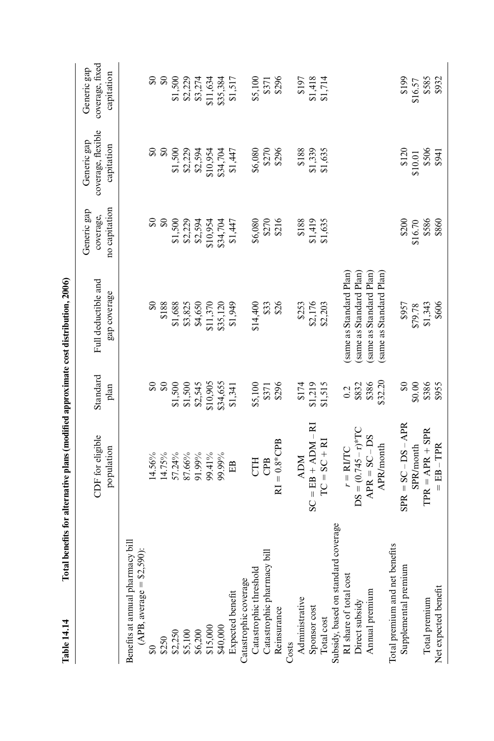|                                         | CDF for eligible<br>population | Standard<br>plan           | Full deductible and<br>gap coverage | no capitation<br>Generic gap<br>coverage, | coverage, flexible<br>Generic gap<br>capitation | coverage, fixed<br>Generic gap<br>capitation |
|-----------------------------------------|--------------------------------|----------------------------|-------------------------------------|-------------------------------------------|-------------------------------------------------|----------------------------------------------|
| Benefits at annual pharmacy bill        |                                |                            |                                     |                                           |                                                 |                                              |
| $(APB, average = $2,590)$ :             |                                |                            |                                     |                                           |                                                 |                                              |
| $\boldsymbol{\mathsf{s}}$               | 14.56%                         |                            | $\boldsymbol{\mathcal{S}}$          |                                           |                                                 | S                                            |
| \$250                                   | 14.75%                         | S                          | \$188                               | S                                         | $\boldsymbol{\mathcal{S}}$                      | $\boldsymbol{\mathcal{S}}$                   |
| \$2,250                                 | 57.24%                         | \$1,500                    | \$1,688                             | \$1,500                                   | \$1,500                                         | \$1,500                                      |
| \$5,100                                 | 87.66%                         | \$1,500                    | \$3,825                             | \$2,229                                   | \$2,229                                         | \$2,229                                      |
| \$6,200                                 | 91.99%                         | \$2,545                    | \$4,650                             | \$2,594                                   | \$2,594                                         | \$3,274                                      |
| \$15,000                                | 99.41%                         | \$10,905                   | \$11,370                            | \$10,954                                  | \$10,954                                        | \$11,634                                     |
| \$40,000                                | 99.99%                         | \$34,655                   | \$35,120                            | \$34,704                                  | \$34,704                                        | \$35,384                                     |
| Expected benefit                        | 岊                              | \$1,341                    | \$1,949                             | \$1,447                                   | \$1,447                                         | \$1,517                                      |
| Catastrophic coverage                   |                                |                            |                                     |                                           |                                                 |                                              |
| Catastrophic threshold                  | <b>ELL</b>                     | \$5,100                    | \$14,400                            | \$6,080                                   | \$6,080                                         | \$5,100                                      |
| cy bill<br>Catastrophic pharma          | <b>CPB</b>                     | \$371                      | \$33                                | \$270                                     | \$270                                           | \$371                                        |
| Reinsurance                             | $RI = 0.8$ *CPB                | \$296                      | \$26                                | \$216                                     | \$296                                           | \$296                                        |
| Costs                                   |                                |                            |                                     |                                           |                                                 |                                              |
| Administrative                          | <b>NOV</b>                     | \$174                      | \$253                               | \$188                                     | \$188                                           | <b>L613</b>                                  |
| Sponsor cost                            | $SC = EB + ADM - RI$           |                            | \$2,176                             |                                           | \$1,339                                         |                                              |
| Total cost                              | $TC = SC + R1$                 | $$1,219$<br>$$1,515$       | \$2,203                             | \$1,419<br>\$1,635                        | \$1,635                                         | $$1,418$<br>$$1,714$                         |
| ard coverage<br>Subsidy, based on stand |                                |                            |                                     |                                           |                                                 |                                              |
| RI share of total cost                  | $r = RITCC$                    | 0.2                        | same as Standard Plan)              |                                           |                                                 |                                              |
| Direct subsidy                          | $DS = (0.745 - r)^*TC$         | \$832                      | same as Standard Plan)              |                                           |                                                 |                                              |
| Annual premium                          | $APR = SC - DS$                | \$386                      | same as Standard Plan)              |                                           |                                                 |                                              |
|                                         | APR/month                      | \$32.20                    | same as Standard Plan)              |                                           |                                                 |                                              |
| penefits<br>Total premium and net       |                                |                            |                                     |                                           |                                                 |                                              |
| 吕<br>Supplemental premiu                | $SPR = SC - DS - APR$          | $\boldsymbol{\mathcal{S}}$ | \$957                               | \$200                                     | \$120                                           | \$199                                        |
|                                         | SPR/month                      | \$0.00                     |                                     |                                           |                                                 |                                              |
| Total premium                           | $TPR = APR + SPR$              | \$386                      | \$79.78<br>\$1,343                  | \$16.70<br>\$586                          | $$10.01$<br>$$506$                              | \$16.57<br>\$585<br>\$932                    |
| Net expected benefit                    | $=$ EB $-$ TPR                 | \$955                      | \$606                               | \$860                                     | \$941                                           |                                              |

Total benefits for alternative plans (modified approximate cost distribution, 2006) Table 14.14 **Total benefits for alternative plans (modified approximate cost distribution, 2006)** 

**Table 14.14**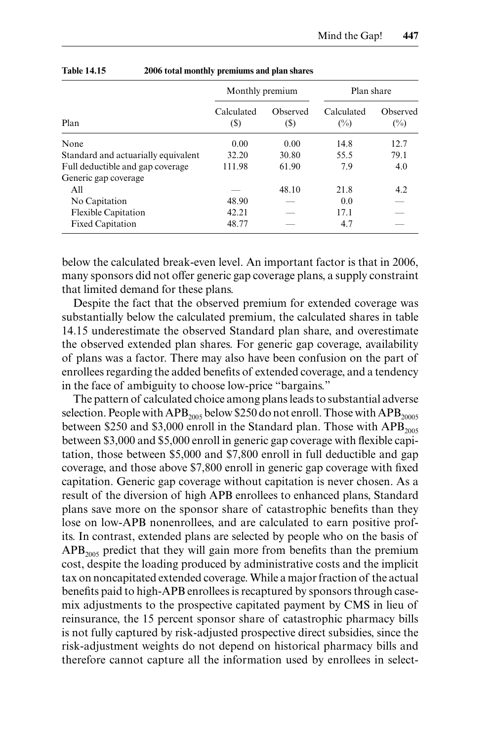|                                     | Monthly premium    |                  | Plan share           |                    |
|-------------------------------------|--------------------|------------------|----------------------|--------------------|
| Plan                                | Calculated<br>(\$) | Observed<br>(\$) | Calculated<br>$(\%)$ | Observed<br>$(\%)$ |
| None                                | 0.00               | 0.00             | 14.8                 | 12.7               |
| Standard and actuarially equivalent | 32.20              | 30.80            | 55.5                 | 79.1               |
| Full deductible and gap coverage    | 111.98             | 61.90            | 7.9                  | 4.0                |
| Generic gap coverage                |                    |                  |                      |                    |
| All                                 |                    | 48.10            | 21.8                 | 4.2                |
| No Capitation                       | 48.90              |                  | 0.0                  |                    |
| <b>Flexible Capitation</b>          | 42.21              |                  | 17.1                 |                    |
| <b>Fixed Capitation</b>             | 48.77              |                  | 4.7                  |                    |

**Table 14.15 2006 total monthly premiums and plan shares**

below the calculated break-even level. An important factor is that in 2006, many sponsors did not offer generic gap coverage plans, a supply constraint that limited demand for these plans.

Despite the fact that the observed premium for extended coverage was substantially below the calculated premium, the calculated shares in table 14.15 underestimate the observed Standard plan share, and overestimate the observed extended plan shares. For generic gap coverage, availability of plans was a factor. There may also have been confusion on the part of enrollees regarding the added benefits of extended coverage, and a tendency in the face of ambiguity to choose low-price "bargains."

The pattern of calculated choice among plans leads to substantial adverse selection. People with  $APB_{2005}$  below \$250 do not enroll. Those with  $APB_{20005}$ between \$250 and \$3,000 enroll in the Standard plan. Those with  $APB_{2005}$ between \$3,000 and \$5,000 enroll in generic gap coverage with flexible capitation, those between \$5,000 and \$7,800 enroll in full deductible and gap coverage, and those above \$7,800 enroll in generic gap coverage with fixed capitation. Generic gap coverage without capitation is never chosen. As a result of the diversion of high APB enrollees to enhanced plans, Standard plans save more on the sponsor share of catastrophic benefits than they lose on low- APB nonenrollees, and are calculated to earn positive profits. In contrast, extended plans are selected by people who on the basis of  $APB<sub>2005</sub>$  predict that they will gain more from benefits than the premium cost, despite the loading produced by administrative costs and the implicit tax on noncapitated extended coverage. While a major fraction of the actual benefits paid to high-APB enrollees is recaptured by sponsors through case mix adjustments to the prospective capitated payment by CMS in lieu of reinsurance, the 15 percent sponsor share of catastrophic pharmacy bills is not fully captured by risk- adjusted prospective direct subsidies, since the risk- adjustment weights do not depend on historical pharmacy bills and therefore cannot capture all the information used by enrollees in select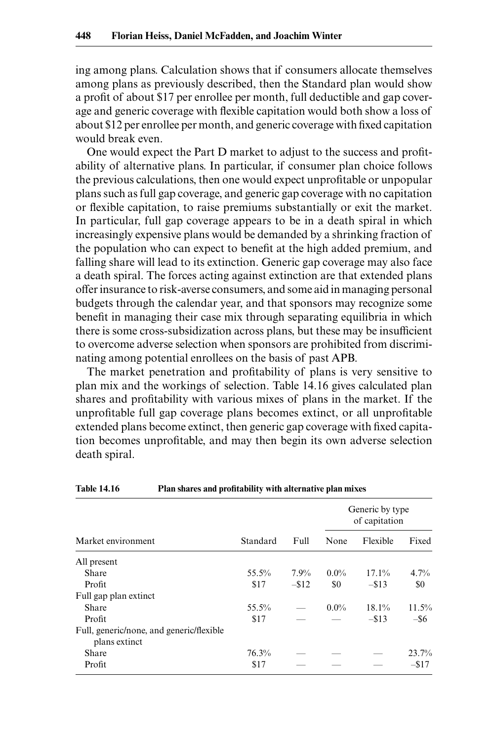ing among plans. Calculation shows that if consumers allocate themselves among plans as previously described, then the Standard plan would show a profit of about \$17 per enrollee per month, full deductible and gap coverage and generic coverage with flexible capitation would both show a loss of about \$12 per enrollee per month, and generic coverage with fixed capitation would break even.

One would expect the Part D market to adjust to the success and profitability of alternative plans. In particular, if consumer plan choice follows the previous calculations, then one would expect unprofitable or unpopular plans such as full gap coverage, and generic gap coverage with no capitation or flexible capitation, to raise premiums substantially or exit the market. In particular, full gap coverage appears to be in a death spiral in which increasingly expensive plans would be demanded by a shrinking fraction of the population who can expect to benefit at the high added premium, and falling share will lead to its extinction. Generic gap coverage may also face a death spiral. The forces acting against extinction are that extended plans offer insurance to risk- averse consumers, and some aid in managing personal budgets through the calendar year, and that sponsors may recognize some benefit in managing their case mix through separating equilibria in which there is some cross- subsidization across plans, but these may be insufficient to overcome adverse selection when sponsors are prohibited from discriminating among potential enrollees on the basis of past APB.

The market penetration and profitability of plans is very sensitive to plan mix and the workings of selection. Table 14.16 gives calculated plan shares and profitability with various mixes of plans in the market. If the unprofitable full gap coverage plans becomes extinct, or all unprofitable extended plans become extinct, then generic gap coverage with fixed capitation becomes unprofitable, and may then begin its own adverse selection death spiral.

|                                                           |          |             |         | Generic by type<br>of capitation |         |
|-----------------------------------------------------------|----------|-------------|---------|----------------------------------|---------|
| Market environment                                        | Standard | <b>Full</b> | None    | Flexible                         | Fixed   |
| All present                                               |          |             |         |                                  |         |
| Share                                                     | 55.5%    | $7.9\%$     | $0.0\%$ | 17.1%                            | 4.7%    |
| Profit                                                    | \$17     | $-1512$     | \$0     | $-$ \$13                         | \$0     |
| Full gap plan extinct                                     |          |             |         |                                  |         |
| Share                                                     | 55.5%    |             | $0.0\%$ | 18.1%                            | 11.5%   |
| Profit                                                    | \$17     |             |         | $-$ \$13                         | $-$ \$6 |
| Full, generic/none, and generic/flexible<br>plans extinct |          |             |         |                                  |         |
| Share                                                     | 76.3%    |             |         |                                  | 23.7%   |
| Profit                                                    | \$17     |             |         |                                  | $-517$  |

#### **Table 14.16 Plan shares and profi tability with alternative plan mixes**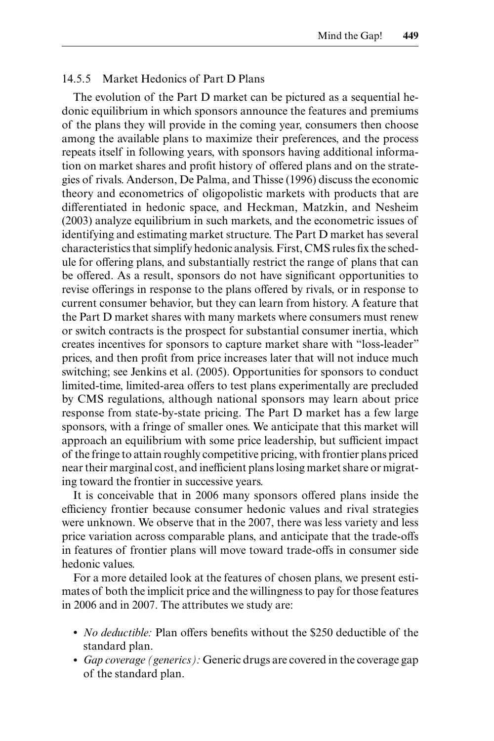# 14.5.5 Market Hedonics of Part D Plans

The evolution of the Part D market can be pictured as a sequential hedonic equilibrium in which sponsors announce the features and premiums of the plans they will provide in the coming year, consumers then choose among the available plans to maximize their preferences, and the process repeats itself in following years, with sponsors having additional information on market shares and profit history of offered plans and on the strategies of rivals. Anderson, De Palma, and Thisse (1996) discuss the economic theory and econometrics of oligopolistic markets with products that are differentiated in hedonic space, and Heckman, Matzkin, and Nesheim (2003) analyze equilibrium in such markets, and the econometric issues of identifying and estimating market structure. The Part D market has several characteristics that simplify hedonic analysis. First, CMS rules fix the schedule for offering plans, and substantially restrict the range of plans that can be offered. As a result, sponsors do not have significant opportunities to revise offerings in response to the plans offered by rivals, or in response to current consumer behavior, but they can learn from history. A feature that the Part D market shares with many markets where consumers must renew or switch contracts is the prospect for substantial consumer inertia, which creates incentives for sponsors to capture market share with "loss- leader" prices, and then profit from price increases later that will not induce much switching; see Jenkins et al. (2005). Opportunities for sponsors to conduct limited-time, limited-area offers to test plans experimentally are precluded by CMS regulations, although national sponsors may learn about price response from state-by-state pricing. The Part D market has a few large sponsors, with a fringe of smaller ones. We anticipate that this market will approach an equilibrium with some price leadership, but sufficient impact of the fringe to attain roughly competitive pricing, with frontier plans priced near their marginal cost, and inefficient plans losing market share or migrating toward the frontier in successive years.

It is conceivable that in 2006 many sponsors offered plans inside the efficiency frontier because consumer hedonic values and rival strategies were unknown. We observe that in the 2007, there was less variety and less price variation across comparable plans, and anticipate that the trade- offs in features of frontier plans will move toward trade- offs in consumer side hedonic values.

For a more detailed look at the features of chosen plans, we present estimates of both the implicit price and the willingness to pay for those features in 2006 and in 2007. The attributes we study are:

- *No deductible:* Plan offers benefits without the \$250 deductible of the standard plan.
- *Gap coverage (generics):* Generic drugs are covered in the coverage gap of the standard plan.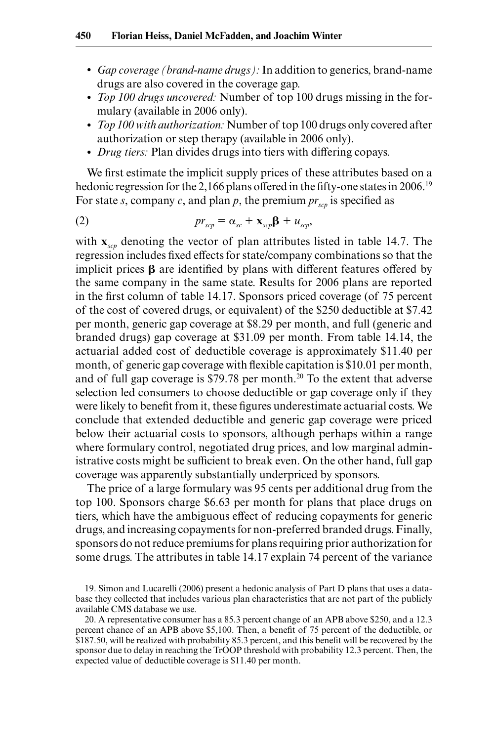- *Gap coverage (brand-name drugs)*: In addition to generics, brand-name drugs are also covered in the coverage gap.
- *Top 100 drugs uncovered:* Number of top 100 drugs missing in the formulary (available in 2006 only).
- *Top 100 with authorization:* Number of top 100 drugs only covered after authorization or step therapy (available in 2006 only).
- *Drug tiers:* Plan divides drugs into tiers with differing copays.

We first estimate the implicit supply prices of these attributes based on a hedonic regression for the 2,166 plans offered in the fifty-one states in 2006.<sup>19</sup> For state *s*, company *c*, and plan  $p$ , the premium  $pr_{\text{gen}}$  is specified as

$$
(2) \t prsep = \alphasc + \mathbf{xsep} \mathbf{\beta} + usep,
$$

with  $\mathbf{x}_{\text{scp}}$  denoting the vector of plan attributes listed in table 14.7. The regression includes fixed effects for state/company combinations so that the implicit prices  $\beta$  are identified by plans with different features offered by the same company in the same state. Results for 2006 plans are reported in the first column of table 14.17. Sponsors priced coverage (of 75 percent of the cost of covered drugs, or equivalent) of the \$250 deductible at \$7.42 per month, generic gap coverage at \$8.29 per month, and full (generic and branded drugs) gap coverage at \$31.09 per month. From table 14.14, the actuarial added cost of deductible coverage is approximately \$11.40 per month, of generic gap coverage with flexible capitation is \$10.01 per month, and of full gap coverage is  $$79.78$  per month.<sup>20</sup> To the extent that adverse selection led consumers to choose deductible or gap coverage only if they were likely to benefit from it, these figures underestimate actuarial costs. We conclude that extended deductible and generic gap coverage were priced below their actuarial costs to sponsors, although perhaps within a range where formulary control, negotiated drug prices, and low marginal administrative costs might be sufficient to break even. On the other hand, full gap coverage was apparently substantially underpriced by sponsors.

The price of a large formulary was 95 cents per additional drug from the top 100. Sponsors charge \$6.63 per month for plans that place drugs on tiers, which have the ambiguous effect of reducing copayments for generic drugs, and increasing copayments for non- preferred branded drugs. Finally, sponsors do not reduce premiums for plans requiring prior authorization for some drugs. The attributes in table 14.17 explain 74 percent of the variance

<sup>19.</sup> Simon and Lucarelli (2006) present a hedonic analysis of Part D plans that uses a database they collected that includes various plan characteristics that are not part of the publicly available CMS database we use.

<sup>20.</sup> A representative consumer has a 85.3 percent change of an APB above \$250, and a 12.3 percent chance of an APB above \$5,100. Then, a benefit of 75 percent of the deductible, or \$187.50, will be realized with probability 85.3 percent, and this benefit will be recovered by the sponsor due to delay in reaching the TrOOP threshold with probability 12.3 percent. Then, the expected value of deductible coverage is \$11.40 per month.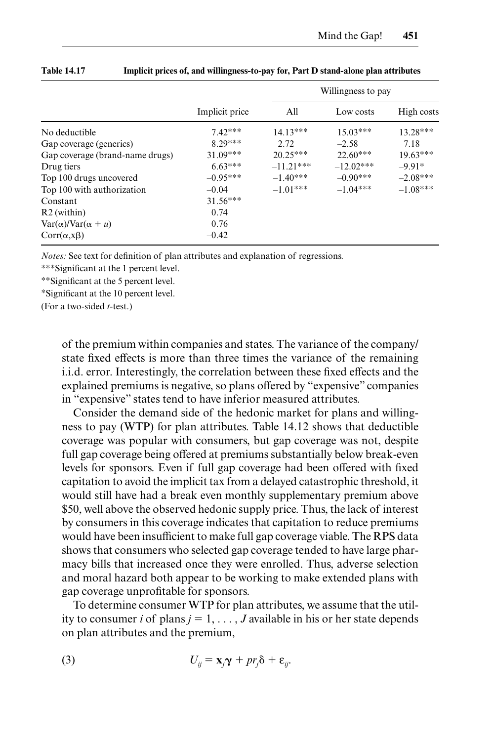|                                             |                |             | Willingness to pay |            |
|---------------------------------------------|----------------|-------------|--------------------|------------|
|                                             | Implicit price | All         | Low costs          | High costs |
| No deductible                               | $7.42***$      | $14.13***$  | $15.03***$         | $13.28***$ |
| Gap coverage (generics)                     | $8.29***$      | 2.72        | $-2.58$            | 7.18       |
| Gap coverage (brand-name drugs)             | $31.09***$     | $20.25***$  | $22.60***$         | $19.63***$ |
| Drug tiers                                  | $6.63***$      | $-11.21***$ | $-12.02***$        | $-9.91*$   |
| Top 100 drugs uncovered                     | $-0.95***$     | $-1.40***$  | $-0.90***$         | $-2.08***$ |
| Top 100 with authorization                  | $-0.04$        | $-1.01***$  | $-1.04***$         | $-1.08***$ |
| Constant                                    | $31.56***$     |             |                    |            |
| $R2$ (within)                               | 0.74           |             |                    |            |
| $\text{Var}(\alpha)/\text{Var}(\alpha + u)$ | 0.76           |             |                    |            |
| $Corr(\alpha, x\beta)$                      | $-0.42$        |             |                    |            |

#### **Table 14.17 Implicit prices of, and willingness- to- pay for, Part D stand- alone plan attributes**

*Notes:* See text for definition of plan attributes and explanation of regressions.

∗∗∗Signifi cant at the 1 percent level.

∗∗Signifi cant at the 5 percent level.

∗Signifi cant at the 10 percent level.

(For a two-sided *t*-test.)

of the premium within companies and states. The variance of the company/ state fixed effects is more than three times the variance of the remaining i.i.d. error. Interestingly, the correlation between these fixed effects and the explained premiums is negative, so plans offered by "expensive" companies in "expensive" states tend to have inferior measured attributes.

Consider the demand side of the hedonic market for plans and willingness to pay (WTP) for plan attributes. Table 14.12 shows that deductible coverage was popular with consumers, but gap coverage was not, despite full gap coverage being offered at premiums substantially below break- even levels for sponsors. Even if full gap coverage had been offered with fixed capitation to avoid the implicit tax from a delayed catastrophic threshold, it would still have had a break even monthly supplementary premium above \$50, well above the observed hedonic supply price. Thus, the lack of interest by consumers in this coverage indicates that capitation to reduce premiums would have been insufficient to make full gap coverage viable. The RPS data shows that consumers who selected gap coverage tended to have large pharmacy bills that increased once they were enrolled. Thus, adverse selection and moral hazard both appear to be working to make extended plans with gap coverage unprofitable for sponsors.

To determine consumer WTP for plan attributes, we assume that the utility to consumer *i* of plans  $j = 1, \ldots, J$  available in his or her state depends on plan attributes and the premium,

(3) 
$$
U_{ij} = \mathbf{x}_j \mathbf{\gamma} + p r_j \delta + \varepsilon_{ij}.
$$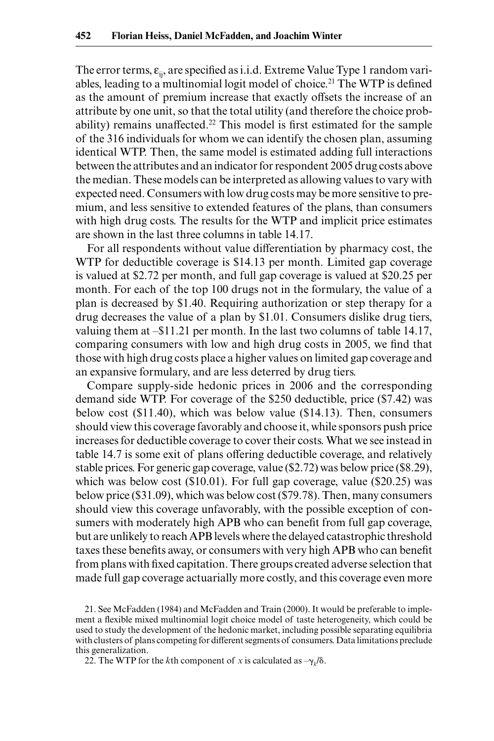The error terms,  $\varepsilon_{ii}$ , are specified as i.i.d. Extreme Value Type 1 random variables, leading to a multinomial logit model of choice.<sup>21</sup> The WTP is defined as the amount of premium increase that exactly offsets the increase of an attribute by one unit, so that the total utility (and therefore the choice probability) remains unaffected.<sup>22</sup> This model is first estimated for the sample of the 316 individuals for whom we can identify the chosen plan, assuming identical WTP. Then, the same model is estimated adding full interactions between the attributes and an indicator for respondent 2005 drug costs above the median. These models can be interpreted as allowing values to vary with expected need. Consumers with low drug costs may be more sensitive to premium, and less sensitive to extended features of the plans, than consumers with high drug costs. The results for the WTP and implicit price estimates are shown in the last three columns in table 14.17.

For all respondents without value differentiation by pharmacy cost, the WTP for deductible coverage is \$14.13 per month. Limited gap coverage is valued at \$2.72 per month, and full gap coverage is valued at \$20.25 per month. For each of the top 100 drugs not in the formulary, the value of a plan is decreased by \$1.40. Requiring authorization or step therapy for a drug decreases the value of a plan by \$1.01. Consumers dislike drug tiers, valuing them at  $-$11.21$  per month. In the last two columns of table 14.17, comparing consumers with low and high drug costs in 2005, we find that those with high drug costs place a higher values on limited gap coverage and an expansive formulary, and are less deterred by drug tiers.

Compare supply-side hedonic prices in 2006 and the corresponding demand side WTP. For coverage of the \$250 deductible, price (\$7.42) was below cost (\$11.40), which was below value (\$14.13). Then, consumers should view this coverage favorably and choose it, while sponsors push price increases for deductible coverage to cover their costs. What we see instead in table 14.7 is some exit of plans offering deductible coverage, and relatively stable prices. For generic gap coverage, value (\$2.72) was below price (\$8.29), which was below cost (\$10.01). For full gap coverage, value (\$20.25) was below price (\$31.09), which was below cost (\$79.78). Then, many consumers should view this coverage unfavorably, with the possible exception of consumers with moderately high APB who can benefit from full gap coverage, but are unlikely to reach APB levels where the delayed catastrophic threshold taxes these benefits away, or consumers with very high APB who can benefit from plans with fixed capitation. There groups created adverse selection that made full gap coverage actuarially more costly, and this coverage even more

21. See McFadden (1984) and McFadden and Train (2000). It would be preferable to implement a flexible mixed multinomial logit choice model of taste heterogeneity, which could be used to study the development of the hedonic market, including possible separating equilibria with clusters of plans competing for different segments of consumers. Data limitations preclude this generalization.

22. The WTP for the *k*th component of *x* is calculated as  $-\gamma_k/\delta$ .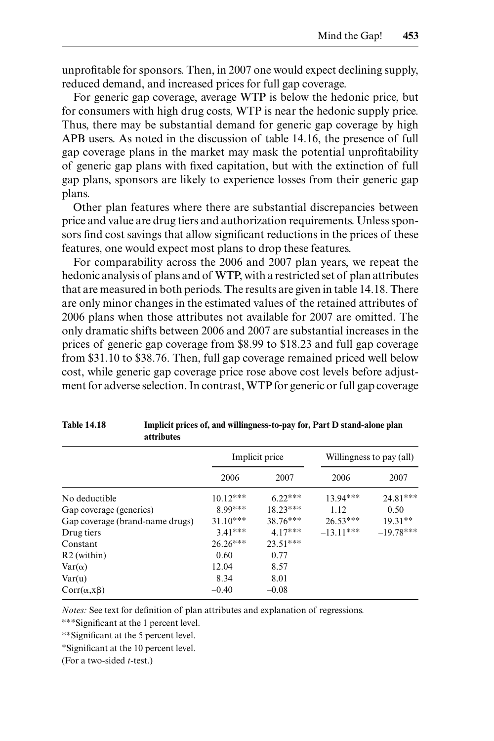unprofitable for sponsors. Then, in 2007 one would expect declining supply, reduced demand, and increased prices for full gap coverage.

For generic gap coverage, average WTP is below the hedonic price, but for consumers with high drug costs, WTP is near the hedonic supply price. Thus, there may be substantial demand for generic gap coverage by high APB users. As noted in the discussion of table 14.16, the presence of full gap coverage plans in the market may mask the potential unprofitability of generic gap plans with fixed capitation, but with the extinction of full gap plans, sponsors are likely to experience losses from their generic gap plans.

Other plan features where there are substantial discrepancies between price and value are drug tiers and authorization requirements. Unless sponsors find cost savings that allow significant reductions in the prices of these features, one would expect most plans to drop these features.

For comparability across the 2006 and 2007 plan years, we repeat the hedonic analysis of plans and of WTP, with a restricted set of plan attributes that are measured in both periods. The results are given in table 14.18. There are only minor changes in the estimated values of the retained attributes of 2006 plans when those attributes not available for 2007 are omitted. The only dramatic shifts between 2006 and 2007 are substantial increases in the prices of generic gap coverage from \$8.99 to \$18.23 and full gap coverage from \$31.10 to \$38.76. Then, full gap coverage remained priced well below cost, while generic gap coverage price rose above cost levels before adjustment for adverse selection. In contrast, WTP for generic or full gap coverage

| 2006        | 2007                                                                                                                                                      |
|-------------|-----------------------------------------------------------------------------------------------------------------------------------------------------------|
| $13.94***$  | 24.81***                                                                                                                                                  |
| 1.12        | 0.50                                                                                                                                                      |
| $26.53***$  | $19.31**$                                                                                                                                                 |
| $-13.11***$ | $-19.78***$                                                                                                                                               |
|             |                                                                                                                                                           |
|             |                                                                                                                                                           |
|             |                                                                                                                                                           |
|             |                                                                                                                                                           |
|             |                                                                                                                                                           |
|             | Implicit price<br>Willingness to pay (all)<br>2007<br>$6.22***$<br>$18.23***$<br>$38.76***$<br>$4.17***$<br>$23.51***$<br>0.77<br>8.57<br>8.01<br>$-0.08$ |

| <b>Table 14.18</b> | Implicit prices of, and willingness-to-pay for, Part D stand-alone plan |
|--------------------|-------------------------------------------------------------------------|
|                    | attributes                                                              |

*Notes:* See text for definition of plan attributes and explanation of regressions.

∗∗∗Signifi cant at the 1 percent level.

∗∗Signifi cant at the 5 percent level.

∗Signifi cant at the 10 percent level.

(For a two- sided *t*- test.)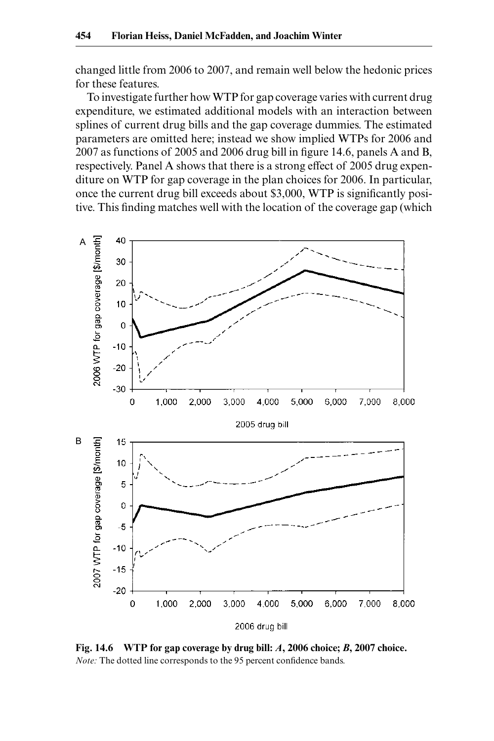changed little from 2006 to 2007, and remain well below the hedonic prices for these features.

To investigate further how WTP for gap coverage varies with current drug expenditure, we estimated additional models with an interaction between splines of current drug bills and the gap coverage dummies. The estimated parameters are omitted here; instead we show implied WTPs for 2006 and  $2007$  as functions of  $2005$  and  $2006$  drug bill in figure 14.6, panels A and B, respectively. Panel A shows that there is a strong effect of 2005 drug expenditure on WTP for gap coverage in the plan choices for 2006. In particular, once the current drug bill exceeds about \$3,000, WTP is significantly positive. This finding matches well with the location of the coverage gap (which



**Fig. 14.6 WTP for gap coverage by drug bill:** *A***, 2006 choice;** *B***, 2007 choice.** *Note:* The dotted line corresponds to the 95 percent confidence bands.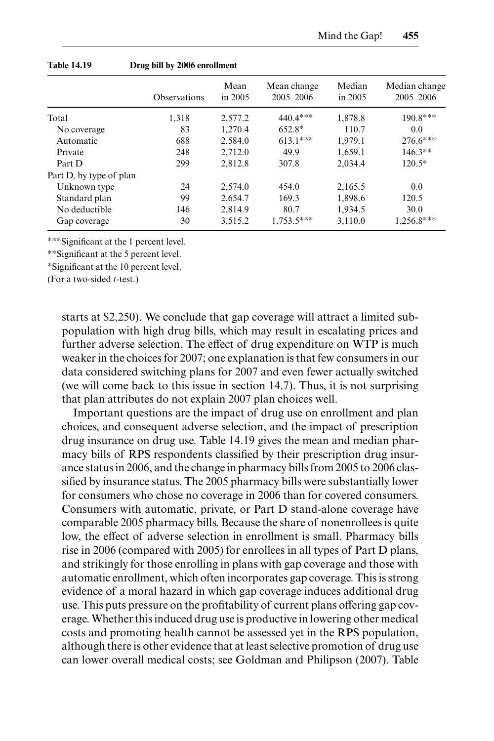|                         | <b>Observations</b> | Mean<br>in $2005$ | Mean change<br>2005-2006 | Median<br>in $2005$ | Median change<br>2005-2006 |
|-------------------------|---------------------|-------------------|--------------------------|---------------------|----------------------------|
| Total                   | 1.318               | 2,577.2           | $440.4***$               | 1.878.8             | $190.8***$                 |
| No coverage             | 83                  | 1.270.4           | $652.8*$                 | 110.7               | 0.0                        |
| Automatic               | 688                 | 2,584.0           | $613.1***$               | 1.979.1             | $276.6***$                 |
| Private                 | 248                 | 2,712.0           | 49.9                     | 1.659.1             | $146.3**$                  |
| Part D                  | 299                 | 2.812.8           | 307.8                    | 2.034.4             | $120.5*$                   |
| Part D, by type of plan |                     |                   |                          |                     |                            |
| Unknown type            | 24                  | 2,574.0           | 454.0                    | 2,165.5             | 0.0                        |
| Standard plan           | 99                  | 2,654.7           | 169.3                    | 1,898.6             | 120.5                      |
| No deductible           | 146                 | 2.814.9           | 80.7                     | 1.934.5             | 30.0                       |
| Gap coverage            | 30                  | 3.515.2           | $1,753.5***$             | 3.110.0             | $1,256.8***$               |

#### **Table 14.19 Drug bill by 2006 enrollment**

<sup>\*\*\*</sup>Significant at the 1 percent level.

∗∗Signifi cant at the 5 percent level.

∗Signifi cant at the 10 percent level.

(For a two- sided *t*- test.)

starts at \$2,250). We conclude that gap coverage will attract a limited subpopulation with high drug bills, which may result in escalating prices and further adverse selection. The effect of drug expenditure on WTP is much weaker in the choices for 2007; one explanation is that few consumers in our data considered switching plans for 2007 and even fewer actually switched (we will come back to this issue in section 14.7). Thus, it is not surprising that plan attributes do not explain 2007 plan choices well.

Important questions are the impact of drug use on enrollment and plan choices, and consequent adverse selection, and the impact of prescription drug insurance on drug use. Table 14.19 gives the mean and median pharmacy bills of RPS respondents classified by their prescription drug insurance status in 2006, and the change in pharmacy bills from 2005 to 2006 classified by insurance status. The 2005 pharmacy bills were substantially lower for consumers who chose no coverage in 2006 than for covered consumers. Consumers with automatic, private, or Part D stand-alone coverage have comparable 2005 pharmacy bills. Because the share of nonenrollees is quite low, the effect of adverse selection in enrollment is small. Pharmacy bills rise in 2006 (compared with 2005) for enrollees in all types of Part D plans, and strikingly for those enrolling in plans with gap coverage and those with automatic enrollment, which often incorporates gap coverage. This is strong evidence of a moral hazard in which gap coverage induces additional drug use. This puts pressure on the profitability of current plans offering gap coverage. Whether this induced drug use is productive in lowering other medical costs and promoting health cannot be assessed yet in the RPS population, although there is other evidence that at least selective promotion of drug use can lower overall medical costs; see Goldman and Philipson (2007). Table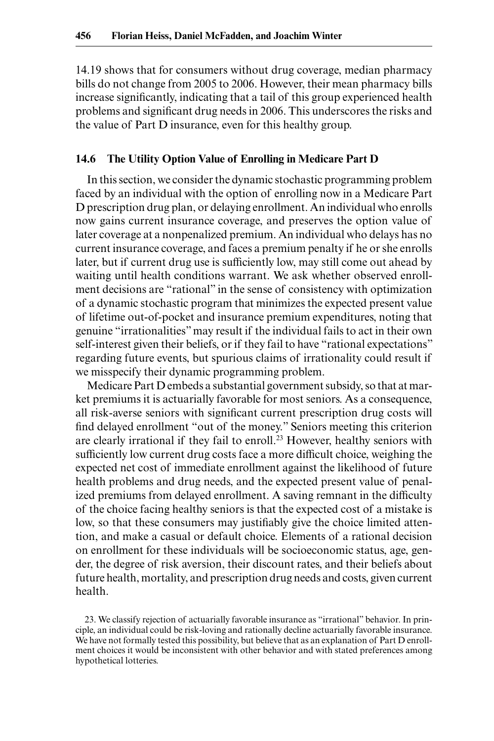14.19 shows that for consumers without drug coverage, median pharmacy bills do not change from 2005 to 2006. However, their mean pharmacy bills increase significantly, indicating that a tail of this group experienced health problems and significant drug needs in 2006. This underscores the risks and the value of Part D insurance, even for this healthy group.

# **14.6 The Utility Option Value of Enrolling in Medicare Part D**

In this section, we consider the dynamic stochastic programming problem faced by an individual with the option of enrolling now in a Medicare Part D prescription drug plan, or delaying enrollment. An individual who enrolls now gains current insurance coverage, and preserves the option value of later coverage at a nonpenalized premium. An individual who delays has no current insurance coverage, and faces a premium penalty if he or she enrolls later, but if current drug use is sufficiently low, may still come out ahead by waiting until health conditions warrant. We ask whether observed enrollment decisions are "rational" in the sense of consistency with optimization of a dynamic stochastic program that minimizes the expected present value of lifetime out- of- pocket and insurance premium expenditures, noting that genuine "irrationalities" may result if the individual fails to act in their own self-interest given their beliefs, or if they fail to have "rational expectations" regarding future events, but spurious claims of irrationality could result if we misspecify their dynamic programming problem.

Medicare Part D embeds a substantial government subsidy, so that at market premiums it is actuarially favorable for most seniors. As a consequence, all risk-averse seniors with significant current prescription drug costs will find delayed enrollment "out of the money." Seniors meeting this criterion are clearly irrational if they fail to enroll.<sup>23</sup> However, healthy seniors with sufficiently low current drug costs face a more difficult choice, weighing the expected net cost of immediate enrollment against the likelihood of future health problems and drug needs, and the expected present value of penalized premiums from delayed enrollment. A saving remnant in the difficulty of the choice facing healthy seniors is that the expected cost of a mistake is low, so that these consumers may justifiably give the choice limited attention, and make a casual or default choice. Elements of a rational decision on enrollment for these individuals will be socioeconomic status, age, gender, the degree of risk aversion, their discount rates, and their beliefs about future health, mortality, and prescription drug needs and costs, given current health.

23. We classify rejection of actuarially favorable insurance as "irrational" behavior. In principle, an individual could be risk- loving and rationally decline actuarially favorable insurance. We have not formally tested this possibility, but believe that as an explanation of Part D enrollment choices it would be inconsistent with other behavior and with stated preferences among hypothetical lotteries.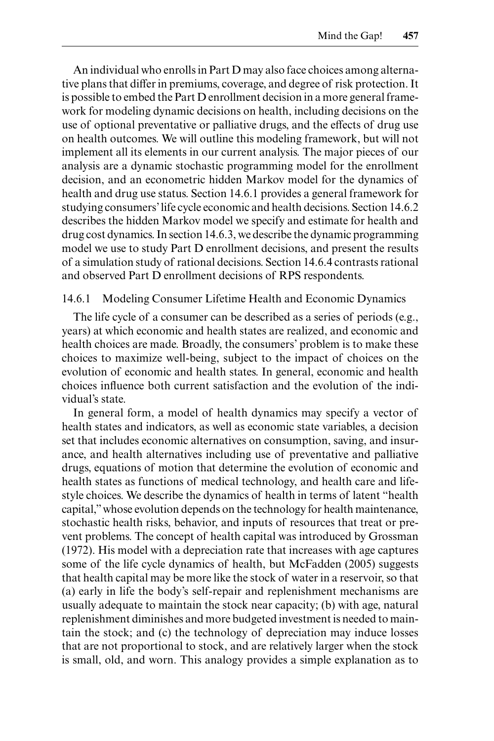An individual who enrolls in Part D may also face choices among alternative plans that differ in premiums, coverage, and degree of risk protection. It is possible to embed the Part D enrollment decision in a more general framework for modeling dynamic decisions on health, including decisions on the use of optional preventative or palliative drugs, and the effects of drug use on health outcomes. We will outline this modeling framework, but will not implement all its elements in our current analysis. The major pieces of our analysis are a dynamic stochastic programming model for the enrollment decision, and an econometric hidden Markov model for the dynamics of health and drug use status. Section 14.6.1 provides a general framework for studying consumers' life cycle economic and health decisions. Section 14.6.2 describes the hidden Markov model we specify and estimate for health and drug cost dynamics. In section 14.6.3, we describe the dynamic programming model we use to study Part D enrollment decisions, and present the results of a simulation study of rational decisions. Section 14.6.4 contrasts rational and observed Part D enrollment decisions of RPS respondents.

# 14.6.1 Modeling Consumer Lifetime Health and Economic Dynamics

The life cycle of a consumer can be described as a series of periods (e.g., years) at which economic and health states are realized, and economic and health choices are made. Broadly, the consumers' problem is to make these choices to maximize well- being, subject to the impact of choices on the evolution of economic and health states. In general, economic and health choices influence both current satisfaction and the evolution of the individual's state.

In general form, a model of health dynamics may specify a vector of health states and indicators, as well as economic state variables, a decision set that includes economic alternatives on consumption, saving, and insurance, and health alternatives including use of preventative and palliative drugs, equations of motion that determine the evolution of economic and health states as functions of medical technology, and health care and lifestyle choices. We describe the dynamics of health in terms of latent "health capital," whose evolution depends on the technology for health maintenance, stochastic health risks, behavior, and inputs of resources that treat or prevent problems. The concept of health capital was introduced by Grossman (1972). His model with a depreciation rate that increases with age captures some of the life cycle dynamics of health, but McFadden (2005) suggests that health capital may be more like the stock of water in a reservoir, so that (a) early in life the body's self- repair and replenishment mechanisms are usually adequate to maintain the stock near capacity; (b) with age, natural replenishment diminishes and more budgeted investment is needed to maintain the stock; and (c) the technology of depreciation may induce losses that are not proportional to stock, and are relatively larger when the stock is small, old, and worn. This analogy provides a simple explanation as to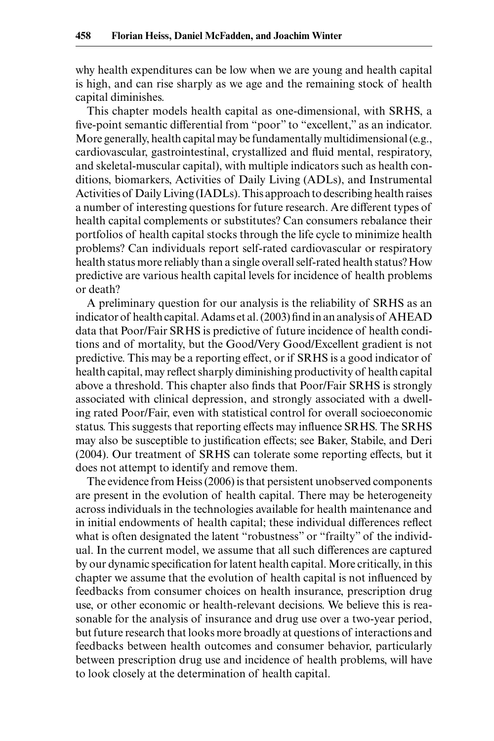why health expenditures can be low when we are young and health capital is high, and can rise sharply as we age and the remaining stock of health capital diminishes.

This chapter models health capital as one- dimensional, with SRHS, a five-point semantic differential from "poor" to "excellent," as an indicator. More generally, health capital may be fundamentally multidimensional (e.g., cardiovascular, gastrointestinal, crystallized and fluid mental, respiratory, and skeletal- muscular capital), with multiple indicators such as health conditions, biomarkers, Activities of Daily Living (ADLs), and Instrumental Activities of Daily Living (IADLs). This approach to describing health raises a number of interesting questions for future research. Are different types of health capital complements or substitutes? Can consumers rebalance their portfolios of health capital stocks through the life cycle to minimize health problems? Can individuals report self-rated cardiovascular or respiratory health status more reliably than a single overall self- rated health status? How predictive are various health capital levels for incidence of health problems or death?

A preliminary question for our analysis is the reliability of SRHS as an indicator of health capital. Adams et al. (2003) find in an analysis of AHEAD data that Poor/Fair SRHS is predictive of future incidence of health conditions and of mortality, but the Good/Very Good/Excellent gradient is not predictive. This may be a reporting effect, or if SRHS is a good indicator of health capital, may reflect sharply diminishing productivity of health capital above a threshold. This chapter also finds that Poor/Fair SRHS is strongly associated with clinical depression, and strongly associated with a dwelling rated Poor/Fair, even with statistical control for overall socioeconomic status. This suggests that reporting effects may influence SRHS. The SRHS may also be susceptible to justification effects; see Baker, Stabile, and Deri (2004). Our treatment of SRHS can tolerate some reporting effects, but it does not attempt to identify and remove them.

The evidence from Heiss (2006) is that persistent unobserved components are present in the evolution of health capital. There may be heterogeneity across individuals in the technologies available for health maintenance and in initial endowments of health capital; these individual differences reflect what is often designated the latent "robustness" or "frailty" of the individual. In the current model, we assume that all such differences are captured by our dynamic specification for latent health capital. More critically, in this chapter we assume that the evolution of health capital is not influenced by feedbacks from consumer choices on health insurance, prescription drug use, or other economic or health- relevant decisions. We believe this is reasonable for the analysis of insurance and drug use over a two-year period, but future research that looks more broadly at questions of interactions and feedbacks between health outcomes and consumer behavior, particularly between prescription drug use and incidence of health problems, will have to look closely at the determination of health capital.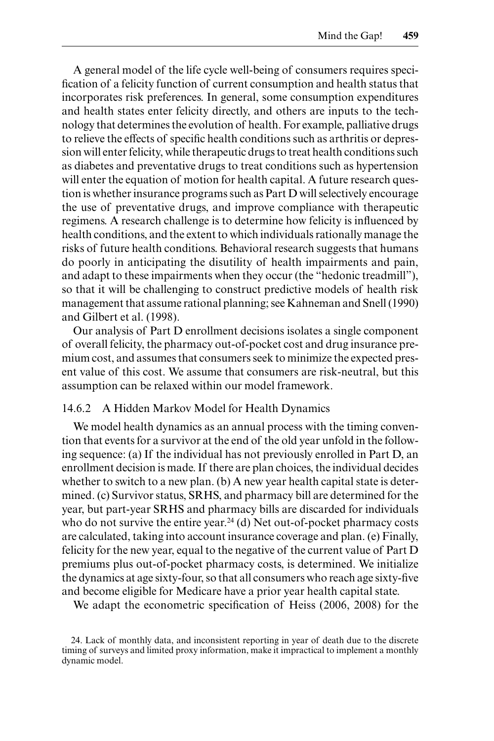A general model of the life cycle well- being of consumers requires specification of a felicity function of current consumption and health status that incorporates risk preferences. In general, some consumption expenditures and health states enter felicity directly, and others are inputs to the technology that determines the evolution of health. For example, palliative drugs to relieve the effects of specific health conditions such as arthritis or depression will enter felicity, while therapeutic drugs to treat health conditions such as diabetes and preventative drugs to treat conditions such as hypertension will enter the equation of motion for health capital. A future research question is whether insurance programs such as Part D will selectively encourage the use of preventative drugs, and improve compliance with therapeutic regimens. A research challenge is to determine how felicity is influenced by health conditions, and the extent to which individuals rationally manage the risks of future health conditions. Behavioral research suggests that humans do poorly in anticipating the disutility of health impairments and pain, and adapt to these impairments when they occur (the "hedonic treadmill"), so that it will be challenging to construct predictive models of health risk management that assume rational planning; see Kahneman and Snell (1990) and Gilbert et al. (1998).

Our analysis of Part D enrollment decisions isolates a single component of overall felicity, the pharmacy out- of- pocket cost and drug insurance premium cost, and assumes that consumers seek to minimize the expected present value of this cost. We assume that consumers are risk- neutral, but this assumption can be relaxed within our model framework.

# 14.6.2 A Hidden Markov Model for Health Dynamics

We model health dynamics as an annual process with the timing convention that events for a survivor at the end of the old year unfold in the following sequence: (a) If the individual has not previously enrolled in Part D, an enrollment decision is made. If there are plan choices, the individual decides whether to switch to a new plan. (b) A new year health capital state is determined. (c) Survivor status, SRHS, and pharmacy bill are determined for the year, but part- year SRHS and pharmacy bills are discarded for individuals who do not survive the entire year.<sup>24</sup> (d) Net out-of-pocket pharmacy costs are calculated, taking into account insurance coverage and plan. (e) Finally, felicity for the new year, equal to the negative of the current value of Part D premiums plus out-of-pocket pharmacy costs, is determined. We initialize the dynamics at age sixty-four, so that all consumers who reach age sixty-five and become eligible for Medicare have a prior year health capital state.

We adapt the econometric specification of Heiss (2006, 2008) for the

<sup>24.</sup> Lack of monthly data, and inconsistent reporting in year of death due to the discrete timing of surveys and limited proxy information, make it impractical to implement a monthly dynamic model.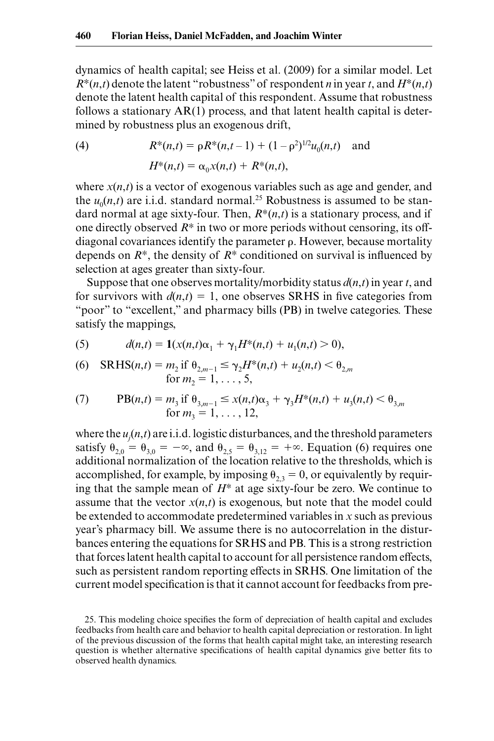dynamics of health capital; see Heiss et al. (2009) for a similar model. Let  $R^*(n,t)$  denote the latent "robustness" of respondent *n* in year *t*, and  $H^*(n,t)$ denote the latent health capital of this respondent. Assume that robustness follows a stationary AR(1) process, and that latent health capital is determined by robustness plus an exogenous drift,

(4) 
$$
R^*(n,t) = \rho R^*(n,t-1) + (1-\rho^2)^{1/2} u_0(n,t) \text{ and}
$$

$$
H^*(n,t) = \alpha_0 x(n,t) + R^*(n,t),
$$

where  $x(n,t)$  is a vector of exogenous variables such as age and gender, and the  $u_0(n,t)$  are i.i.d. standard normal.<sup>25</sup> Robustness is assumed to be standard normal at age sixty-four. Then,  $R^*(n,t)$  is a stationary process, and if one directly observed *R*∗ in two or more periods without censoring, its offdiagonal covariances identify the parameter  $\rho$ . However, because mortality depends on  $R^*$ , the density of  $R^*$  conditioned on survival is influenced by selection at ages greater than sixty-four.

Suppose that one observes mortality/morbidity status  $d(n,t)$  in year *t*, and for survivors with  $d(n,t) = 1$ , one observes SRHS in five categories from "poor" to "excellent," and pharmacy bills (PB) in twelve categories. These satisfy the mappings,

(5) 
$$
d(n,t) = \mathbf{1}(x(n,t)\alpha_1 + \gamma_1 H^*(n,t) + u_1(n,t) > 0),
$$

(6) SRHS
$$
(n,t) = m_2
$$
 if  $\theta_{2,m-1} \leq \gamma_2 H^*(n,t) + u_2(n,t) < \theta_{2,m}$   
for  $m_2 = 1, ..., 5$ ,

(7) 
$$
\text{PB}(n,t) = m_3 \text{ if } \theta_{3,m-1} \leq x(n,t)\alpha_3 + \gamma_3 H^*(n,t) + u_3(n,t) < \theta_{3,m} \text{ for } m_3 = 1, \ldots, 12,
$$

where the  $u_j(n,t)$  are i.i.d. logistic disturbances, and the threshold parameters satisfy  $\theta_{2,0} = \theta_{3,0} = -\infty$ , and  $\theta_{2,5} = \theta_{3,12} = +\infty$ . Equation (6) requires one additional normalization of the location relative to the thresholds, which is accomplished, for example, by imposing  $\theta_{23} = 0$ , or equivalently by requiring that the sample mean of  $H^*$  at age sixty-four be zero. We continue to assume that the vector  $x(n,t)$  is exogenous, but note that the model could be extended to accommodate predetermined variables in *x* such as previous year's pharmacy bill. We assume there is no autocorrelation in the disturbances entering the equations for SRHS and PB. This is a strong restriction that forces latent health capital to account for all persistence random effects, such as persistent random reporting effects in SRHS. One limitation of the current model specification is that it cannot account for feedbacks from pre-

<sup>25.</sup> This modeling choice specifies the form of depreciation of health capital and excludes feedbacks from health care and behavior to health capital depreciation or restoration. In light of the previous discussion of the forms that health capital might take, an interesting research question is whether alternative specifications of health capital dynamics give better fits to observed health dynamics.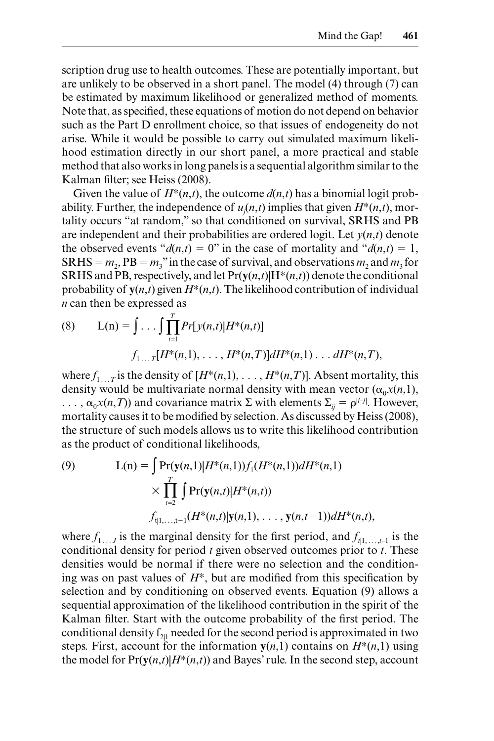scription drug use to health outcomes. These are potentially important, but are unlikely to be observed in a short panel. The model (4) through (7) can be estimated by maximum likelihood or generalized method of moments. Note that, as specified, these equations of motion do not depend on behavior such as the Part D enrollment choice, so that issues of endogeneity do not arise. While it would be possible to carry out simulated maximum likelihood estimation directly in our short panel, a more practical and stable method that also works in long panels is a sequential algorithm similar to the Kalman filter; see Heiss (2008).

Given the value of  $H^*(n,t)$ , the outcome  $d(n,t)$  has a binomial logit probability. Further, the independence of  $u_j(n,t)$  implies that given  $H^*(n,t)$ , mortality occurs "at random," so that conditioned on survival, SRHS and PB are independent and their probabilities are ordered logit. Let *y*(*n*,*t*) denote the observed events " $d(n,t) = 0$ " in the case of mortality and " $d(n,t) = 1$ ,  $SRHS = m_2$ ,  $PB = m_3$ " in the case of survival, and observations  $m_2$  and  $m_3$  for SRHS and PB, respectively, and let  $Pr(y(n,t)|H^*(n,t))$  denote the conditional probability of **y**(*n*,*t*) given *H*∗(*n*,*t*). The likelihood contribution of individual *n* can then be expressed as

(8) 
$$
L(n) = \int \ldots \int \prod_{t=1}^{T} Pr[y(n,t)|H^*(n,t)]
$$

$$
f_{1...T}[H^*(n,1), \ldots, H^*(n,T)]dH^*(n,1) \ldots dH^*(n,T),
$$

where  $f_1$   $\tau$  is the density of  $[H^*(n,1), \ldots, H^*(n,T)]$ . Absent mortality, this density would be multivariate normal density with mean vector  $(\alpha_0 x(n,1))$ , ...,  $\alpha_0 x(n,T)$  and covariance matrix  $\Sigma$  with elements  $\Sigma_{ij} = \rho^{|i-j|}$ . However, mortality causes it to be modified by selection. As discussed by Heiss (2008), the structure of such models allows us to write this likelihood contribution as the product of conditional likelihoods,

(9) 
$$
L(n) = \int Pr(y(n,1)|H^*(n,1))f_1(H^*(n,1))dH^*(n,1)
$$

$$
\times \prod_{t=2}^T \int Pr(y(n,t)|H^*(n,t))
$$

$$
f_{t|1,\ldots,t-1}(H^*(n,t)|y(n,1),\ldots,y(n,t-1))dH^*(n,t),
$$

where  $f_{1...j}$  is the marginal density for the first period, and  $f_{d_1,...,d_{i-1}}$  is the conditional density for period *t* given observed outcomes prior to *t*. These densities would be normal if there were no selection and the conditioning was on past values of  $H^*$ , but are modified from this specification by selection and by conditioning on observed events. Equation (9) allows a sequential approximation of the likelihood contribution in the spirit of the Kalman filter. Start with the outcome probability of the first period. The conditional density  $f_{21}$  needed for the second period is approximated in two steps. First, account for the information  $y(n,1)$  contains on  $H^*(n,1)$  using the model for  $Pr(y(n,t)|H^*(n,t))$  and Bayes' rule. In the second step, account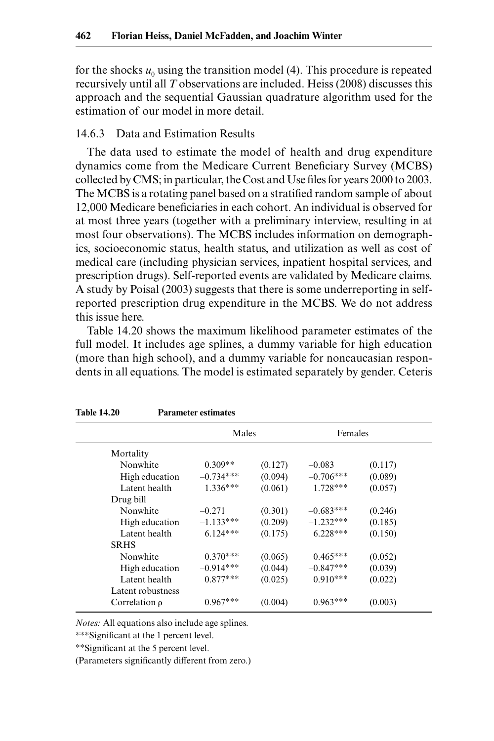for the shocks  $u_0$  using the transition model (4). This procedure is repeated recursively until all *T* observations are included. Heiss (2008) discusses this approach and the sequential Gaussian quadrature algorithm used for the estimation of our model in more detail.

# 14.6.3 Data and Estimation Results

The data used to estimate the model of health and drug expenditure dynamics come from the Medicare Current Beneficiary Survey (MCBS) collected by CMS; in particular, the Cost and Use files for years 2000 to 2003. The MCBS is a rotating panel based on a stratified random sample of about 12,000 Medicare beneficiaries in each cohort. An individual is observed for at most three years (together with a preliminary interview, resulting in at most four observations). The MCBS includes information on demographics, socioeconomic status, health status, and utilization as well as cost of medical care (including physician services, inpatient hospital services, and prescription drugs). Self- reported events are validated by Medicare claims. A study by Poisal (2003) suggests that there is some underreporting in self reported prescription drug expenditure in the MCBS. We do not address this issue here.

Table 14.20 shows the maximum likelihood parameter estimates of the full model. It includes age splines, a dummy variable for high education (more than high school), and a dummy variable for noncaucasian respondents in all equations. The model is estimated separately by gender. Ceteris

| <b>Table 14.20</b> | <b>Parameter estimates</b> |         |             |         |  |
|--------------------|----------------------------|---------|-------------|---------|--|
|                    | Males                      |         | Females     |         |  |
| Mortality          |                            |         |             |         |  |
| Nonwhite           | $0.309**$                  | (0.127) | $-0.083$    | (0.117) |  |
| High education     | $-0.734***$                | (0.094) | $-0.706***$ | (0.089) |  |
| Latent health      | $1.336***$                 | (0.061) | $1.728***$  | (0.057) |  |
| Drug bill          |                            |         |             |         |  |
| Nonwhite           | $-0.271$                   | (0.301) | $-0.683***$ | (0.246) |  |
| High education     | $-1.133***$                | (0.209) | $-1.232***$ | (0.185) |  |
| Latent health      | $6.124***$                 | (0.175) | $6.228***$  | (0.150) |  |
| <b>SRHS</b>        |                            |         |             |         |  |
| Nonwhite           | $0.370***$                 | (0.065) | $0.465***$  | (0.052) |  |
| High education     | $-0.914***$                | (0.044) | $-0.847***$ | (0.039) |  |
| Latent health      | $0.877***$                 | (0.025) | $0.910***$  | (0.022) |  |
| Latent robustness  |                            |         |             |         |  |
| Correlation $\rho$ | $0.967***$                 | (0.004) | $0.963***$  | (0.003) |  |
|                    |                            |         |             |         |  |

| 20 | <b>Parameter estimates</b> |  |
|----|----------------------------|--|
|    |                            |  |

*Notes:* All equations also include age splines.

∗∗∗Signifi cant at the 1 percent level.

∗∗Signifi cant at the 5 percent level.

(Parameters significantly different from zero.)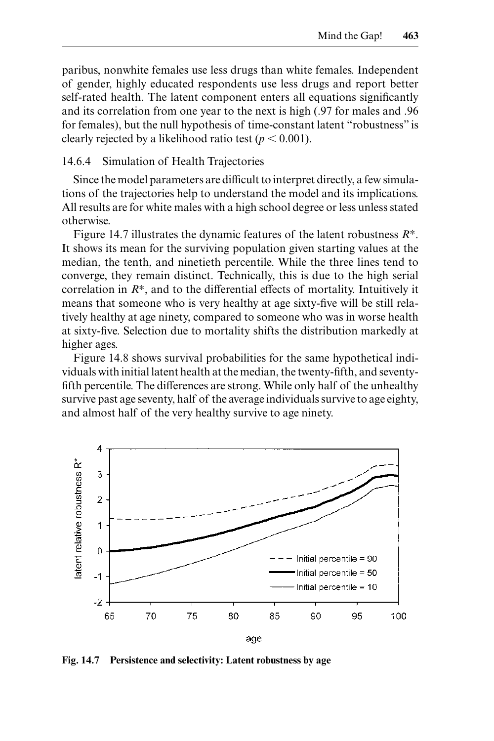paribus, nonwhite females use less drugs than white females. Independent of gender, highly educated respondents use less drugs and report better self-rated health. The latent component enters all equations significantly and its correlation from one year to the next is high (.97 for males and .96 for females), but the null hypothesis of time- constant latent "robustness" is clearly rejected by a likelihood ratio test ( $p < 0.001$ ).

# 14.6.4 Simulation of Health Trajectories

Since the model parameters are difficult to interpret directly, a few simulations of the trajectories help to understand the model and its implications. All results are for white males with a high school degree or less unless stated otherwise.

Figure 14.7 illustrates the dynamic features of the latent robustness *R*∗. It shows its mean for the surviving population given starting values at the median, the tenth, and ninetieth percentile. While the three lines tend to converge, they remain distinct. Technically, this is due to the high serial correlation in *R*∗, and to the differential effects of mortality. Intuitively it means that someone who is very healthy at age sixty-five will be still relatively healthy at age ninety, compared to someone who was in worse health at sixty-five. Selection due to mortality shifts the distribution markedly at higher ages.

Figure 14.8 shows survival probabilities for the same hypothetical individuals with initial latent health at the median, the twenty-fifth, and seventyfifth percentile. The differences are strong. While only half of the unhealthy survive past age seventy, half of the average individuals survive to age eighty, and almost half of the very healthy survive to age ninety.



**Fig. 14.7 Persistence and selectivity: Latent robustness by age**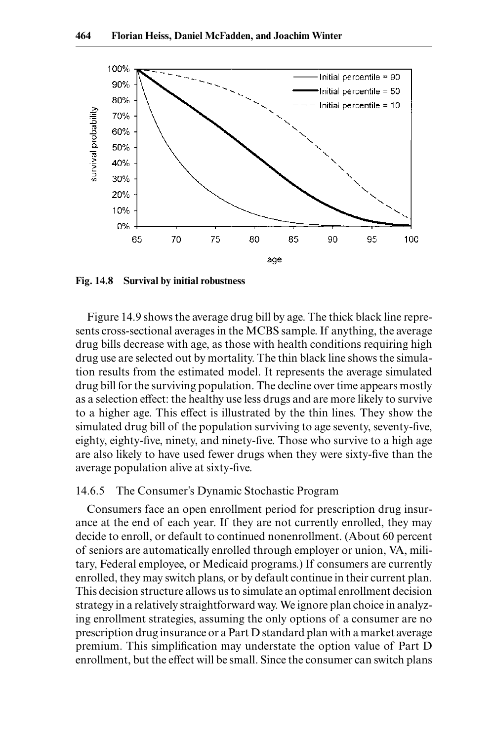

**Fig. 14.8 Survival by initial robustness**

Figure 14.9 shows the average drug bill by age. The thick black line represents cross- sectional averages in the MCBS sample. If anything, the average drug bills decrease with age, as those with health conditions requiring high drug use are selected out by mortality. The thin black line shows the simulation results from the estimated model. It represents the average simulated drug bill for the surviving population. The decline over time appears mostly as a selection effect: the healthy use less drugs and are more likely to survive to a higher age. This effect is illustrated by the thin lines. They show the simulated drug bill of the population surviving to age seventy, seventy-five, eighty, eighty-five, ninety, and ninety-five. Those who survive to a high age are also likely to have used fewer drugs when they were sixty-five than the average population alive at sixty-five.

#### 14.6.5 The Consumer's Dynamic Stochastic Program

Consumers face an open enrollment period for prescription drug insurance at the end of each year. If they are not currently enrolled, they may decide to enroll, or default to continued nonenrollment. (About 60 percent of seniors are automatically enrolled through employer or union, VA, military, Federal employee, or Medicaid programs.) If consumers are currently enrolled, they may switch plans, or by default continue in their current plan. This decision structure allows us to simulate an optimal enrollment decision strategy in a relatively straightforward way. We ignore plan choice in analyzing enrollment strategies, assuming the only options of a consumer are no prescription drug insurance or a Part D standard plan with a market average premium. This simplification may understate the option value of Part D enrollment, but the effect will be small. Since the consumer can switch plans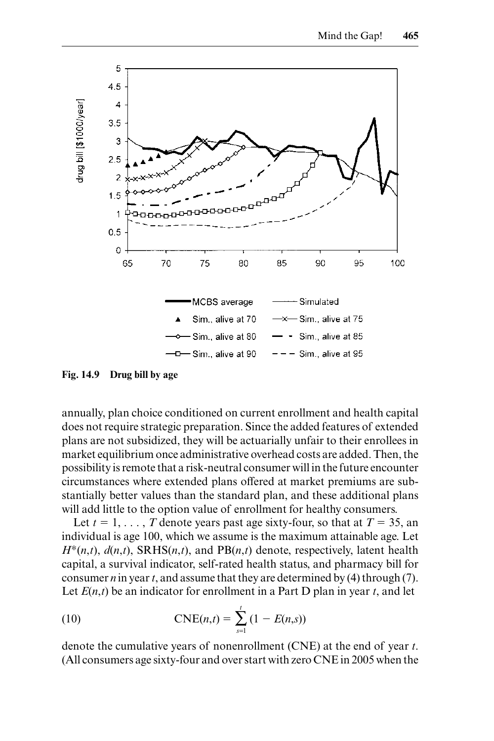

**Fig. 14.9 Drug bill by age**

annually, plan choice conditioned on current enrollment and health capital does not require strategic preparation. Since the added features of extended plans are not subsidized, they will be actuarially unfair to their enrollees in market equilibrium once administrative overhead costs are added. Then, the possibility is remote that a risk- neutral consumer will in the future encounter circumstances where extended plans offered at market premiums are substantially better values than the standard plan, and these additional plans will add little to the option value of enrollment for healthy consumers.

Let  $t = 1, \ldots, T$  denote years past age sixty-four, so that at  $T = 35$ , an individual is age 100, which we assume is the maximum attainable age. Let  $H^*(n,t)$ ,  $d(n,t)$ , SRHS $(n,t)$ , and PB $(n,t)$  denote, respectively, latent health capital, a survival indicator, self- rated health status, and pharmacy bill for consumer *n* in year *t*, and assume that they are determined by (4) through (7). Let  $E(n,t)$  be an indicator for enrollment in a Part D plan in year  $t$ , and let

(10) 
$$
CNE(n,t) = \sum_{s=1}^{t} (1 - E(n,s))
$$

denote the cumulative years of nonenrollment (CNE) at the end of year *t*. (All consumers age sixty- four and over start with zero CNE in 2005 when the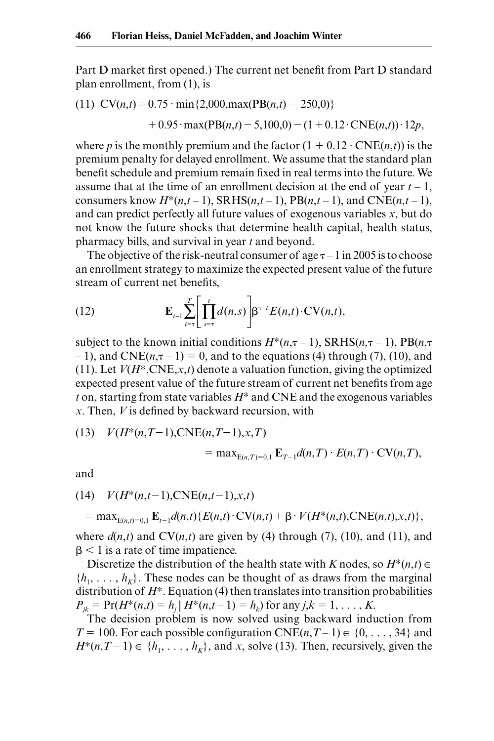Part D market first opened.) The current net benefit from Part D standard plan enrollment, from (1), is

(11) 
$$
CV(n,t) = 0.75 \cdot min\{2,000, max(PB(n,t) - 250,0)\} + 0.95 \cdot max(PB(n,t) - 5,100,0) - (1 + 0.12 \cdot CNE(n,t)) \cdot 12p,
$$

where *p* is the monthly premium and the factor  $(1 + 0.12 \cdot CNE(n,t))$  is the premium penalty for delayed enrollment. We assume that the standard plan benefit schedule and premium remain fixed in real terms into the future. We assume that at the time of an enrollment decision at the end of year  $t - 1$ , consumers know  $H^*(n,t-1)$ ,  $SRHS(n,t-1)$ ,  $PB(n,t-1)$ , and  $CNE(n,t-1)$ , and can predict perfectly all future values of exogenous variables *x*, but do not know the future shocks that determine health capital, health status, pharmacy bills, and survival in year *t* and beyond.

The objective of the risk-neutral consumer of age  $\tau - 1$  in 2005 is to choose an enrollment strategy to maximize the expected present value of the future stream of current net benefits.

(12) 
$$
\mathbf{E}_{t-1} \sum_{t=1}^{T} \left[ \prod_{s=\tau}^{t} d(n,s) \right] \beta^{\tau-t} E(n,t) \cdot \mathrm{CV}(n,t),
$$

subject to the known initial conditions  $H^*(n, \tau - 1)$ , SRHS $(n, \tau - 1)$ , PB $(n, \tau)$  $(-1)$ , and CNE $(n, \tau - 1) = 0$ , and to the equations (4) through (7), (10), and (11). Let  $V(H^*, \text{CNE}, x, t)$  denote a valuation function, giving the optimized expected present value of the future stream of current net benefits from age *t* on, starting from state variables *H*∗ and CNE and the exogenous variables  $x$ . Then,  $V$  is defined by backward recursion, with

(13) 
$$
V(H^*(n, T-1), \text{CNE}(n, T-1), x, T) = \max_{E(n, T) = 0, 1} \mathbf{E}_{T-1} d(n, T) \cdot E(n, T) \cdot \text{CV}(n, T),
$$

and

$$
(14) \quad V(H^*(n,t-1),\text{CNE}(n,t-1),x,t)
$$

$$
= \max_{E(n,t)=0,1} \mathbf{E}_{t-1} d(n,t) \{ E(n,t) \cdot \mathbf{CV}(n,t) + \beta \cdot V(H^*(n,t), \mathbf{CNE}(n,t), x,t) \},
$$

where  $d(n,t)$  and  $CV(n,t)$  are given by (4) through (7), (10), and (11), and  $\beta$  < 1 is a rate of time impatience.

Discretize the distribution of the health state with *K* nodes, so  $H^*(n,t) \in$  ${h_1, \ldots, h_k}$ . These nodes can be thought of as draws from the marginal distribution of *H*∗. Equation (4) then translates into transition probabilities  $P_{ik}$  =  $\Pr(H^*(n,t) = h_i | H^*(n,t-1) = h_k)$  for any *j*, $k = 1, ..., K$ .

The decision problem is now solved using backward induction from  $T = 100$ . For each possible configuration CNE $(n, T-1) \in \{0, \ldots, 34\}$  and  $H^*(n,T-1) \in \{h_1, \ldots, h_k\}$ , and *x*, solve (13). Then, recursively, given the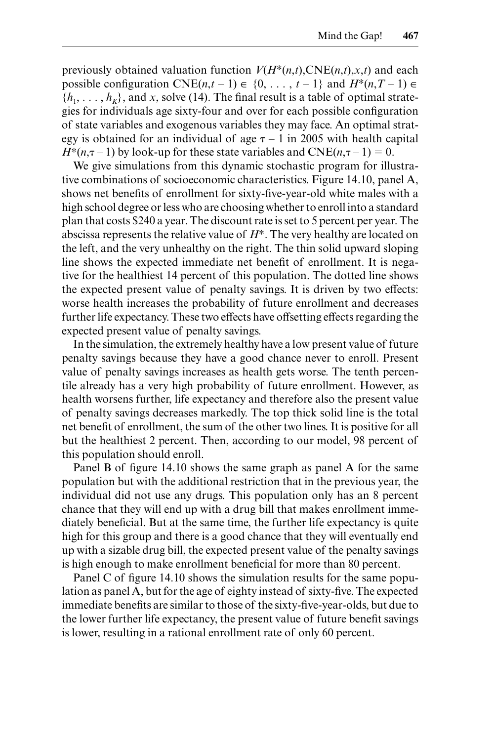previously obtained valuation function  $V(H^*(n,t),\text{CNE}(n,t),x,t)$  and each possible configuration CNE $(n,t-1) \in \{0, \ldots, t-1\}$  and  $H^*(n,T-1) \in$  ${h_1, \ldots, h_k}$ , and *x*, solve (14). The final result is a table of optimal strategies for individuals age sixty-four and over for each possible configuration of state variables and exogenous variables they may face. An optimal strategy is obtained for an individual of age  $\tau - 1$  in 2005 with health capital  $H^*(n,\tau-1)$  by look-up for these state variables and  $CNE(n,\tau-1) = 0$ .

We give simulations from this dynamic stochastic program for illustrative combinations of socioeconomic characteristics. Figure 14.10, panel A, shows net benefits of enrollment for sixty-five-year-old white males with a high school degree or less who are choosing whether to enroll into a standard plan that costs \$240 a year. The discount rate is set to 5 percent per year. The abscissa represents the relative value of *H*∗. The very healthy are located on the left, and the very unhealthy on the right. The thin solid upward sloping line shows the expected immediate net benefit of enrollment. It is negative for the healthiest 14 percent of this population. The dotted line shows the expected present value of penalty savings. It is driven by two effects: worse health increases the probability of future enrollment and decreases further life expectancy. These two effects have offsetting effects regarding the expected present value of penalty savings.

In the simulation, the extremely healthy have a low present value of future penalty savings because they have a good chance never to enroll. Present value of penalty savings increases as health gets worse. The tenth percentile already has a very high probability of future enrollment. However, as health worsens further, life expectancy and therefore also the present value of penalty savings decreases markedly. The top thick solid line is the total net benefit of enrollment, the sum of the other two lines. It is positive for all but the healthiest 2 percent. Then, according to our model, 98 percent of this population should enroll.

Panel B of figure 14.10 shows the same graph as panel A for the same population but with the additional restriction that in the previous year, the individual did not use any drugs. This population only has an 8 percent chance that they will end up with a drug bill that makes enrollment immediately beneficial. But at the same time, the further life expectancy is quite high for this group and there is a good chance that they will eventually end up with a sizable drug bill, the expected present value of the penalty savings is high enough to make enrollment beneficial for more than 80 percent.

Panel C of figure  $14.10$  shows the simulation results for the same population as panel A, but for the age of eighty instead of sixty-five. The expected immediate benefits are similar to those of the sixty-five-year-olds, but due to the lower further life expectancy, the present value of future benefit savings is lower, resulting in a rational enrollment rate of only 60 percent.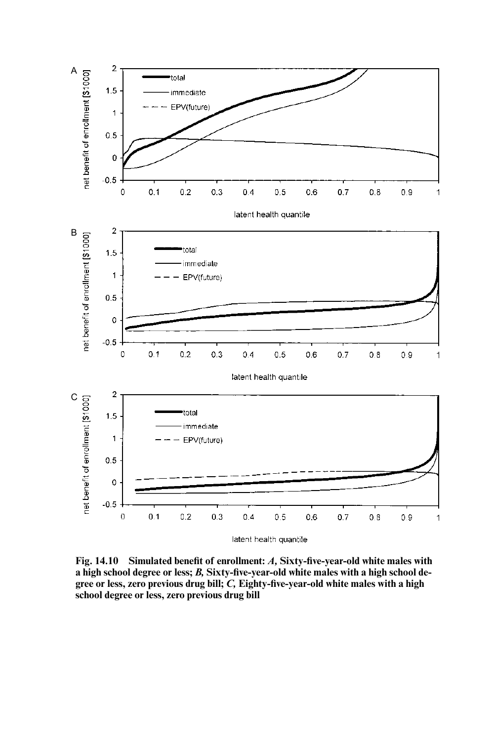

Fig. 14.10 Simulated benefit of enrollment: *A*, Sixty-five-year-old white males with a high school degree or less; *B*, Sixty-five-year-old white males with a high school degree or less, zero previous drug bill; *C*, Eighty-five-year-old white males with a high **school degree or less, zero previous drug bill**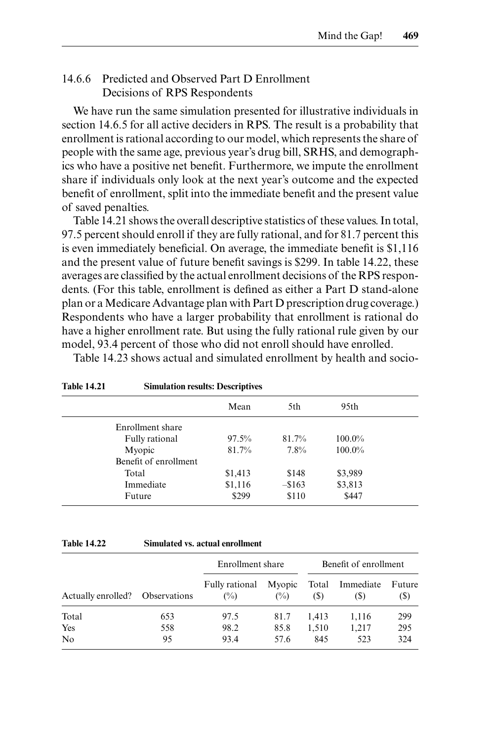# 14.6.6 Predicted and Observed Part D Enrollment Decisions of RPS Respondents

We have run the same simulation presented for illustrative individuals in section 14.6.5 for all active deciders in RPS. The result is a probability that enrollment is rational according to our model, which represents the share of people with the same age, previous year's drug bill, SRHS, and demographics who have a positive net benefit. Furthermore, we impute the enrollment share if individuals only look at the next year's outcome and the expected benefit of enrollment, split into the immediate benefit and the present value of saved penalties.

Table 14.21 shows the overall descriptive statistics of these values. In total, 97.5 percent should enroll if they are fully rational, and for 81.7 percent this is even immediately beneficial. On average, the immediate benefit is  $$1,116$ and the present value of future benefit savings is \$299. In table 14.22, these averages are classified by the actual enrollment decisions of the RPS respondents. (For this table, enrollment is defined as either a Part D stand-alone plan or a Medicare Advantage plan with Part D prescription drug coverage.) Respondents who have a larger probability that enrollment is rational do have a higher enrollment rate. But using the fully rational rule given by our model, 93.4 percent of those who did not enroll should have enrolled.

Table 14.23 shows actual and simulated enrollment by health and socio-

| ****** * **** |                       |         |           |           |  |
|---------------|-----------------------|---------|-----------|-----------|--|
|               |                       | Mean    | 5th       | 95th      |  |
|               | Enrollment share      |         |           |           |  |
|               | Fully rational        | 97.5%   | 81.7%     | $100.0\%$ |  |
|               | Myopic                | 81.7%   | $7.8\%$   | $100.0\%$ |  |
|               | Benefit of enrollment |         |           |           |  |
|               | Total                 | \$1,413 | \$148     | \$3,989   |  |
|               | Immediate             | \$1,116 | $-$ \$163 | \$3,813   |  |
|               | Future                | \$299   | \$110     | \$447     |  |

# **Table 14.21 Simulation results: Descriptives**

| <b>Table 14.22</b> |  | Simulated vs. actual enrollment |
|--------------------|--|---------------------------------|
|--------------------|--|---------------------------------|

|                                 |     | Enrollment share                 |                               |       | Benefit of enrollment  |               |
|---------------------------------|-----|----------------------------------|-------------------------------|-------|------------------------|---------------|
| Actually enrolled? Observations |     | Fully rational<br>$\binom{0}{0}$ | Myopic<br>$\frac{O(1)}{O(1)}$ | (S)   | Total Immediate<br>(S) | Future<br>(S) |
| Total                           | 653 | 97.5                             | 81.7                          | 1.413 | 1,116                  | 299           |
| Yes                             | 558 | 98.2                             | 85.8                          | 1.510 | 1,217                  | 295           |
| No                              | 95  | 93.4                             | 57.6                          | 845   | 523                    | 324           |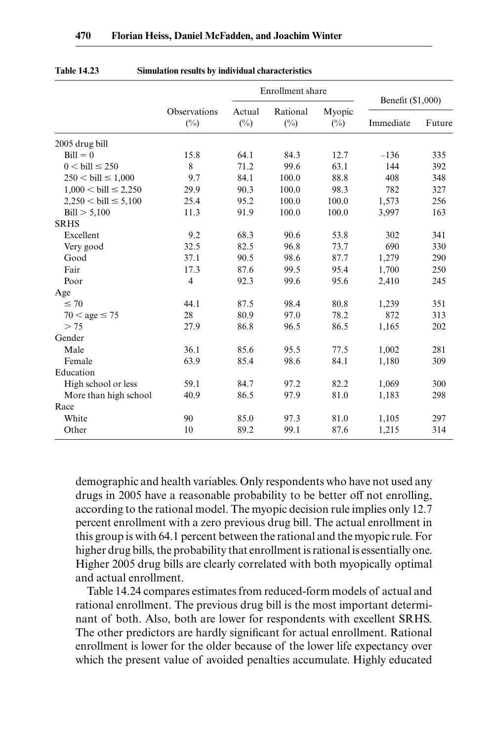|                                  |                              |                  | Enrollment share   |                  |                                |        |
|----------------------------------|------------------------------|------------------|--------------------|------------------|--------------------------------|--------|
|                                  | Observations<br>$(^{0}_{0})$ | Actual<br>$(\%)$ | Rational<br>$(\%)$ | Myopic<br>$(\%)$ | Benefit (\$1,000)<br>Immediate | Future |
| 2005 drug bill                   |                              |                  |                    |                  |                                |        |
| $Bill = 0$                       | 15.8                         | 64.1             | 84.3               | 12.7             | $-136$                         | 335    |
| $0 < \text{bill} \leq 250$       | 8                            | 71.2             | 99.6               | 63.1             | 144                            | 392    |
| $250 <$ bill $\leq 1,000$        | 9.7                          | 84.1             | 100.0              | 88.8             | 408                            | 348    |
| $1,000 < \text{bill} \leq 2,250$ | 29.9                         | 90.3             | 100.0              | 98.3             | 782                            | 327    |
| $2,250 <$ bill $\leq 5,100$      | 25.4                         | 95.2             | 100.0              | 100.0            | 1,573                          | 256    |
| Bill > 5,100                     | 11.3                         | 91.9             | 100.0              | 100.0            | 3,997                          | 163    |
| <b>SRHS</b>                      |                              |                  |                    |                  |                                |        |
| Excellent                        | 9.2                          | 68.3             | 90.6               | 53.8             | 302                            | 341    |
| Very good                        | 32.5                         | 82.5             | 96.8               | 73.7             | 690                            | 330    |
| Good                             | 37.1                         | 90.5             | 98.6               | 87.7             | 1,279                          | 290    |
| Fair                             | 17.3                         | 87.6             | 99.5               | 95.4             | 1,700                          | 250    |
| Poor                             | $\overline{4}$               | 92.3             | 99.6               | 95.6             | 2,410                          | 245    |
| Age                              |                              |                  |                    |                  |                                |        |
| $\leq 70$                        | 44.1                         | 87.5             | 98.4               | 80.8             | 1,239                          | 351    |
| $70 <$ age $\leq 75$             | 28                           | 80.9             | 97.0               | 78.2             | 872                            | 313    |
| > 75                             | 27.9                         | 86.8             | 96.5               | 86.5             | 1,165                          | 202    |
| Gender                           |                              |                  |                    |                  |                                |        |
| Male                             | 36.1                         | 85.6             | 95.5               | 77.5             | 1,002                          | 281    |
| Female                           | 63.9                         | 85.4             | 98.6               | 84.1             | 1,180                          | 309    |
| Education                        |                              |                  |                    |                  |                                |        |
| High school or less              | 59.1                         | 84.7             | 97.2               | 82.2             | 1,069                          | 300    |
| More than high school            | 40.9                         | 86.5             | 97.9               | 81.0             | 1,183                          | 298    |
| Race                             |                              |                  |                    |                  |                                |        |
| White                            | 90                           | 85.0             | 97.3               | 81.0             | 1,105                          | 297    |
| Other                            | 10                           | 89.2             | 99.1               | 87.6             | 1,215                          | 314    |
|                                  |                              |                  |                    |                  |                                |        |

## **470 Florian Heiss, Daniel McFadden, and Joachim Winter**

**Table 14.23 Simulation results by individual characteristics**

demographic and health variables. Only respondents who have not used any drugs in 2005 have a reasonable probability to be better off not enrolling, according to the rational model. The myopic decision rule implies only 12.7 percent enrollment with a zero previous drug bill. The actual enrollment in this group is with 64.1 percent between the rational and the myopic rule. For higher drug bills, the probability that enrollment is rational is essentially one. Higher 2005 drug bills are clearly correlated with both myopically optimal and actual enrollment.

Table 14.24 compares estimates from reduced- form models of actual and rational enrollment. The previous drug bill is the most important determinant of both. Also, both are lower for respondents with excellent SRHS. The other predictors are hardly significant for actual enrollment. Rational enrollment is lower for the older because of the lower life expectancy over which the present value of avoided penalties accumulate. Highly educated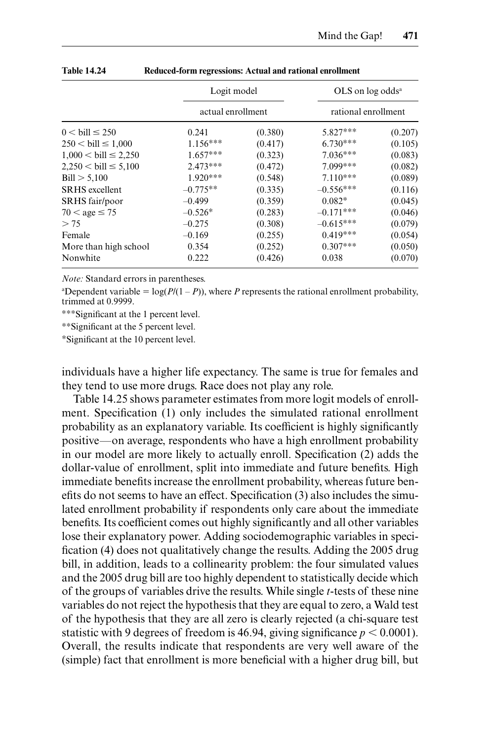|                                  | Logit model |                   | $OLS$ on log odds <sup>a</sup> |                     |  |
|----------------------------------|-------------|-------------------|--------------------------------|---------------------|--|
|                                  |             | actual enrollment |                                | rational enrollment |  |
| $0 < \text{bill} \leq 250$       | 0.241       | (0.380)           | $5.827***$                     | (0.207)             |  |
| $250 < \text{bill} \le 1,000$    | $1.156***$  | (0.417)           | $6.730***$                     | (0.105)             |  |
| $1,000 < \text{bill} \leq 2,250$ | $1.657***$  | (0.323)           | $7.036***$                     | (0.083)             |  |
| $2,250 <$ bill $\leq 5,100$      | $2.473***$  | (0.472)           | 7.099***                       | (0.082)             |  |
| Bill > 5,100                     | $1.920***$  | (0.548)           | $7.110***$                     | (0.089)             |  |
| <b>SRHS</b> excellent            | $-0.775**$  | (0.335)           | $-0.556***$                    | (0.116)             |  |
| SRHS fair/poor                   | $-0.499$    | (0.359)           | $0.082*$                       | (0.045)             |  |
| $70 <$ age $\leq 75$             | $-0.526*$   | (0.283)           | $-0.171***$                    | (0.046)             |  |
| > 75                             | $-0.275$    | (0.308)           | $-0.615***$                    | (0.079)             |  |
| Female                           | $-0.169$    | (0.255)           | $0.419***$                     | (0.054)             |  |
| More than high school            | 0.354       | (0.252)           | $0.307***$                     | (0.050)             |  |
| Nonwhite                         | 0.222       | (0.426)           | 0.038                          | (0.070)             |  |

**Table 14.24 Reduced- form regressions: Actual and rational enrollment**

*Note:* Standard errors in parentheses.

<sup>a</sup>Dependent variable =  $log(P/(1 - P))$ , where *P* represents the rational enrollment probability, trimmed at 0.9999.

∗∗∗Signifi cant at the 1 percent level.

∗∗Signifi cant at the 5 percent level.

∗Signifi cant at the 10 percent level.

individuals have a higher life expectancy. The same is true for females and they tend to use more drugs. Race does not play any role.

Table 14.25 shows parameter estimates from more logit models of enrollment. Specification (1) only includes the simulated rational enrollment probability as an explanatory variable. Its coefficient is highly significantly positive—on average, respondents who have a high enrollment probability in our model are more likely to actually enroll. Specification (2) adds the dollar-value of enrollment, split into immediate and future benefits. High immediate benefits increase the enrollment probability, whereas future benefits do not seems to have an effect. Specification  $(3)$  also includes the simulated enrollment probability if respondents only care about the immediate benefits. Its coefficient comes out highly significantly and all other variables lose their explanatory power. Adding sociodemographic variables in specification (4) does not qualitatively change the results. Adding the 2005 drug bill, in addition, leads to a collinearity problem: the four simulated values and the 2005 drug bill are too highly dependent to statistically decide which of the groups of variables drive the results. While single *t*- tests of these nine variables do not reject the hypothesis that they are equal to zero, a Wald test of the hypothesis that they are all zero is clearly rejected (a chi- square test statistic with 9 degrees of freedom is 46.94, giving significance  $p < 0.0001$ ). Overall, the results indicate that respondents are very well aware of the (simple) fact that enrollment is more beneficial with a higher drug bill, but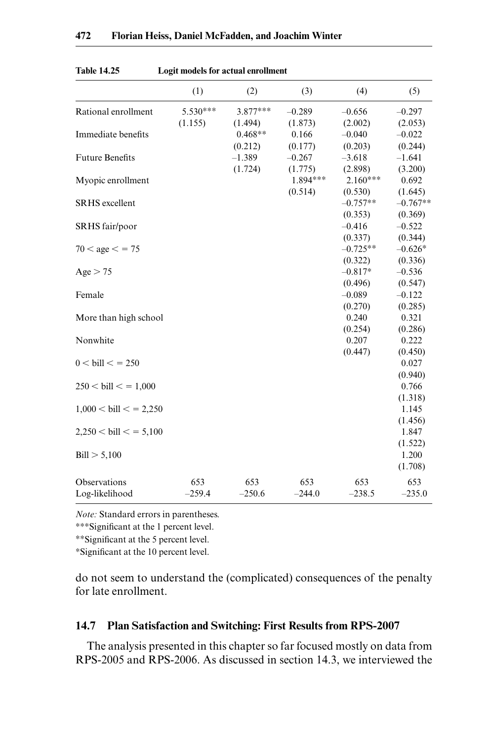|                               | (1)        | (2)       | (3)      | (4)        | (5)        |
|-------------------------------|------------|-----------|----------|------------|------------|
| Rational enrollment           | $5.530***$ | 3.877***  | $-0.289$ | $-0.656$   | $-0.297$   |
|                               | (1.155)    | (1.494)   | (1.873)  | (2.002)    | (2.053)    |
| Immediate benefits            |            | $0.468**$ | 0.166    | $-0.040$   | $-0.022$   |
|                               |            | (0.212)   | (0.177)  | (0.203)    | (0.244)    |
| <b>Future Benefits</b>        |            | $-1.389$  | $-0.267$ | $-3.618$   | $-1.641$   |
|                               |            | (1.724)   | (1.775)  | (2.898)    | (3.200)    |
| Myopic enrollment             |            |           | 1.894*** | $2.160***$ | 0.692      |
|                               |            |           | (0.514)  | (0.530)    | (1.645)    |
| <b>SRHS</b> excellent         |            |           |          | $-0.757**$ | $-0.767**$ |
|                               |            |           |          | (0.353)    | (0.369)    |
| SRHS fair/poor                |            |           |          | $-0.416$   | $-0.522$   |
|                               |            |           |          | (0.337)    | (0.344)    |
| $70 < \text{age} < 75$        |            |           |          | $-0.725**$ | $-0.626*$  |
|                               |            |           |          | (0.322)    | (0.336)    |
| Age > 75                      |            |           |          | $-0.817*$  | $-0.536$   |
|                               |            |           |          | (0.496)    | (0.547)    |
| Female                        |            |           |          | $-0.089$   | $-0.122$   |
|                               |            |           |          | (0.270)    | (0.285)    |
| More than high school         |            |           |          | 0.240      | 0.321      |
|                               |            |           |          | (0.254)    | (0.286)    |
| Nonwhite                      |            |           |          | 0.207      | 0.222      |
|                               |            |           |          | (0.447)    | (0.450)    |
| $0 < \text{bill} < 250$       |            |           |          |            | 0.027      |
|                               |            |           |          |            | (0.940)    |
| $250 < \text{bill} < 1000$    |            |           |          |            | 0.766      |
|                               |            |           |          |            | (1.318)    |
| $1,000 < \text{bill} < 2,250$ |            |           |          |            | 1.145      |
|                               |            |           |          |            | (1.456)    |
| $2,250 <$ bill $\lt$ = 5,100  |            |           |          |            | 1.847      |
|                               |            |           |          |            | (1.522)    |
| Bill > 5,100                  |            |           |          |            | 1.200      |
|                               |            |           |          |            | (1.708)    |
|                               |            |           |          |            |            |
| Observations                  | 653        | 653       | 653      | 653        | 653        |
| Log-likelihood                | $-259.4$   | $-250.6$  | $-244.0$ | $-238.5$   | $-235.0$   |

**Table 14.25 Logit models for actual enrollment**

*Note:* Standard errors in parentheses.

∗∗∗Signifi cant at the 1 percent level.

∗∗Signifi cant at the 5 percent level.

∗Signifi cant at the 10 percent level.

do not seem to understand the (complicated) consequences of the penalty for late enrollment.

# 14.7 Plan Satisfaction and Switching: First Results from RPS-2007

The analysis presented in this chapter so far focused mostly on data from RPS-2005 and RPS-2006. As discussed in section 14.3, we interviewed the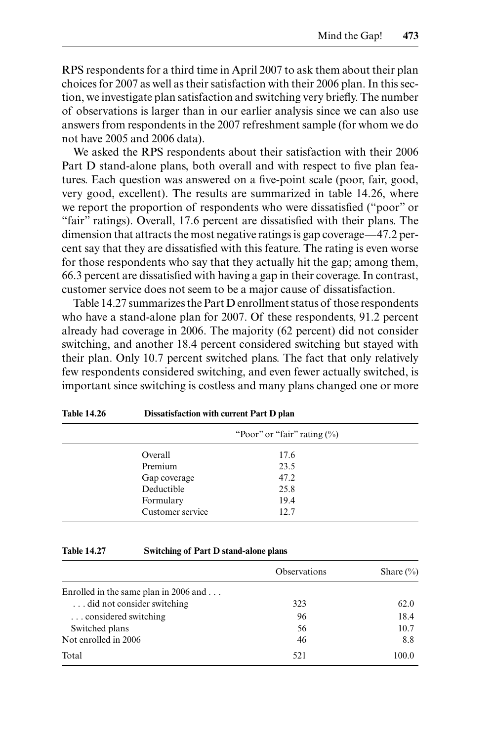RPS respondents for a third time in April 2007 to ask them about their plan choices for 2007 as well as their satisfaction with their 2006 plan. In this section, we investigate plan satisfaction and switching very briefly. The number of observations is larger than in our earlier analysis since we can also use answers from respondents in the 2007 refreshment sample (for whom we do not have 2005 and 2006 data).

We asked the RPS respondents about their satisfaction with their 2006 Part D stand-alone plans, both overall and with respect to five plan features. Each question was answered on a five-point scale (poor, fair, good, very good, excellent). The results are summarized in table 14.26, where we report the proportion of respondents who were dissatisfied ("poor" or "fair" ratings). Overall, 17.6 percent are dissatisfied with their plans. The dimension that attracts the most negative ratings is gap coverage—47.2 percent say that they are dissatisfied with this feature. The rating is even worse for those respondents who say that they actually hit the gap; among them, 66.3 percent are dissatisfied with having a gap in their coverage. In contrast, customer service does not seem to be a major cause of dissatisfaction.

Table 14.27 summarizes the Part D enrollment status of those respondents who have a stand-alone plan for 2007. Of these respondents, 91.2 percent already had coverage in 2006. The majority (62 percent) did not consider switching, and another 18.4 percent considered switching but stayed with their plan. Only 10.7 percent switched plans. The fact that only relatively few respondents considered switching, and even fewer actually switched, is important since switching is costless and many plans changed one or more

| <b>Table 14.26</b> | Dissatisfaction with current Part D plan |                                |  |  |  |  |  |
|--------------------|------------------------------------------|--------------------------------|--|--|--|--|--|
|                    |                                          | "Poor" or "fair" rating $(\%)$ |  |  |  |  |  |
|                    | Overall                                  | 17.6                           |  |  |  |  |  |
|                    | Premium                                  | 23.5                           |  |  |  |  |  |
|                    | Gap coverage                             | 47.2                           |  |  |  |  |  |
|                    | Deductible                               | 25.8                           |  |  |  |  |  |
|                    | Formulary                                | 19.4                           |  |  |  |  |  |
|                    | Customer service                         | 12.7                           |  |  |  |  |  |

| <b>Table 14.27</b> | <b>Switching of Part D stand-alone plans</b> |  |
|--------------------|----------------------------------------------|--|
|--------------------|----------------------------------------------|--|

|                                               | Observations | Share $(\% )$ |
|-----------------------------------------------|--------------|---------------|
| Enrolled in the same plan in 2006 and $\dots$ |              |               |
| did not consider switching                    | 323          | 62.0          |
| considered switching                          | 96           | 18.4          |
| Switched plans                                | 56           | 10.7          |
| Not enrolled in 2006                          | 46           | 8.8           |
| Total                                         | 521          | 100.0         |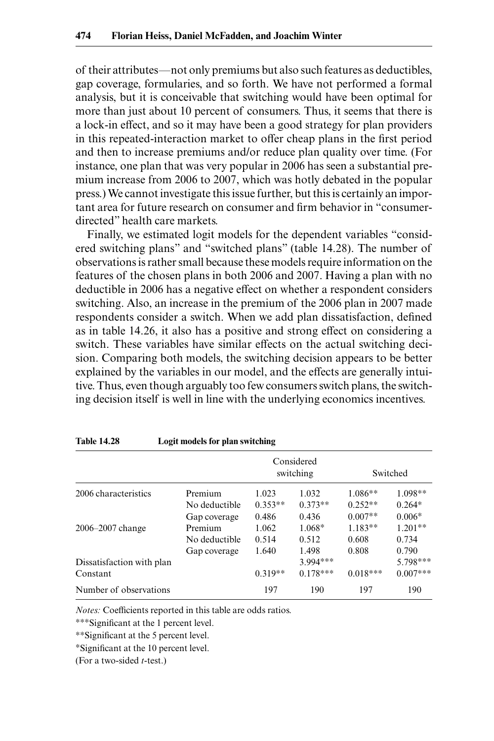of their attributes—not only premiums but also such features as deductibles, gap coverage, formularies, and so forth. We have not performed a formal analysis, but it is conceivable that switching would have been optimal for more than just about 10 percent of consumers. Thus, it seems that there is a lock-in effect, and so it may have been a good strategy for plan providers in this repeated-interaction market to offer cheap plans in the first period and then to increase premiums and/or reduce plan quality over time. (For instance, one plan that was very popular in 2006 has seen a substantial premium increase from 2006 to 2007, which was hotly debated in the popular press.) We cannot investigate this issue further, but this is certainly an important area for future research on consumer and firm behavior in "consumerdirected" health care markets.

Finally, we estimated logit models for the dependent variables "considered switching plans" and "switched plans" (table 14.28). The number of observations is rather small because these models require information on the features of the chosen plans in both 2006 and 2007. Having a plan with no deductible in 2006 has a negative effect on whether a respondent considers switching. Also, an increase in the premium of the 2006 plan in 2007 made respondents consider a switch. When we add plan dissatisfaction, defined as in table 14.26, it also has a positive and strong effect on considering a switch. These variables have similar effects on the actual switching decision. Comparing both models, the switching decision appears to be better explained by the variables in our model, and the effects are generally intuitive. Thus, even though arguably too few consumers switch plans, the switching decision itself is well in line with the underlying economics incentives.

|                           |                          |                    | Considered<br>switching |                        | Switched              |
|---------------------------|--------------------------|--------------------|-------------------------|------------------------|-----------------------|
| 2006 characteristics      | Premium<br>No deductible | 1.023<br>$0.353**$ | 1.032<br>$0.373**$      | $1.086**$<br>$0.252**$ | $1.098**$<br>$0.264*$ |
|                           | Gap coverage             | 0.486              | 0.436                   | $0.007**$              | $0.006*$              |
| $2006 - 2007$ change      | Premium                  | 1.062              | $1.068*$                | $1.183**$              | $1.201**$             |
|                           | No deductible            | 0.514              | 0.512                   | 0.608                  | 0.734                 |
|                           | Gap coverage             | 1.640              | 1.498                   | 0.808                  | 0.790                 |
| Dissatisfaction with plan |                          |                    | $3.994***$              |                        | 5.798***              |
| Constant                  |                          | $0.319**$          | $0.178***$              | $0.018***$             | $0.007***$            |
| Number of observations    |                          | 197                | 190                     | 197                    | 190                   |

**Table 14.28 Logit models for plan switching**

*Notes:* Coefficients reported in this table are odds ratios.

∗∗∗Signifi cant at the 1 percent level.

∗∗Signifi cant at the 5 percent level.

∗Signifi cant at the 10 percent level.

(For a two-sided *t*-test.)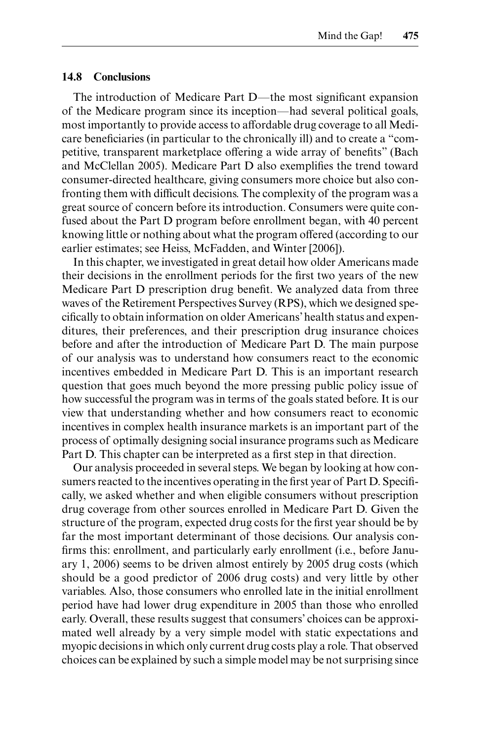## **14.8 Conclusions**

The introduction of Medicare Part D—the most significant expansion of the Medicare program since its inception—had several political goals, most importantly to provide access to affordable drug coverage to all Medicare beneficiaries (in particular to the chronically ill) and to create a "competitive, transparent marketplace offering a wide array of benefits" (Bach and McClellan 2005). Medicare Part D also exemplifies the trend toward consumer- directed healthcare, giving consumers more choice but also confronting them with difficult decisions. The complexity of the program was a great source of concern before its introduction. Consumers were quite confused about the Part D program before enrollment began, with 40 percent knowing little or nothing about what the program offered (according to our earlier estimates; see Heiss, McFadden, and Winter [2006]).

In this chapter, we investigated in great detail how older Americans made their decisions in the enrollment periods for the first two years of the new Medicare Part D prescription drug benefit. We analyzed data from three waves of the Retirement Perspectives Survey (RPS), which we designed specifically to obtain information on older Americans' health status and expenditures, their preferences, and their prescription drug insurance choices before and after the introduction of Medicare Part D. The main purpose of our analysis was to understand how consumers react to the economic incentives embedded in Medicare Part D. This is an important research question that goes much beyond the more pressing public policy issue of how successful the program was in terms of the goals stated before. It is our view that understanding whether and how consumers react to economic incentives in complex health insurance markets is an important part of the process of optimally designing social insurance programs such as Medicare Part D. This chapter can be interpreted as a first step in that direction.

Our analysis proceeded in several steps. We began by looking at how consumers reacted to the incentives operating in the first year of Part D. Specifically, we asked whether and when eligible consumers without prescription drug coverage from other sources enrolled in Medicare Part D. Given the structure of the program, expected drug costs for the first year should be by far the most important determinant of those decisions. Our analysis confirms this: enrollment, and particularly early enrollment (i.e., before January 1, 2006) seems to be driven almost entirely by 2005 drug costs (which should be a good predictor of 2006 drug costs) and very little by other variables. Also, those consumers who enrolled late in the initial enrollment period have had lower drug expenditure in 2005 than those who enrolled early. Overall, these results suggest that consumers' choices can be approximated well already by a very simple model with static expectations and myopic decisions in which only current drug costs play a role. That observed choices can be explained by such a simple model may be not surprising since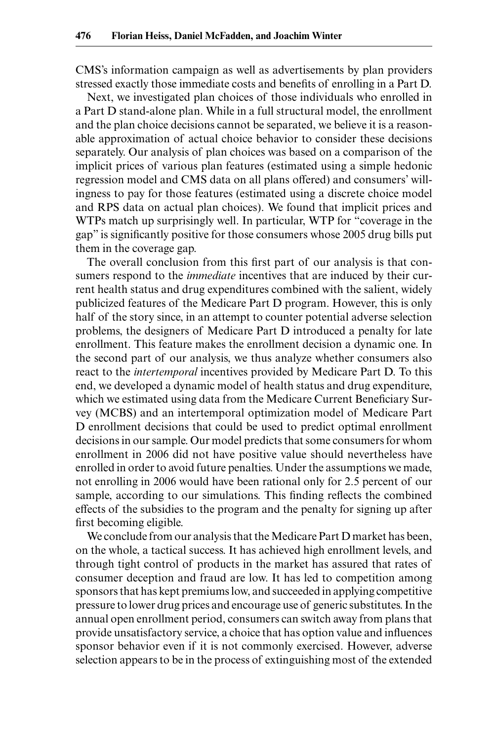CMS's information campaign as well as advertisements by plan providers stressed exactly those immediate costs and benefits of enrolling in a Part D.

Next, we investigated plan choices of those individuals who enrolled in a Part D stand- alone plan. While in a full structural model, the enrollment and the plan choice decisions cannot be separated, we believe it is a reasonable approximation of actual choice behavior to consider these decisions separately. Our analysis of plan choices was based on a comparison of the implicit prices of various plan features (estimated using a simple hedonic regression model and CMS data on all plans offered) and consumers' willingness to pay for those features (estimated using a discrete choice model and RPS data on actual plan choices). We found that implicit prices and WTPs match up surprisingly well. In particular, WTP for "coverage in the gap" is significantly positive for those consumers whose 2005 drug bills put them in the coverage gap.

The overall conclusion from this first part of our analysis is that consumers respond to the *immediate* incentives that are induced by their current health status and drug expenditures combined with the salient, widely publicized features of the Medicare Part D program. However, this is only half of the story since, in an attempt to counter potential adverse selection problems, the designers of Medicare Part D introduced a penalty for late enrollment. This feature makes the enrollment decision a dynamic one. In the second part of our analysis, we thus analyze whether consumers also react to the *intertemporal* incentives provided by Medicare Part D. To this end, we developed a dynamic model of health status and drug expenditure, which we estimated using data from the Medicare Current Beneficiary Survey (MCBS) and an intertemporal optimization model of Medicare Part D enrollment decisions that could be used to predict optimal enrollment decisions in our sample. Our model predicts that some consumers for whom enrollment in 2006 did not have positive value should nevertheless have enrolled in order to avoid future penalties. Under the assumptions we made, not enrolling in 2006 would have been rational only for 2.5 percent of our sample, according to our simulations. This finding reflects the combined effects of the subsidies to the program and the penalty for signing up after first becoming eligible.

We conclude from our analysis that the Medicare Part D market has been, on the whole, a tactical success. It has achieved high enrollment levels, and through tight control of products in the market has assured that rates of consumer deception and fraud are low. It has led to competition among sponsors that has kept premiums low, and succeeded in applying competitive pressure to lower drug prices and encourage use of generic substitutes. In the annual open enrollment period, consumers can switch away from plans that provide unsatisfactory service, a choice that has option value and influences sponsor behavior even if it is not commonly exercised. However, adverse selection appears to be in the process of extinguishing most of the extended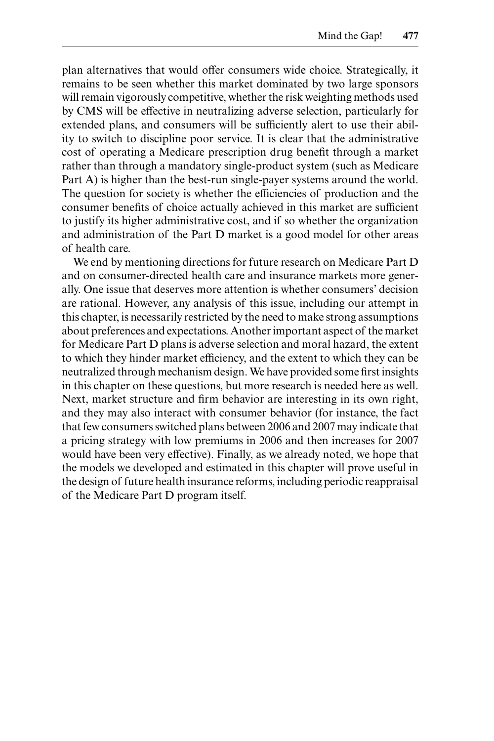plan alternatives that would offer consumers wide choice. Strategically, it remains to be seen whether this market dominated by two large sponsors will remain vigorously competitive, whether the risk weighting methods used by CMS will be effective in neutralizing adverse selection, particularly for extended plans, and consumers will be sufficiently alert to use their ability to switch to discipline poor service. It is clear that the administrative cost of operating a Medicare prescription drug benefit through a market rather than through a mandatory single- product system (such as Medicare Part A) is higher than the best-run single-payer systems around the world. The question for society is whether the efficiencies of production and the consumer benefits of choice actually achieved in this market are sufficient to justify its higher administrative cost, and if so whether the organization and administration of the Part D market is a good model for other areas of health care.

We end by mentioning directions for future research on Medicare Part D and on consumer-directed health care and insurance markets more generally. One issue that deserves more attention is whether consumers' decision are rational. However, any analysis of this issue, including our attempt in this chapter, is necessarily restricted by the need to make strong assumptions about preferences and expectations. Another important aspect of the market for Medicare Part D plans is adverse selection and moral hazard, the extent to which they hinder market efficiency, and the extent to which they can be neutralized through mechanism design. We have provided some first insights in this chapter on these questions, but more research is needed here as well. Next, market structure and firm behavior are interesting in its own right, and they may also interact with consumer behavior (for instance, the fact that few consumers switched plans between 2006 and 2007 may indicate that a pricing strategy with low premiums in 2006 and then increases for 2007 would have been very effective). Finally, as we already noted, we hope that the models we developed and estimated in this chapter will prove useful in the design of future health insurance reforms, including periodic reappraisal of the Medicare Part D program itself.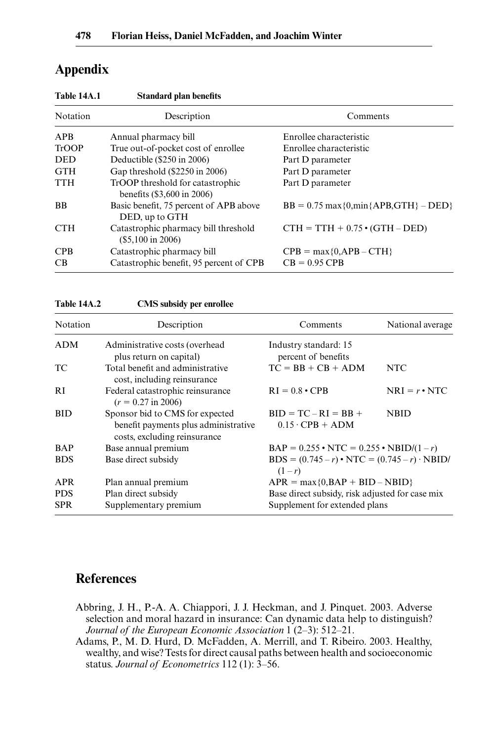# **Appendix**

| Table 14A.1  | Standard plan benefits                                         |                                                              |
|--------------|----------------------------------------------------------------|--------------------------------------------------------------|
| Notation     | Description                                                    | Comments                                                     |
| <b>APB</b>   | Annual pharmacy bill                                           | Enrollee characteristic                                      |
| <b>TrOOP</b> | True out-of-pocket cost of enrollee                            | Enrollee characteristic                                      |
| <b>DED</b>   | Deductible (\$250 in 2006)                                     | Part D parameter                                             |
| <b>GTH</b>   | Gap threshold (\$2250 in 2006)                                 | Part D parameter                                             |
| <b>TTH</b>   | TrOOP threshold for catastrophic<br>benefits (\$3,600 in 2006) | Part D parameter                                             |
| <b>BB</b>    | Basic benefit, 75 percent of APB above<br>DED, up to GTH       | $BB = 0.75 \text{ max} \{0, \text{min} \{APB, GTH\} - DED\}$ |
| <b>CTH</b>   | Catastrophic pharmacy bill threshold<br>(\$5,100 in 2006)      | $CTH = TTH + 0.75 \cdot (GTH - DED)$                         |
| <b>CPB</b>   | Catastrophic pharmacy bill                                     | $CPB = max\{0, APB - CTH\}$                                  |
| CB           | Catastrophic benefit, 95 percent of CPB                        | $CB = 0.95$ CPB                                              |

# **Table 14A.1 Standard plan benefi ts**

#### **Table 14A.2 CMS subsidy per enrollee**

| Notation       | Description                                                                                             | Comments                                                             | National average    |
|----------------|---------------------------------------------------------------------------------------------------------|----------------------------------------------------------------------|---------------------|
| <b>ADM</b>     | Administrative costs (overhead<br>plus return on capital)                                               | Industry standard: 15<br>percent of benefits                         |                     |
| TС             | Total benefit and administrative<br>cost, including reinsurance                                         | $TC = BB + CB + ADM$                                                 | <b>NTC</b>          |
| R <sub>I</sub> | Federal catastrophic reinsurance<br>$(r = 0.27 \text{ in } 2006)$                                       | $RI = 0.8 \cdot CPB$                                                 | $NRI = r \cdot NTC$ |
| <b>BID</b>     | Sponsor bid to CMS for expected<br>benefit payments plus administrative<br>costs, excluding reinsurance | $BID = TC - RI = BB +$<br>$0.15 \cdot CPB + ADM$                     | <b>NBID</b>         |
| <b>BAP</b>     | Base annual premium                                                                                     | $BAP = 0.255 \cdot NTC = 0.255 \cdot NBID/(1 - r)$                   |                     |
| <b>BDS</b>     | Base direct subsidy                                                                                     | $BDS = (0.745 - r) \cdot NTC = (0.745 - r) \cdot NBID/$<br>$(1 - r)$ |                     |
| <b>APR</b>     | Plan annual premium                                                                                     | $APR = max\{0, BAP + BID - NBID\}$                                   |                     |
| <b>PDS</b>     | Plan direct subsidy                                                                                     | Base direct subsidy, risk adjusted for case mix                      |                     |
| <b>SPR</b>     | Supplementary premium                                                                                   | Supplement for extended plans                                        |                     |

# **References**

- Abbring, J. H., P.-A. A. Chiappori, J. J. Heckman, and J. Pinquet. 2003. Adverse selection and moral hazard in insurance: Can dynamic data help to distinguish? *Journal of the European Economic Association* 1 (2–3): 512–21.
- Adams, P., M. D. Hurd, D. McFadden, A. Merrill, and T. Ribeiro. 2003. Healthy, wealthy, and wise? Tests for direct causal paths between health and socioeconomic status. *Journal of Econometrics* 112(1): 3-56.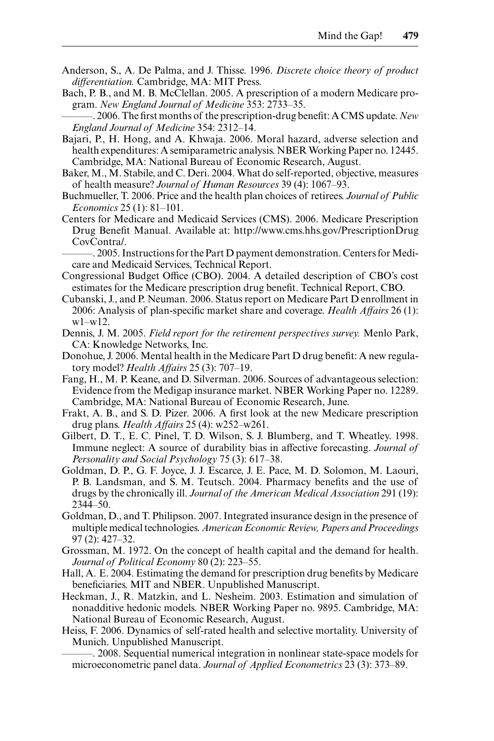- Anderson, S., A. De Palma, and J. Thisse. 1996. *Discrete choice theory of product differentiation.* Cambridge, MA: MIT Press.
- Bach, P. B., and M. B. McClellan. 2005. A prescription of a modern Medicare program. *New England Journal of Medicine* 353: 2733-35.
- ———. 2006. The fi rst months of the prescription- drug benefi t: A CMS update. *New England Journal of Medicine* 354: 2312– 14.
- Bajari, P., H. Hong, and A. Khwaja. 2006. Moral hazard, adverse selection and health expenditures: A semiparametric analysis. NBER Working Paper no. 12445. Cambridge, MA: National Bureau of Economic Research, August.
- Baker, M., M. Stabile, and C. Deri. 2004. What do self- reported, objective, measures of health measure? *Journal of Human Resources* 39 (4): 1067–93.
- Buchmueller, T. 2006. Price and the health plan choices of retirees. *Journal of Public Economics* 25 (1): 81-101.
- Centers for Medicare and Medicaid Services (CMS). 2006. Medicare Prescription Drug Benefit Manual. Available at: http://www.cms.hhs.gov/PrescriptionDrug CovContra/.
- ———. 2005. Instructions for the Part D payment demonstration. Centers for Medicare and Medicaid Services, Technical Report.
- Congressional Budget Office (CBO). 2004. A detailed description of CBO's cost estimates for the Medicare prescription drug benefit. Technical Report, CBO.
- Cubanski, J., and P. Neuman. 2006. Status report on Medicare Part D enrollment in 2006: Analysis of plan-specific market share and coverage. *Health Affairs* 26 (1):  $w1-w12$ .
- Dennis, J. M. 2005. *Field report for the retirement perspectives survey.* Menlo Park, CA: Knowledge Networks, Inc.
- Donohue, J. 2006. Mental health in the Medicare Part D drug benefit: A new regulatory model? *Health Affairs* 25 (3): 707– 19.
- Fang, H., M. P. Keane, and D. Silverman. 2006. Sources of advantageous selection: Evidence from the Medigap insurance market. NBER Working Paper no. 12289. Cambridge, MA: National Bureau of Economic Research, June.
- Frakt, A. B., and S. D. Pizer. 2006. A first look at the new Medicare prescription drug plans. *Health Affairs* 25 (4): w252– w261.
- Gilbert, D. T., E. C. Pinel, T. D. Wilson, S. J. Blumberg, and T. Wheatley. 1998. Immune neglect: A source of durability bias in affective forecasting. *Journal of*  Personality and Social Psychology 75 (3): 617-38.
- Goldman, D. P., G. F. Joyce, J. J. Escarce, J. E. Pace, M. D. Solomon, M. Laouri, P. B. Landsman, and S. M. Teutsch. 2004. Pharmacy benefits and the use of drugs by the chronically ill. *Journal of the American Medical Association* 291 (19): 2344– 50.
- Goldman, D., and T. Philipson. 2007. Integrated insurance design in the presence of multiple medical technologies. *American Economic Review, Papers and Proceedings* 97 (2): 427– 32.
- Grossman, M. 1972. On the concept of health capital and the demand for health. Journal of Political Economy 80 (2): 223-55.
- Hall, A. E. 2004. Estimating the demand for prescription drug benefits by Medicare beneficiaries. MIT and NBER. Unpublished Manuscript.
- Heckman, J., R. Matzkin, and L. Nesheim. 2003. Estimation and simulation of nonadditive hedonic models. NBER Working Paper no. 9895. Cambridge, MA: National Bureau of Economic Research, August.
- Heiss, F. 2006. Dynamics of self-rated health and selective mortality. University of Munich. Unpublished Manuscript.
	- ———. 2008. Sequential numerical integration in nonlinear state- space models for microeconometric panel data. *Journal of Applied Econometrics* 23 (3): 373–89.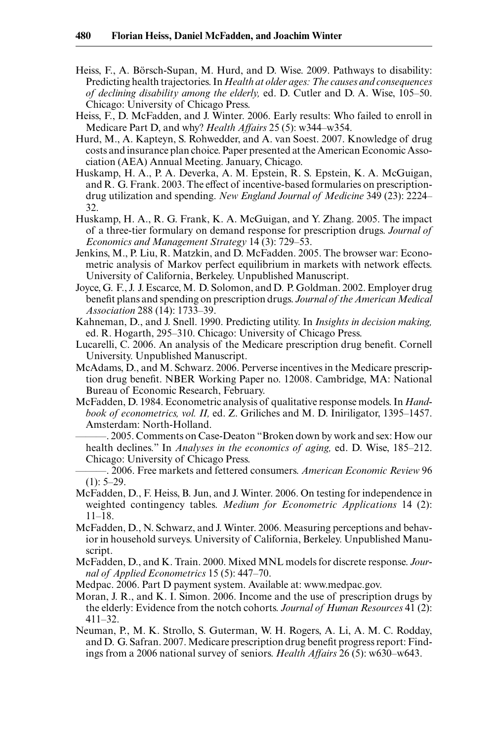- Heiss, F., A. Börsch-Supan, M. Hurd, and D. Wise. 2009. Pathways to disability: Predicting health trajectories. In *Health at older ages: The causes and consequences of declining disability among the elderly, ed. D. Cutler and D. A. Wise, 105–50.* Chicago: University of Chicago Press.
- Heiss, F., D. McFadden, and J. Winter. 2006. Early results: Who failed to enroll in Medicare Part D, and why? *Health Affairs* 25 (5): w344– w354.
- Hurd, M., A. Kapteyn, S. Rohwedder, and A. van Soest. 2007. Knowledge of drug costs and insurance plan choice. Paper presented at the American Economic Association (AEA) Annual Meeting. January, Chicago.
- Huskamp, H. A., P. A. Deverka, A. M. Epstein, R. S. Epstein, K. A. McGuigan, and R. G. Frank. 2003. The effect of incentive- based formularies on prescription drug utilization and spending. *New England Journal of Medicine* 349 (23): 2224– 32.
- Huskamp, H. A., R. G. Frank, K. A. McGuigan, and Y. Zhang. 2005. The impact of a three- tier formulary on demand response for prescription drugs. *Journal of Economics and Management Strategy* 14 (3): 729–53.
- Jenkins, M., P. Liu, R. Matzkin, and D. McFadden. 2005. The browser war: Econometric analysis of Markov perfect equilibrium in markets with network effects. University of California, Berkeley. Unpublished Manuscript.
- Joyce, G. F., J. J. Escarce, M. D. Solomon, and D. P. Goldman. 2002. Employer drug benefi t plans and spending on prescription drugs. *Journal of the American Medical Association* 288 (14): 1733– 39.
- Kahneman, D., and J. Snell. 1990. Predicting utility. In *Insights in decision making,* ed. R. Hogarth, 295–310. Chicago: University of Chicago Press.
- Lucarelli, C. 2006. An analysis of the Medicare prescription drug benefit. Cornell University. Unpublished Manuscript.
- McAdams, D., and M. Schwarz. 2006. Perverse incentives in the Medicare prescription drug benefit. NBER Working Paper no. 12008. Cambridge, MA: National Bureau of Economic Research, February.
- McFadden, D. 1984. Econometric analysis of qualitative response models. In *Hand*book of econometrics, vol. II, ed. Z. Griliches and M. D. Iniriligator, 1395–1457. Amsterdam: North-Holland.

———. 2005. Comments on Case- Deaton "Broken down by work and sex: How our health declines." In *Analyses in the economics of aging*, ed. D. Wise, 185–212. Chicago: University of Chicago Press.

———. 2006. Free markets and fettered consumers. *American Economic Review* 96  $(1): 5-29.$ 

- McFadden, D., F. Heiss, B. Jun, and J. Winter. 2006. On testing for independence in weighted contingency tables. *Medium for Econometric Applications* 14 (2):  $11 - 18.$
- McFadden, D., N. Schwarz, and J. Winter. 2006. Measuring perceptions and behavior in household surveys. University of California, Berkeley. Unpublished Manuscript.
- McFadden, D., and K. Train. 2000. Mixed MNL models for discrete response. *Jour*nal of Applied Econometrics 15 (5): 447-70.
- Medpac. 2006. Part D payment system. Available at: www.medpac.gov.
- Moran, J. R., and K. I. Simon. 2006. Income and the use of prescription drugs by the elderly: Evidence from the notch cohorts. *Journal of Human Resources* 41 (2):  $411 - 32.$
- Neuman, P., M. K. Strollo, S. Guterman, W. H. Rogers, A. Li, A. M. C. Rodday, and D. G. Safran. 2007. Medicare prescription drug benefit progress report: Findings from a 2006 national survey of seniors. *Health Affairs* 26 (5): w630– w643.